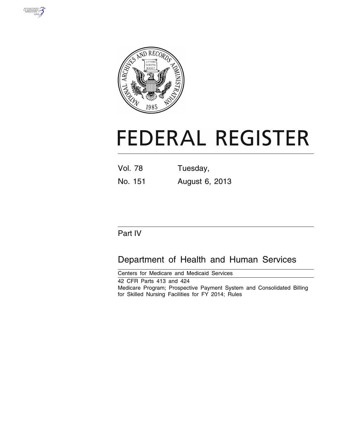



# **FEDERAL REGISTER**

| <b>Vol. 78</b> |  |  | Tuesday, |  |  |
|----------------|--|--|----------|--|--|
|                |  |  |          |  |  |

## No. 151 August 6, 2013

### Part IV

# Department of Health and Human Services

Centers for Medicare and Medicaid Services 42 CFR Parts 413 and 424 Medicare Program; Prospective Payment System and Consolidated Billing for Skilled Nursing Facilities for FY 2014; Rules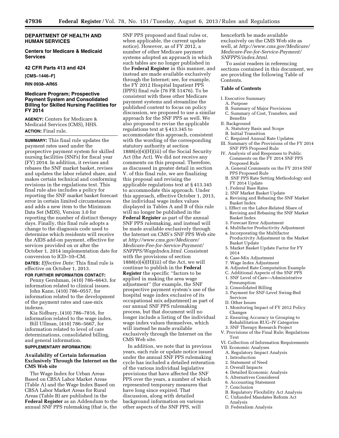### **DEPARTMENT OF HEALTH AND HUMAN SERVICES**

**Centers for Medicare & Medicaid Services** 

### **42 CFR Parts 413 and 424**

**[CMS–1446–F]** 

**RIN 0938–AR65** 

### **Medicare Program; Prospective Payment System and Consolidated Billing for Skilled Nursing Facilities for FY 2014**

**AGENCY:** Centers for Medicare & Medicaid Services (CMS), HHS. **ACTION:** Final rule.

**SUMMARY:** This final rule updates the payment rates used under the prospective payment system for skilled nursing facilities (SNFs) for fiscal year (FY) 2014. In addition, it revises and rebases the SNF market basket, revises and updates the labor related share, and makes certain technical and conforming revisions in the regulations text. This final rule also includes a policy for reporting the SNF market basket forecast error in certain limited circumstances and adds a new item to the Minimum Data Set (MDS), Version 3.0 for reporting the number of distinct therapy days. Finally, this final rule adopts a change to the diagnosis code used to determine which residents will receive the AIDS add-on payment, effective for services provided on or after the October 1, 2014 implementation date for conversion to ICD–10–CM.

**DATES:** *Effective Date:* This final rule is effective on October 1, 2013.

### **FOR FURTHER INFORMATION CONTACT:**

Penny Gershman, (410) 786–6643, for information related to clinical issues.

John Kane, (410) 786–0557, for information related to the development of the payment rates and case-mix indexes.

Kia Sidbury, (410) 786–7816, for information related to the wage index.

Bill Ullman, (410) 786–5667, for information related to level of care determinations, consolidated billing, and general information.

### **SUPPLEMENTARY INFORMATION:**

### **Availability of Certain Information Exclusively Through the Internet on the CMS Web site**

The Wage Index for Urban Areas Based on CBSA Labor Market Areas (Table A) and the Wage Index Based on CBSA Labor Market Areas for Rural Areas (Table B) are published in the **Federal Register** as an Addendum to the annual SNF PPS rulemaking (that is, the

SNF PPS proposed and final rules or, when applicable, the current update notice). However, as of FY 2012, a number of other Medicare payment systems adopted an approach in which such tables are no longer published in the **Federal Register** in this manner, and instead are made available exclusively through the Internet; see, for example, the FY 2012 Hospital Inpatient PPS (IPPS) final rule (76 FR 51476). To be consistent with these other Medicare payment systems and streamline the published content to focus on policy discussion, we proposed to use a similar approach for the SNF PPS as well. We also proposed to revise the applicable regulations text at § 413.345 to accommodate this approach, consistent with the wording of the corresponding statutory authority at section 1888(e)(4)(H)(iii) of the Social Security Act (the Act). We did not receive any comments on this proposal. Therefore, as discussed in greater detail in section V. of this final rule, we are finalizing this proposal and revising the applicable regulations text at § 413.345 to accommodate this approach. Under this approach, effective October 1, 2013, the individual wage index values displayed in Tables A and B of this rule will no longer be published in the **Federal Register** as part of the annual SNF PPS rulemaking, and instead will be made available exclusively through the Internet on CMS's SNF PPS Web site at *[http://www.cms.gov/Medicare/](http://www.cms.gov/Medicare/Medicare-Fee-for-Service-Payment/SNFPPS/WageIndex.html)  [Medicare-Fee-for-Service-Payment/](http://www.cms.gov/Medicare/Medicare-Fee-for-Service-Payment/SNFPPS/WageIndex.html)  [SNFPPS/WageIndex.html.](http://www.cms.gov/Medicare/Medicare-Fee-for-Service-Payment/SNFPPS/WageIndex.html)* Consistent with the provisions of section  $1888(e)(4)(H)(iii)$  of the Act, we will continue to publish in the **Federal Register** the specific ''factors to be applied in making the area wage adjustment'' (for example, the SNF prospective payment system's use of the hospital wage index exclusive of its occupational mix adjustment) as part of our annual SNF PPS rulemaking process, but that document will no longer include a listing of the individual wage index values themselves, which will instead be made available exclusively through the Internet on the CMS Web site.

In addition, we note that in previous years, each rule or update notice issued under the annual SNF PPS rulemaking cycle has included a detailed reiteration of the various individual legislative provisions that have affected the SNF PPS over the years, a number of which represented temporary measures that have long since expired. That discussion, along with detailed background information on various other aspects of the SNF PPS, will

henceforth be made available exclusively on the CMS Web site as well, at *[http://www.cms.gov/Medicare/](http://www.cms.gov/Medicare/Medicare-Fee-for-Service-Payment/SNFPPS/index.html)  [Medicare-Fee-for-Service-Payment/](http://www.cms.gov/Medicare/Medicare-Fee-for-Service-Payment/SNFPPS/index.html)  [SNFPPS/index.html.](http://www.cms.gov/Medicare/Medicare-Fee-for-Service-Payment/SNFPPS/index.html)* 

To assist readers in referencing sections contained in this document, we are providing the following Table of Contents.

### **Table of Contents**

### I. Executive Summary

- A. Purpose
- B. Summary of Major Provisions<br>C. Summary of Cost, Transfers, a
- Summary of Cost, Transfers, and Benefits

### II. Background

- A. Statutory Basis and Scope
- B. Initial Transition
- C. Required Annual Rate Updates III. Summary of the Provisions of the FY 2014 SNF PPS Proposed Rule
- IV. Analysis of and Responses to Public Comments on the FY 2014 SNF PPS Proposed Rule
	- A. General Comments on the FY 2014 SNF PPS Proposed Rule
	- B. SNF PPS Rate Setting Methodology and FY 2014 Update
	- 1. Federal Base Rates
	- 2. SNF Market Basket Update
	- a. Revising and Rebasing the SNF Market Basket Index
	- i. Effect on the Labor-Related Share of Revising and Rebasing the SNF Market Basket Index
- 3. Forecast Error Adjustment
- 4. Multifactor Productivity Adjustment
- a. Incorporating the Multifactor
- Productivity Adjustment in the Market Basket Update
- 5. Market Basket Update Factor for FY 2014
- 6. Case-Mix Adjustment
- 7. Wage Index Adjustment
- 8. Adjusted Rate Computation Example
- C. Additional Aspects of the SNF PPS
- 1. SNF Level of Care—Administrative Presumption
- 2. Consolidated Billing
- 3. Payment for SNF-Level Swing-Bed Services
- D. Other Issues
- 1. Monitoring Impact of FY 2012 Policy Changes
- 2. Ensuring Accuracy in Grouping to Rehabilitation RUG–IV Categories
- 3. SNF Therapy Research Project
- V. Provisions of the Final Rule; Regulations Text
- VI. Collection of Information Requirements VII. Economic Analyses
	- A. Regulatory Impact Analysis
	- 1. Introduction
	- 2. Statement of Need
	- 3. Overall Impacts
	- 4. Detailed Economic Analysis
	- 5. Alternatives Considered
	- 6. Accounting Statement
	- 7. Conclusion
	- B. Regulatory Flexibility Act Analysis
	- C. Unfunded Mandates Reform Act
	- Analysis
	- D. Federalism Analysis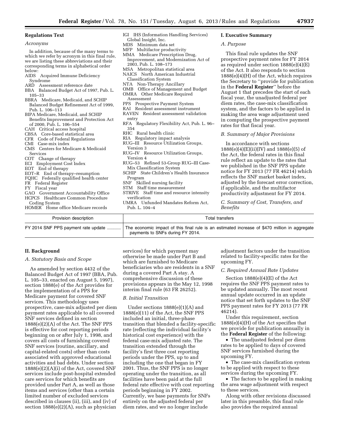### **Regulations Text**

| Acronyms |
|----------|
|          |

In addition, because of the many terms to which we refer by acronym in this final rule, we are listing these abbreviations and their corresponding terms in alphabetical order below:

- AIDS Acquired Immune Deficiency Syndrome
- ARD Assessment reference date<br>BBA Balanced Budget Act of 19
- Balanced Budget Act of 1997, Pub. L. 105–33
- BBRA Medicare, Medicaid, and SCHIP Balanced Budget Refinement Act of 1999, Pub. L. 106–113
- BIPA Medicare, Medicaid, and SCHIP Benefits Improvement and Protection Act of 2000, Pub. L. 106–554
- CAH Critical access hospital
- CBSA Core-based statistical area
- CFR Code of Federal Regulations
- CMI Case-mix index
- Centers for Medicare & Medicaid Services
- COT Change of therapy
- ECI Employment Cost Index
- EOT End of therapy
- 
- EOT–R End of therapy–resumption
- FQHC Federally qualified health center FR Federal Register
- 
- FY Fiscal year
- GAO Government Accountability Office HCPCS Healthcare Common Procedure
- Coding System HOMER Home office Medicare records
- IGI IHS (Information Handling Services) Global Insight, Inc.
- MDS Minimum data set
- MFP Multifactor productivity
- MMA Medicare Prescription Drug, Improvement, and Modernization Act of 2003, Pub. L. 108–173
- MSA Metropolitan statistical area
- NAICS North American Industrial
- Classification System
- NTA Non-Therapy Ancillary
- OMB Office of Management and Budget
- OMRA Other Medicare Required Assessment
- PPS Prospective Payment System
- 
- RAI Resident assessment instrument RAVEN Resident assessment validation
- entry
- RFA Regulatory Flexibility Act, Pub. L. 96– 354
- RHC Rural health clinic
- RIA Regulatory impact analysis
- RUG–III Resource Utilization Groups,
- Version 3
- RUG–IV Resource Utilization Groups, Version 4
- RUG–53 Refined 53-Group RUG–III Case-Mix Classification System
- SCHIP State Children's Health Insurance Program
- SNF Skilled nursing facility
- STM Staff time measurement
- STRIVE Staff time and resource intensity verification
- UMRA Unfunded Mandates Reform Act, Pub. L. 104–4

### **I. Executive Summary**

### *A. Purpose*

This final rule updates the SNF prospective payment rates for FY 2014 as required under section 1888(e)(4)(E) of the Act. It also responds to section 1888(e)(4)(H) of the Act, which requires the Secretary to ''provide for publication in the **Federal Register**'' before the August 1 that precedes the start of each fiscal year, the unadjusted federal per diem rates, the case-mix classification system, and the factors to be applied in making the area wage adjustment used in computing the prospective payment rates for that fiscal year.

### *B. Summary of Major Provisions*

In accordance with sections 1888(e)(4)(E)(ii)(IV) and 1888(e)(5) of the Act, the federal rates in this final rule reflect an update to the rates that we published in the SNF PPS update notice for FY 2013 (77 FR 46214) which reflects the SNF market basket index, adjusted by the forecast error correction, if applicable, and the multifactor productivity adjustment for FY 2014.

*C. Summary of Cost, Transfers, and Benefits* 

| Provision description               | Total transfers                                                                                                                   |  |  |  |  |  |
|-------------------------------------|-----------------------------------------------------------------------------------------------------------------------------------|--|--|--|--|--|
| FY 2014 SNF PPS payment rate update | The economic impact of this final rule is an estimated increase of \$470 million in aggregate<br>payments to SNFs during FY 2014. |  |  |  |  |  |

### **II. Background**

### *A. Statutory Basis and Scope*

As amended by section 4432 of the Balanced Budget Act of 1997 (BBA, Pub. L. 105–33, enacted on August 5, 1997), section 1888(e) of the Act provides for the implementation of a PPS for Medicare payment for covered SNF services. This methodology uses prospective, case-mix adjusted per diem payment rates applicable to all covered SNF services defined in section 1888(e)(2)(A) of the Act. The SNF PPS is effective for cost reporting periods beginning on or after July 1, 1998, and covers all costs of furnishing covered SNF services (routine, ancillary, and capital-related costs) other than costs associated with approved educational activities and bad debts. Under section 1888(e)(2)(A)(i) of the Act, covered SNF services include post-hospital extended care services for which benefits are provided under Part A, as well as those items and services (other than a certain limited number of excluded services described in clauses (ii), (iii), and (iv) of section 1888(e)(2)(A), such as physician

services) for which payment may otherwise be made under Part B and which are furnished to Medicare beneficiaries who are residents in a SNF during a covered Part A stay. A comprehensive discussion of these provisions appears in the May 12, 1998 interim final rule (63 FR 26252).

### *B. Initial Transition*

Under sections 1888(e)(1)(A) and 1888(e)(11) of the Act, the SNF PPS included an initial, three-phase transition that blended a facility-specific rate (reflecting the individual facility's historical cost experience) with the federal case-mix adjusted rate. The transition extended through the facility's first three cost reporting periods under the PPS, up to and including the one that began in FY 2001. Thus, the SNF PPS is no longer operating under the transition, as all facilities have been paid at the full federal rate effective with cost reporting periods beginning in FY 2002. Currently, we base payments for SNFs entirely on the adjusted federal per diem rates, and we no longer include

adjustment factors under the transition related to facility-specific rates for the upcoming FY.

### *C. Required Annual Rate Updates*

Section 1888(e)(4)(E) of the Act requires the SNF PPS payment rates to be updated annually. The most recent annual update occurred in an update notice that set forth updates to the SNF PPS payment rates for FY 2013 (77 FR 46214).

Under this requirement, section 1888(e)(4)(H) of the Act specifies that we provide for publication annually in the **Federal Register** of the following:

• The unadjusted federal per diem rates to be applied to days of covered SNF services furnished during the upcoming FY.

• The case-mix classification system to be applied with respect to these services during the upcoming FY.

• The factors to be applied in making the area wage adjustment with respect to these services.

Along with other revisions discussed later in this preamble, this final rule also provides the required annual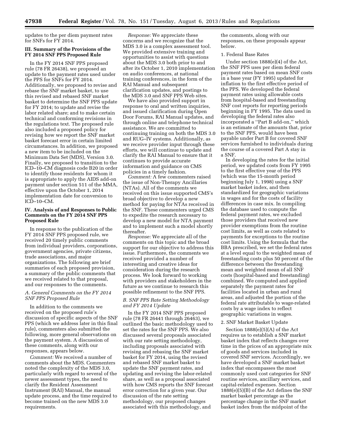updates to the per diem payment rates for SNFs for FY 2014.

### **III. Summary of the Provisions of the FY 2014 SNF PPS Proposed Rule**

In the FY 2014 SNF PPS proposed rule (78 FR 26438), we proposed an update to the payment rates used under the PPS for SNFs for FY 2014. Additionally, we proposed to revise and rebase the SNF market basket, to use this revised and rebased SNF market basket to determine the SNF PPS update for FY 2014; to update and revise the labor related share; and to make certain technical and conforming revisions in the regulations text. The proposed rule also included a proposed policy for revising how we report the SNF market basket forecast error in certain limited circumstances. In addition, we proposed a new item to be included on the Minimum Data Set (MDS), Version 3.0. Finally, we proposed to transition to the ICD–10–CM diagnosis code B20 in order to identify those residents for whom it is appropriate to apply the AIDS add-on payment under section 511 of the MMA, effective upon the October 1, 2014 implementation date for conversion to ICD–10–CM.

### **IV. Analysis of and Responses to Public Comments on the FY 2014 SNF PPS Proposed Rule**

In response to the publication of the FY 2014 SNF PPS proposed rule, we received 20 timely public comments from individual providers, corporations, government agencies, private citizens, trade associations, and major organizations. The following are brief summaries of each proposed provision, a summary of the public comments that we received related to that proposal, and our responses to the comments.

### *A. General Comments on the FY 2014 SNF PPS Proposed Rule*

In addition to the comments we received on the proposed rule's discussion of specific aspects of the SNF PPS (which we address later in this final rule), commenters also submitted the following, more general observations on the payment system. A discussion of these comments, along with our responses, appears below.

*Comment:* We received a number of comments about the MDS. Commenters noted the complexity of the MDS 3.0, particularly with regard to several of the newer assessment types, the need to clarify the Resident Assessment Instrument (RAI) Manual, the manual update process, and the time required to become trained on the new MDS 3.0 requirements.

*Response:* We appreciate these concerns and we recognize that the MDS 3.0 is a complex assessment tool. We provided extensive training and opportunities to assist with questions about the MDS 3.0 both prior to and after its October 1, 2010 implementation on audio conferences, at national training conferences, in the form of the RAI Manual and subsequent clarification updates, and postings to the MDS 3.0 and SNF PPS Web sites.

We have also provided support in response to oral and written inquiries, and issued clarification during Open Door Forums, RAI Manual updates, and through online and telephone technical assistance. We are committed to continuing training on both the MDS 3.0 and RUG–IV systems. Additionally, as we receive provider input through these efforts, we will continue to update and clarify the RAI Manual to ensure that it continues to provide accurate information and guidance on CMS policies in a timely fashion.

*Comment:* A few commenters raised the issue of Non-Therapy Ancillaries (NTAs). All of the comments we received on this issue supported CMS's broad objective to develop a new method for paying for NTAs received in the SNF. These commenters urged CMS to expedite the research necessary to develop a new model for NTA payment and to implement such a model shortly thereafter.

*Response:* We appreciate all of the comments on this topic and the broad support for our objective to address this issue. Furthermore, the comments we received provided a number of interesting and creative ideas for consideration during the research process. We look forward to working with providers and stakeholders in the future as we continue to research this possible refinement to the SNF PPS.

### *B. SNF PPS Rate Setting Methodology and FY 2014 Update*

In the FY 2014 SNF PPS proposed rule (78 FR 26441 through 26463), we outlined the basic methodology used to set the rates for the SNF PPS. We also discussed several proposals associated with our rate setting methodology, including proposals associated with revising and rebasing the SNF market basket for FY 2014, using the revised and rebased SNF market basket to update the SNF payment rates, and updating and revising the labor-related share, as well as a proposal associated with how CMS reports the SNF forecast error correction for a given year. Our discussion of the rate setting methodology, our proposed changes associated with this methodology, and

the comments, along with our responses, on these proposals appear below.

### 1. Federal Base Rates

Under section 1888(e)(4) of the Act, the SNF PPS uses per diem federal payment rates based on mean SNF costs in a base year (FY 1995) updated for inflation to the first effective period of the PPS. We developed the federal payment rates using allowable costs from hospital-based and freestanding SNF cost reports for reporting periods beginning in FY 1995. The data used in developing the federal rates also incorporated a ''Part B add-on,'' which is an estimate of the amounts that, prior to the SNF PPS, would have been payable under Part B for covered SNF services furnished to individuals during the course of a covered Part A stay in a SNF.

In developing the rates for the initial period, we updated costs from FY 1995 to the first effective year of the PPS (which was the 15-month period beginning July 1, 1998) using a SNF market basket index, and then standardized for geographic variations in wages and for the costs of facility differences in case mix. In compiling the database used to compute the federal payment rates, we excluded those providers that received new provider exemptions from the routine cost limits, as well as costs related to payments for exceptions to the routine cost limits. Using the formula that the BBA prescribed, we set the federal rates at a level equal to the weighted mean of freestanding costs plus 50 percent of the difference between the freestanding mean and weighted mean of all SNF costs (hospital-based and freestanding) combined. We computed and applied separately the payment rates for facilities located in urban and rural areas, and adjusted the portion of the federal rate attributable to wage-related costs by a wage index to reflect geographic variations in wages.

### 2. SNF Market Basket Update

Section  $1888(e)(5)(A)$  of the Act requires us to establish a SNF market basket index that reflects changes over time in the prices of an appropriate mix of goods and services included in covered SNF services. Accordingly, we have developed a SNF market basket index that encompasses the most commonly used cost categories for SNF routine services, ancillary services, and capital-related expenses. Section 1888(e)(5)(B) of the Act defines the SNF market basket percentage as the percentage change in the SNF market basket index from the midpoint of the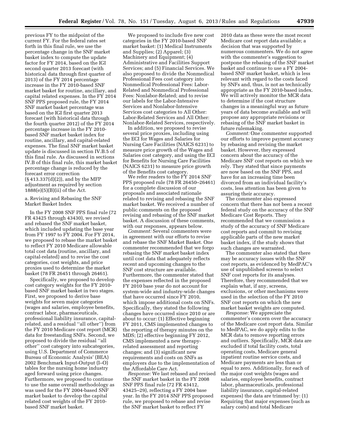previous FY to the midpoint of the current FY. For the federal rates set forth in this final rule, we use the percentage change in the SNF market basket index to compute the update factor for FY 2014, based on the IGI second quarter 2013 forecast (with historical data through first quarter of 2013) of the FY 2014 percentage increase in the FY 2010-based SNF market basket for routine, ancillary, and capital related expenses. In the FY 2014 SNF PPS proposed rule, the FY 2014 SNF market basket percentage was based on the IGI first quarter 2013 forecast (with historical data through the fourth quarter 2012) of the FY 2014 percentage increase in the FY 2010 based SNF market basket index for routine, ancillary, and capital-related expenses. The final SNF market basket update is discussed in section IV.B.5 of this final rule. As discussed in sections IV.B of this final rule, this market basket percentage change is reduced by the forecast error correction (§ 413.337(d)(2)), and by the MFP adjustment as required by section 1888(e)(5)(B)(ii) of the Act.

a. Revising and Rebasing the SNF Market Basket Index

In the FY 2008 SNF PPS final rule (72 FR 43425 through 43430), we revised and rebased the SNF market basket, which included updating the base year from FY 1997 to FY 2004. For FY 2014, we proposed to rebase the market basket to reflect FY 2010 Medicare allowable total cost data (routine, ancillary, and capital-related) and to revise the cost categories, cost weights, and price proxies used to determine the market basket (78 FR 26451 through 26461).

Specifically, we proposed to develop cost category weights for the FY 2010 based SNF market basket in two stages. First, we proposed to derive base weights for seven major categories (wages and salaries, employee benefits, contract labor, pharmaceuticals, professional liability insurance, capitalrelated, and a residual ''all other'') from the FY 2010 Medicare cost report (MCR) data for freestanding SNFs. Second, we proposed to divide the residual ''all other'' cost category into subcategories, using U.S. Department of Commerce Bureau of Economic Analysis' (BEA) 2002 Benchmark Input-Output (I–O) tables for the nursing home industry aged forward using price changes. Furthermore, we proposed to continue to use the same overall methodology as was used for the FY 2004-based SNF market basket to develop the capital related cost weights of the FY 2010 based SNF market basket.

We proposed to include five new cost categories in the FY 2010-based SNF market basket: (1) Medical Instruments and Supplies; (2) Apparel; (3) Machinery and Equipment; (4) Administrative and Facilities Support Services; and (5) Financial Services. We also proposed to divide the Nonmedical Professional Fees cost category into Nonmedical Professional Fees: Labor-Related and Nonmedical Professional Fees: Nonlabor-Related; and to revise our labels for the Labor-Intensive Services and Nonlabor-Intensive Services cost categories to All Other: Labor-Related Services and All Other: Nonlabor-Related Services, respectively.

In addition, we proposed to revise several price proxies, including using the ECI for Wages and Salaries for Nursing Care Facilities (NAICS 6231) to measure price growth of the Wages and Salaries cost category, and using the ECI for Benefits for Nursing Care Facilities (NAICS 6231) to measure price growth of the Benefits cost category.

We refer readers to the FY 2014 SNF PPS proposed rule (78 FR 26450–26461) for a complete discussion of our proposals and associated rationale related to revising and rebasing the SNF market basket. We received a number of public comments on the proposed revising and rebasing of the SNF market basket. A discussion of these comments, with our responses, appears below.

*Comment:* Several commenters were in agreement with our efforts to revise and rebase the SNF Market Basket. One commenter recommended that we forgo rebasing the SNF market basket index until cost data that adequately reflects recent and upcoming changes to the SNF cost structure are available. Furthermore, the commenter stated that the expenses reflected in the proposed FY 2010 base year do not account for system-wide and industry-wide changes that have occurred since FY 2010, which impose additional costs on SNFs. Specifically, they stated the following changes have occurred since 2010 or are about to occur: (1) Effective beginning FY 2011, CMS implemented changes to the reporting of therapy minutes on the MDS; (2) effective beginning FY 2012, CMS implemented a new therapyrelated assessment and reporting changes; and (3) significant new requirements and costs on SNFs as employers due to the implementation of the Affordable Care Act.

*Response:* We last rebased and revised the SNF market basket in the FY 2008 SNF PPS final rule (72 FR 43412, 43425–29), reflecting a FY 2004 base year. In the FY 2014 SNF PPS proposed rule, we proposed to rebase and revise the SNF market basket to reflect FY

2010 data as these were the most recent Medicare cost report data available; a decision that was supported by numerous commenters. We do not agree with the commenter's suggestion to postpone the rebasing of the SNF market basket and continue to use a FY 2004 based SNF market basket, which is less relevant with regard to the costs faced by SNFs and, thus, is not as technically appropriate as the FY 2010-based index. We will actively monitor the MCR data to determine if the cost structure changes in a meaningful way as future years of data become available and will propose any appropriate revisions or rebasing of the SNF market basket in future rulemaking.

*Comment:* One commenter supported our efforts to improve payment accuracy by rebasing and revising the market basket. However, they expressed concern about the accuracy of the Medicare SNF cost reports on which we rely. They stated that since payments are now based on the SNF PPS, and have for an increasing time been divorced from an individual facility's costs, less attention has been given to assuring their accuracy.

The commenter also expressed concern that there has not been a recent federal study on the accuracy of the SNF Medicare Cost Reports. They recommended that we commission a study of the accuracy of SNF Medicare cost reports and commit to revising applicable parts of the new market basket index, if the study shows that such changes are warranted.

The commenter also stated that there may be accuracy issues with the SNF cost reports, as evidenced by MedPAC's use of unpublished screens to select SNF cost reports for its analyses. Therefore, they recommended that we explain what, if any, screens, exclusions, or other mechanisms were used in the selection of the FY 2010 SNF cost reports on which the new market basket weights are computed.

*Response:* We appreciate the commenter's concern over the accuracy of the Medicare cost report data. Similar to MedPAC, we do apply edits to the MCR data to remove reporting errors and outliers. Specifically, MCR data are excluded if total facility costs, total operating costs, Medicare general inpatient routine service costs, and Medicare payments are less than or equal to zero. Additionally, for each of the major cost weights (wages and salaries, employee benefits, contract labor, pharmaceuticals, professional liability insurance, capital-related expenses) the data are trimmed by: (1) Requiring that major expenses (such as salary costs) and total Medicare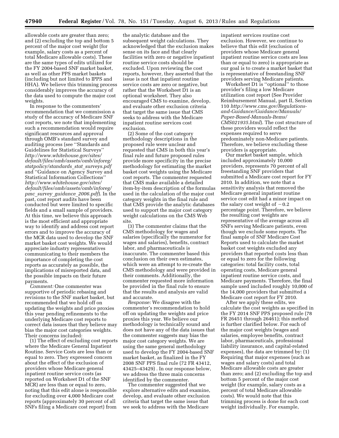allowable costs are greater than zero; and (2) excluding the top and bottom 5 percent of the major cost weight (for example, salary costs as a percent of total Medicare allowable costs). These are the same types of edits utilized for the FY 2004-based SNF market basket, as well as other PPS market baskets (including but not limited to IPPS and HHA). We believe this trimming process considerably improves the accuracy of the data used to compute the major cost weights.

In response to the commenters' recommendation that we commission a study of the accuracy of Medicare SNF cost reports, we note that implementing such a recommendation would require significant resources and approval through OMB's standard survey and auditing process (see ''Standards and Guidelines for Statistical Surveys'' *[http://www.whitehouse.gov/sites/](http://www.whitehouse.gov/sites/default/files/omb/assets/omb/inforeg/statpolicy/standards_stat_surveys.pdf)  [default/files/omb/assets/omb/inforeg/](http://www.whitehouse.gov/sites/default/files/omb/assets/omb/inforeg/statpolicy/standards_stat_surveys.pdf)  [statpolicy/standards](http://www.whitehouse.gov/sites/default/files/omb/assets/omb/inforeg/statpolicy/standards_stat_surveys.pdf)*\_*stat*\_*surveys.pdf*  and ''Guidance on Agency Survey and Statistical Information Collections'' *[http://www.whitehouse.gov/sites/](http://www.whitehouse.gov/sites/default/files/omb/assets/omb/inforeg/pmc_survey_guidance_2006.pdf)  [default/files/omb/assets/omb/inforeg/](http://www.whitehouse.gov/sites/default/files/omb/assets/omb/inforeg/pmc_survey_guidance_2006.pdf)  pmc*\_*survey*\_*[guidance](http://www.whitehouse.gov/sites/default/files/omb/assets/omb/inforeg/pmc_survey_guidance_2006.pdf)*\_*2006.pdf*). In the past, cost report audits have been conducted but were limited to specific fields and a small sample of providers. At this time, we believe this approach is the most efficient and appropriate way to identify and address cost report errors and to improve the accuracy of the MCR data used to develop the SNF market basket cost weights. We would appreciate industry representatives communicating to their members the importance of completing the cost reports as accurately as possible, the implications of misreported data, and the possible impacts on their future payments.

*Comment:* One commenter was supportive of periodic rebasing and revisions to the SNF market basket, but recommended that we hold off on updating the weights and price proxies this year pending refinements to the underlying Medicare cost reports to correct data issues that they believe may bias the major cost categories weights. Their concerns included:

(1) The effect of excluding cost reports where the Medicare General Inpatient Routine. Service Costs are less than or equal to zero. They expressed concern about the effect of the exclusion of providers whose Medicare general inpatient routine service costs (as reported on Worksheet D1 of the SNF MCR) are less than or equal to zero, noting that this edit alone is responsible for excluding over 4,000 Medicare cost reports (approximately 30 percent of all SNFs filing a Medicare cost report) from

the analytic database and the subsequent weight calculations. They acknowledged that the exclusion makes sense on its face and that clearly facilities with zero or negative inpatient routine service costs should be excluded. Upon reviewing the cost reports, however, they asserted that the issue is not that inpatient routine service costs are zero or negative, but rather that the Worksheet D1 is an optional worksheet. They also encouraged CMS to examine, develop, and evaluate other exclusion criteria that target the same issue that CMS seeks to address with the Medicare inpatient routine services cost exclusion.

(2) Some of the cost category methodology descriptions in the proposed rule were unclear and requested that CMS in both this year's final rule and future proposed rules provide more specificity in the precise methodology for estimating the market basket cost weights using the Medicare cost reports. The commenter requested that CMS make available a detailed item-by-item description of the formulas used in the calculation of the major cost category weights in the final rule and that CMS provide the analytic databases used to support the major cost category weight calculations on the CMS Web site.

(3) The commenter claims that the CMS methodology for wages and salaries (specifically the numerator for wages and salaries), benefits, contract labor, and pharmaceuticals is inaccurate. The commenter based this conclusion on their own estimates, which were an attempt to re-create the CMS methodology and were provided in their comments. Additionally, the commenter requested more information be provided in the final rule to ensure that the results and analysis are valid and accurate.

*Response:* We disagree with the commenter's recommendation to hold off on updating the weights and price proxies this year. We believe our methodology is technically sound and does not have any of the data issues that the commenter suggests may bias the major cost category weights. We are using the same general methodology used to develop the FY 2004-based SNF market basket, as finalized in the FY 2008 SNF PPS final rule (72 FR 43412, 43425–43429) . In our response below, we address the three main concerns identified by the commenter.

The commenter suggested that we explore alternative edits and examine, develop, and evaluate other exclusion criteria that target the same issue that we seek to address with the Medicare

inpatient services routine cost exclusion. However, we continue to believe that this edit (exclusion of providers whose Medicare general inpatient routine service costs are less than or equal to zero) is appropriate as our goal is to create a market basket that is representative of freestanding SNF providers serving Medicare patients.

Worksheet D1 is "optional" to those provider's filing a low Medicare utilization cost report (See Provider Reimbursement Manual, part II, Section 110 *[http://www.cms.gov/Regulations](http://www.cms.gov/Regulations-and-Guidance/Guidance/Manuals/Paper-Based-Manuals-Items/CMS021935.html)[and-Guidance/Guidance/Manuals/](http://www.cms.gov/Regulations-and-Guidance/Guidance/Manuals/Paper-Based-Manuals-Items/CMS021935.html) [Paper-Based-Manuals-Items/](http://www.cms.gov/Regulations-and-Guidance/Guidance/Manuals/Paper-Based-Manuals-Items/CMS021935.html)  [CMS021935.html](http://www.cms.gov/Regulations-and-Guidance/Guidance/Manuals/Paper-Based-Manuals-Items/CMS021935.html)*). The cost structure of these providers would reflect the expenses required to serve predominately non-Medicare patients. Therefore, we believe excluding these providers is appropriate.

Our market basket sample, which included approximately 10,000 providers, represents 70 percent of all freestanding SNF providers that submitted a Medicare cost report for FY 2010. In addition, we note that a sensitivity analysis that removed the Medicare general inpatient routine service cost edit had a minor impact on the salary cost weight of  $-0.2$ percentage point. Therefore, we believe the resulting cost weights are representative of the average across all SNFs serving Medicare patients, even though we exclude some reports. The final sample of SNF Medicare Cost Reports used to calculate the market basket cost weights excluded any providers that reported costs less than or equal to zero for the following categories: total facility costs, total operating costs, Medicare general inpatient routine service costs, and Medicare payments. Therefore, the final sample used included roughly 10,000 of the 14,000 providers that submitted a Medicare cost report for FY 2010.

After we apply these edits, we calculate the cost weights as specified in the FY 2014 SNF PPS proposed rule (78 FR 26451 through 26461); this method is further clarified below. For each of the major cost weights (wages and salaries, employee benefits, contract labor, pharmaceuticals, professional liability insurance, and capital-related expenses), the data are trimmed by: (1) Requiring that major expenses (such as wages and salary costs) and total Medicare allowable costs are greater than zero; and (2) excluding the top and bottom 5 percent of the major cost weight (for example, salary costs as a percent of total Medicare allowable costs). We would note that this trimming process is done for each cost weight individually. For example,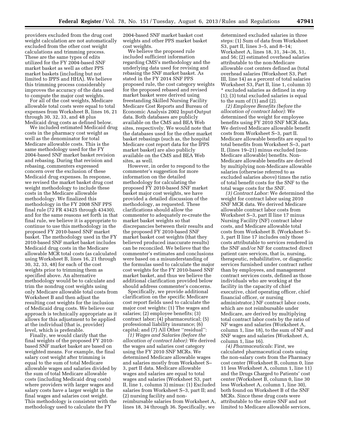providers excluded from the drug cost weight calculation are not automatically excluded from the other cost weight calculations and trimming process. These are the same types of edits utilized for the FY 2004-based SNF market basket as well as other PPS market baskets (including but not limited to IPPS and HHA). We believe this trimming process considerably improves the accuracy of the data used to compute the major cost weights.

For all of the cost weights, Medicare allowable total costs were equal to total expenses from Worksheet B, lines 16, 21 through 30, 32, 33, and 48 plus Medicaid drug costs as defined below.

We included estimated Medicaid drug costs in the pharmacy cost weight as well as the denominator for total Medicare allowable costs. This is the same methodology used for the FY 2004-based SNF market basket revision and rebasing. During that revision and rebasing, commenters expressed concern over the exclusion of these Medicaid drug expenses. In response, we revised the market basket drug cost weight methodology to include these costs in the Medicare allowable methodology. We finalized this methodology in the FY 2008 SNF PPS final rule (72 FR 43425 through 43430), and for the same reasons set forth in that final rule, we believe it is appropriate to continue to use this methodology in the proposed FY 2010-based SNF market basket. The methodology used in the FY 2010-based SNF market basket includes Medicaid drug costs in the Medicare allowable MCR total costs (as calculated using Worksheet B, lines 16, 21 through 30, 32, 33, 48) for each of the cost weights prior to trimming them as specified above. An alternative methodology would be to calculate and trim the nondrug cost weights using only Medicare allowable total costs from Worksheet B and then adjust the resulting cost weights for the inclusion of Medicaid drug costs. We believe our approach is technically appropriate as it allows for this adjustment to be applied at the individual (that is, provider) level, which is preferable.

Finally, we would clarify that the final weights of the proposed FY 2010 based SNF market basket are based on weighted means. For example, the final salary cost weight after trimming is equal to the sum of total Medicare allowable wages and salaries divided by the sum of total Medicare allowable costs (including Medicaid drug costs) where providers with larger wages and salary costs have a larger weight in the final wages and salaries cost weight. This methodology is consistent with the methodology used to calculate the FY

2004-based SNF market basket cost weights and other PPS market basket cost weights.

We believe the proposed rule included sufficient information regarding CMS's methodology and the underlying data used for revising and rebasing the SNF market basket. As stated in the FY 2014 SNF PPS proposed rule, the cost category weights for the proposed rebased and revised market basket were derived using freestanding Skilled Nursing Facility Medicare Cost Reports and Bureau of Economic Analysis 2002 Input-Output data. Both databases are publicly available on the CMS and BEA Web sites, respectively. We would note that the databases used for the other market basket rebasings (such as, the hospital Medicare cost report data for the IPPS market basket) are also publicly available on the CMS and BEA Web sites, as well.

However, in order to respond to the commenter's suggestion for more information on the detailed methodology for calculating the proposed FY 2010-based SNF market basket major cost weights, we have provided a detailed discussion of the methodology, as requested. These clarifications should allow the commenter to adequately re-create the market basket weights so that discrepancies between their results and the proposed FY 2010-based SNF market basket cost weights (that they believed produced inaccurate results) can be reconciled. We believe that the commenter's estimates and conclusions were based on a misunderstanding of the formulas used to calculate the major cost weights for the FY 2010-based SNF market basket, and thus we believe the additional clarification provided below should address commenter's concerns.

Specifically, we provide additional clarification on the specific Medicare cost report fields used to calculate the major cost weights: (1) The wages and salaries; (2) employee benefits; (3) contract labor; (4) pharmaceutical; (5) professional liability insurance; (6) capital; and (7) All Other ''residual'':

*(1) Wages and Salaries (before the allocation of contract labor):* We derived the wages and salaries cost category using the FY 2010 SNF MCRs. We determined Medicare allowable wages and salaries mostly from Worksheet S– 3, part II data. Medicare allowable wages and salaries are equal to total wages and salaries (Worksheet S3, part II, line 1, column 3) minus: (1) Excluded salaries from Worksheet S–3, part II; and (2) nursing facility and nonreimbursable salaries from Worksheet A, lines 18, 34 through 36. Specifically, we

determined excluded salaries in three steps: (1) Sum of data from Worksheet S3, part II, lines 3–5, and 8–14; Worksheet A, lines 18, 31, 34–36, 51, and 56; (2) estimated overhead salaries attributable to the non-Medicare allowable cost centers defined as (total overhead salaries (Worksheet S3, Part III, line 14) as a percent of total salaries Worksheet S3, Part II, line 1, column 3) \* excluded salaries as defined in step (1); (3) total excluded salaries is equal to the sum of (1) and (2).

*(2) Employee Benefits (before the allocation of contract labor):* We determined the weight for employee benefits using FY 2010 SNF MCR data. We derived Medicare allowable benefit costs from Worksheet S–3, part II. Medicare allowable benefits are equal to total benefits from Worksheet S–3, part II, (lines 19–21) minus excluded (non-Medicare allowable) benefits. Non-Medicare allowable benefits are derived by multiplying non-Medicare allowable salaries (otherwise referred to as excluded salaries above) times the ratio of total benefit costs for the SNF to the total wage costs for the SNF.

*(3) Contract Labor:* We determined the weight for contract labor using 2010 SNF MCR data. We derived Medicare allowable contract labor costs from Worksheet S–3, part II line 17 minus Nursing Facility (NF) contract labor costs, and Medicare allowable total costs from Worksheet B. (Worksheet S– 3, part II line 17 includes only those costs attributable to services rendered in the SNF and/or NF for contracted direct patient care services, that is, nursing, therapeutic, rehabilitative, or diagnostic services furnished under contract rather than by employees, and management contract services costs, defined as those individuals who are working at the facility in the capacity of chief executive, chief operating officer, chief financial officer, or nursing administrator.) NF contract labor costs, which are not reimbursable under Medicare, are derived by multiplying total contract labor costs by the ratio of NF wages and salaries (Worksheet A, column 1, line 18), to the sum of NF and SNF wages and salaries (Worksheet A, column 1, line 16).

*(4) Pharmaceuticals:* First, we calculated pharmaceutical costs using the non-salary costs from the Pharmacy cost center (Worksheet B, column 0, line 11 less Worksheet A, column 1, line 11) and the Drugs Charged to Patients' cost center (Worksheet B, column 0, line 30 less Worksheet A, column 1, line 30), both found on Worksheet B of the SNF MCRs. Since these drug costs were attributable to the entire SNF and not limited to Medicare allowable services,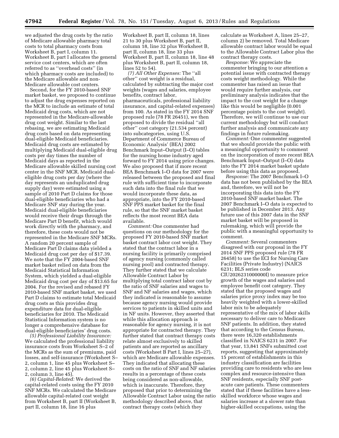we adjusted the drug costs by the ratio of Medicare allowable pharmacy total costs to total pharmacy costs from Worksheet B, part I, column 11. Worksheet B, part I allocates the general service cost centers, which are often referred to as ''overhead costs'' (in which pharmacy costs are included) to the Medicare allowable and non-Medicare allowable cost centers.

Second, for the FY 2010-based SNF market basket, we proposed to continue to adjust the drug expenses reported on the MCR to include an estimate of total Medicaid drug costs, which are not represented in the Medicare-allowable drug cost weight. Similar to the last rebasing, we are estimating Medicaid drug costs based on data representing dual-eligible Medicaid beneficiaries. Medicaid drug costs are estimated by multiplying Medicaid dual-eligible drug costs per day times the number of Medicaid days as reported in the Medicare allowable skilled nursing cost center in the SNF MCR. Medicaid dualeligible drug costs per day (where the day represents an unduplicated drug supply day) were estimated using a sample of 2010 Part D claims for those dual-eligible beneficiaries who had a Medicare SNF stay during the year. Medicaid dual-eligible beneficiaries would receive their drugs through the Medicare Part D benefit, which would work directly with the pharmacy, and therefore, these costs would not be represented in the Medicare SNF MCRs. A random 20 percent sample of Medicare Part D claims data yielded a Medicaid drug cost per day of \$17.39. We note that the FY 2004-based SNF market basket relied on data from the Medicaid Statistical Information System, which yielded a dual-eligible Medicaid drug cost per day of \$13.65 for 2004. For the revised and rebased FY 2010-based SNF market basket, we used Part D claims to estimate total Medicaid drug costs as this provides drug expenditure data for dual-eligible beneficiaries for 2010. The Medicaid Statistical Information system is no longer a comprehensive database for dual-eligible beneficiaries' drug costs.

*(5) Professional Liability Insurance:*  We calculated the professional liability insurance costs from Worksheet S–2 of the MCRs as the sum of premiums, paid losses, and self-insurance (Worksheet S– 2, column 1, line 45 plus Worksheet S– 2, column 2, line 45 plus Worksheet S– 2, column 3, line 45).

*(6) Capital-Related:* We derived the capital-related costs using the FY 2010 SNF MCRs. We calculated the Medicare allowable capital-related cost weight from Worksheet B, part II (Worksheet B, part II, column 18, line 16 plus

Worksheet B, part II, column 18, lines 21 to 30 plus Worksheet B, part II, column 18, line 32 plus Worksheet B, part II, column 18, line 33 plus Worksheet B, part II, column 18, line 48 plus Worksheet B, part II, column 18, lines 52 to 54).

*(7) All Other Expenses:* The ''all other'' cost weight is a residual, calculated by subtracting the major cost weights (wages and salaries, employee benefits, contract labor, pharmaceuticals, professional liability insurance, and capital-related expenses) from 100. As stated in the FY 2014 SNF proposed rule (78 FR 26451), we then proposed to divide the residual ''all other'' cost category (21.534 percent) into subcategories, using U.S. Department of Commerce Bureau of Economic Analysis' (BEA) 2002 Benchmark Input–Output (I–O) tables for the nursing home industry aged forward to FY 2014 using price changes. We also proposed that if more recent BEA Benchmark I–O data for 2007 were released between the proposed and final rule with sufficient time to incorporate such data into the final rule that we would incorporate these data, as appropriate, into the FY 2010-based SNF PPS market basket for the final rule, so that the SNF market basket reflects the most recent BEA data available.

*Comment:* One commenter had questions on our methodology for the proposed FY 2010-based SNF market basket contract labor cost weight. They stated that the contract labor in a nursing facility is primarily comprised of agency nursing (commonly called nursing pool) and contracted therapy. They further stated that we calculate Allowable Contract Labor by multiplying total contract labor cost by the ratio of SNF salaries and wages to SNF and NF salaries and wages, which they indicated is reasonable to assume because agency nursing would provide services to patients in skilled units and in NF units. However, they asserted that while this allocation approach is reasonable for agency nursing, it is not appropriate for contracted therapy. They further stated that contract therapy costs relate almost exclusively to skilled patients and are reported as ancillary costs (Worksheet B Part I, lines 25–27), which are Medicare allowable expenses. They indicated that allocating these costs on the ratio of SNF and NF salaries results in a percentage of these costs being considered as non-allowable, which is inaccurate. Therefore, they proposed that prior to determining the Allowable Contract Labor using the ratio methodology described above, that contract therapy costs (which they

calculate as Worksheet A, lines 25–27, column 2) be removed. Total Medicare allowable contract labor would be equal to the Allowable Contract Labor plus the contract therapy costs.

*Response:* We appreciate the commenter bringing to our attention a potential issue with contracted therapy costs weight methodology. While the commenter has raised an issue that would require further analysis, our preliminary analysis indicates that the impact to the cost weight for a change like this would be negligible (0.001 percentage points to the cost weight). Therefore, we will continue to use our current methodology but will conduct further analysis and communicate any findings in future rulemaking.

*Comment:* One commenter suggested that we should provide the public with a meaningful opportunity to comment on the incorporation of more recent BEA Benchmark Input–Output (I–O) data into the FY 2014 market basket update before using this data as proposed.

*Response:* The 2007 Benchmark I–O data has not been published by the BEA and, therefore, we will not be incorporating this data into the FY 2010-based SNF market basket. The 2007 Benchmark I–O data is expected to be published in December 2013. Any future use of this 2007 data in the SNF market basket will be proposed in rulemaking, which will provide the public with a meaningful opportunity to comment.

*Comment:* Several commenters disagreed with our proposal in the FY 2014 SNF PPS proposed rule (78 FR 26458) to use the ECI for Nursing Care Facilities (Private Industry) (NAICS 6231; BLS series code

CIU2026231000000I) to measure price growth of the wages and salaries and employee benefit cost category. They stated that the proposed wages and salaries price proxy index may be too heavily weighted with a lower-skilled labor mix to be adequately representative of the mix of labor skills necessary to deliver care to Medicare SNF patients. In addition, they stated that according to the Census Bureau, there were 16,320 establishments classified in NAICS 6231 in 2007. For that year, 13,841 SNFs submitted cost reports, suggesting that approximately 15 percent of establishments in this industry classification are facilities providing care to residents who are less complex and resource-intensive than SNF residents, especially SNF postacute care patients. These commenters stated that if these facilities have a lessskilled workforce whose wages and salaries increase at a slower rate than higher-skilled occupations, using the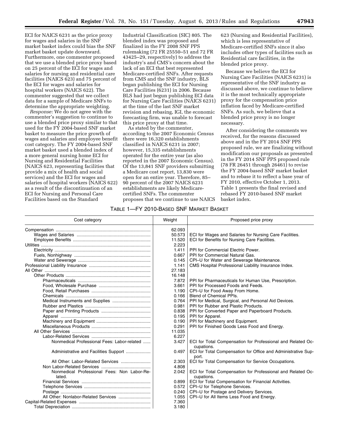ECI for NAICS 6231 as the price proxy for wages and salaries in the SNF market basket index could bias the SNF market basket update downward. Furthermore, one commenter proposed that we use a blended price proxy based on 25 percent of the ECI for wages and salaries for nursing and residential care facilities (NAICS 623) and 75 percent of the ECI for wages and salaries for hospital workers (NAICS 622). The commenter suggested that we collect data for a sample of Medicare SNFs to determine the appropriate weighting.

*Response:* We do not agree with the commenter's suggestion to continue to use a blended price proxy similar to that used for the FY 2004-based SNF market basket to measure the price growth of wages and salaries and employee benefit cost category. The FY 2004-based SNF market basket used a blended index of a more general nursing home ECI for Nursing and Residential Facilities (NAICS 623, representing facilities that provide a mix of health and social services) and the ECI for wages and salaries of hospital workers (NAICS 622) as a result of the discontinuation of an ECI for Nursing and Personal Care Facilities based on the Standard

Industrial Classification (SIC) 805. The blended index was proposed and finalized in the FY 2008 SNF PPS rulemaking (72 FR 25550–51 and 72 FR 43425–29, respectively) to address the industry's and CMS's concern about the lack of an ECI that best represented Medicare-certified SNFs. After requests from CMS and the SNF industry, BLS began publishing the ECI for Nursing Care Facilities (6231) in 2006. Because BLS had just begun publishing ECI data for Nursing Care Facilities (NAICS 6231) at the time of the last SNF market revision and rebasing, IGI, the economic forecasting firm, was unable to forecast this price proxy at that time.

As stated by the commenter, according to the 2007 Economic Census there were 16,320 establishments classified in NAICS 6231 in 2007; however, 15,335 establishments operated for the entire year (as also reported in the 2007 Economic Census). Of the 13,841 SNF providers submitting a Medicare cost report, 13,830 were open for an entire year. Therefore, 85– 90 percent of the 2007 NAICS 6231 establishments are likely Medicarecertified SNFs. The commenter proposes that we continue to use NAICS

623 (Nursing and Residential Facilities), which is less representative of Medicare-certified SNFs since it also includes other types of facilities such as Residential care facilities, in the blended price proxy.

Because we believe the ECI for Nursing Care Facilities (NAICS 6231) is representative of the SNF industry as discussed above, we continue to believe it is the most technically appropriate proxy for the compensation price inflation faced by Medicare-certified SNFs. As such, we believe that a blended price proxy is no longer necessary.

After considering the comments we received, for the reasons discussed above and in the FY 2014 SNF PPS proposed rule, we are finalizing without modification our proposals as presented in the FY 2014 SNF PPS proposed rule (78 FR 26451 through 26461) to revise the FY 2004-based SNF market basket and to rebase it to reflect a base year of FY 2010, effective October 1, 2013. Table 1 presents the final revised and rebased FY 2010-based SNF market basket index.

### TABLE 1—FY 2010-BASED SNF MARKET BASKET

| Cost category                                         | Weight | Proposed price proxy                                                      |
|-------------------------------------------------------|--------|---------------------------------------------------------------------------|
|                                                       | 62.093 |                                                                           |
|                                                       | 50.573 | ECI for Wages and Salaries for Nursing Care Facilities.                   |
|                                                       | 11.520 | ECI for Benefits for Nursing Care Facilities.                             |
|                                                       | 2.223  |                                                                           |
|                                                       | 1.411  | PPI for Commercial Electric Power.                                        |
|                                                       | 0.667  | PPI for Commercial Natural Gas.                                           |
|                                                       | 0.145  | CPI-U for Water and Sewerage Maintenance.                                 |
|                                                       | 1.141  | CMS Hospital Professional Liability Insurance Index.                      |
|                                                       | 27.183 |                                                                           |
|                                                       | 16.148 |                                                                           |
|                                                       | 7.872  | PPI for Pharmaceuticals for Human Use, Prescription.                      |
|                                                       | 3.661  | PPI for Processed Foods and Feeds.                                        |
|                                                       | 1.190  | CPI-U for Food Away From Home.                                            |
|                                                       | 0.166  | <b>Blend of Chemical PPIs.</b>                                            |
|                                                       | 0.764  | PPI for Medical, Surgical, and Personal Aid Devices.                      |
|                                                       | 0.981  | PPI for Rubber and Plastic Products.                                      |
|                                                       | 0.838  | PPI for Converted Paper and Paperboard Products.                          |
|                                                       | 0.195  | PPI for Apparel.                                                          |
|                                                       | 0.190  | PPI for Machinery and Equipment.                                          |
|                                                       | 0.291  | PPI for Finished Goods Less Food and Energy.                              |
|                                                       | 11.035 |                                                                           |
|                                                       | 6.227  |                                                                           |
| Nonmedical Professional Fees: Labor-related           | 3.427  | ECI for Total Compensation for Professional and Related Oc-<br>cupations. |
| Administrative and Facilities Support                 | 0.497  | ECI for Total Compensation for Office and Administrative Sup-<br>port.    |
|                                                       | 2.303  | ECI for Total Compensation for Service Occupations.                       |
|                                                       | 4.808  |                                                                           |
| Nonmedical Professional Fees: Non Labor-Re-<br>lated. | 2.042  | ECI for Total Compensation for Professional and Related Oc-<br>cupations. |
|                                                       | 0.899  | ECI for Total Compensation for Financial Activities.                      |
|                                                       | 0.572  | CPI-U for Telephone Services.                                             |
|                                                       | 0.240  | CPI-U for Postage and Delivery Services.                                  |
|                                                       | 1.055  | CPI-U for All Items Less Food and Energy.                                 |
|                                                       | 7.360  |                                                                           |
|                                                       | 3.180  |                                                                           |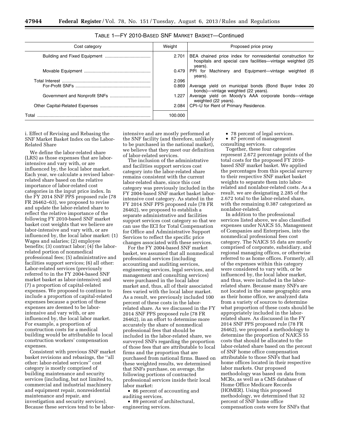| Cost category | Weight  | Proposed price proxy                                                                                                                 |
|---------------|---------|--------------------------------------------------------------------------------------------------------------------------------------|
|               | 2.701   | BEA chained price index for nonresidential construction for<br>hospitals and special care facilities—vintage weighted (25<br>years). |
|               | $0.479$ | PPI for Machinery and Equipment-vintage weighted (6<br>years).                                                                       |
|               | 2.096   |                                                                                                                                      |
|               | 0.869   | Average yield on municipal bonds (Bond Buyer Index 20<br>bonds)—vintage weighted (22 years).                                         |
|               | 1.227   | Average yield on Moody's AAA corporate bonds-vintage<br>weighted (22 years).                                                         |
|               | 2.084   | CPI-U for Rent of Primary Residence.                                                                                                 |
| Total         | 100.000 |                                                                                                                                      |

### TABLE 1—FY 2010-BASED SNF MARKET BASKET—Continued

i. Effect of Revising and Rebasing the SNF Market Basket Index on the Labor-Related Share

We define the labor-related share (LRS) as those expenses that are laborintensive and vary with, or are influenced by, the local labor market. Each year, we calculate a revised laborrelated share based on the relative importance of labor-related cost categories in the input price index. In the FY 2014 SNF PPS proposed rule (78 FR 26462–63), we proposed to revise and update the labor-related share to reflect the relative importance of the following FY 2010-based SNF market basket cost weights that we believe are labor-intensive and vary with, or are influenced by, the local labor market: (1) Wages and salaries; (2) employee benefits; (3) contract labor; (4) the laborrelated portion of nonmedical professional fees; (5) administrative and facilities support services; (6) all other: Labor-related services (previously referred to in the FY 2004-based SNF market basket as labor-intensive); and (7) a proportion of capital-related expenses. We proposed to continue to include a proportion of capital-related expenses because a portion of these expenses are deemed to be laborintensive and vary with, or are influenced by, the local labor market. For example, a proportion of construction costs for a medical building would be attributable to local construction workers' compensation expenses.

Consistent with previous SNF market basket revisions and rebasings, the ''all other: labor-related services'' cost category is mostly comprised of building maintenance and security services (including, but not limited to, commercial and industrial machinery and equipment repair, nonresidential maintenance and repair, and investigation and security services). Because these services tend to be labor-

intensive and are mostly performed at the SNF facility (and therefore, unlikely to be purchased in the national market), we believe that they meet our definition of labor-related services.

The inclusion of the administrative and facilities support services cost category into the labor-related share remains consistent with the current labor-related share, since this cost category was previously included in the FY 2004-based SNF market basket laborintensive cost category. As stated in the FY 2014 SNF PPS proposed rule (78 FR 26462), we proposed to establish a separate administrative and facilities support services cost category so that we can use the ECI for Total Compensation for Office and Administrative Support Services to reflect the specific price changes associated with these services.

For the FY 2004-based SNF market basket, we assumed that all nonmedical professional services (including accounting and auditing services, engineering services, legal services, and management and consulting services) were purchased in the local labor market and, thus, all of their associated fees varied with the local labor market. As a result, we previously included 100 percent of these costs in the laborrelated share. As we discussed in the FY 2014 SNF PPS proposed rule (78 FR 26462), in an effort to determine more accurately the share of nonmedical professional fees that should be included in the labor-related share, we surveyed SNFs regarding the proportion of those fees that are attributable to local firms and the proportion that are purchased from national firms. Based on these weighted results, we determined that SNFs purchase, on average, the following portions of contracted professional services inside their local labor market:

• 86 percent of accounting and auditing services.

• 89 percent of architectural, engineering services.

- 78 percent of legal services.
- 87 percent of management
- consulting services.

Together, these four categories represent 2.672 percentage points of the total costs for the proposed FY 2010 based SNF market basket. We applied the percentages from this special survey to their respective SNF market basket weights to separate them into laborrelated and nonlabor-related costs. As a result, we are designating 2.285 of the 2.672 total to the labor-related share, with the remaining 0.387 categorized as nonlabor-related.

In addition to the professional services listed above, we also classified expenses under NAICS 55, Management of Companies and Enterprises, into the nonmedical professional fees cost category. The NAICS 55 data are mostly comprised of corporate, subsidiary, and regional managing offices, or otherwise referred to as home offices. Formerly, all of the expenses within this category were considered to vary with, or be influenced by, the local labor market, and thus, were included in the laborrelated share. Because many SNFs are not located in the same geographic area as their home office, we analyzed data from a variety of sources to determine what proportion of these costs should be appropriately included in the laborrelated share. As discussed in the FY 2014 SNF PPS proposed rule (78 FR 26462), we proposed a methodology to determine the proportion of NAICS 55 costs that should be allocated to the labor-related share based on the percent of SNF home office compensation attributable to those SNFs that had home offices located in their respective labor markets. Our proposed methodology was based on data from MCRs, as well as a CMS database of Home Office Medicare Records (HOMER). Using this proposed methodology, we determined that 32 percent of SNF home office compensation costs were for SNFs that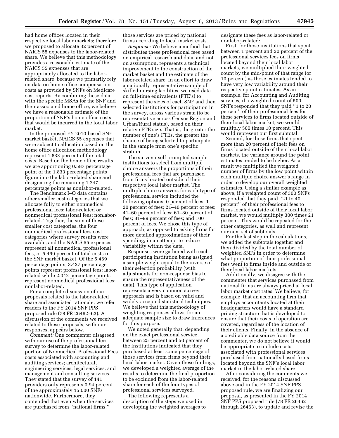had home offices located in their respective local labor markets; therefore, we proposed to allocate 32 percent of NAICS 55 expenses to the labor-related share. We believe that this methodology provides a reasonable estimate of the NAICS 55 expenses that are appropriately allocated to the laborrelated share, because we primarily rely on data on home office compensation costs as provided by SNFs on Medicare cost reports. By combining these data with the specific MSAs for the SNF and their associated home office, we believe we have a reasonable estimate of the proportion of SNF's home office costs that would be incurred in the local labor market.

In the proposed FY 2010-based SNF market basket, NAICS 55 expenses that were subject to allocation based on the home office allocation methodology represent 1.833 percent of the total costs. Based on the home office results, we are apportioning 0.587 percentage point of the 1.833 percentage points figure into the labor-related share and designating the remaining 1.247 percentage points as nonlabor-related.

The Benchmark I–O data contains other smaller cost categories that we allocate fully to either nonmedical professional fees: labor-related or nonmedical professional fees: nonlaborrelated. Together, the sum of these smaller cost categories, the four nonmedical professional fees cost categories where survey results were available, and the NAICS 55 expenses represent all nonmedical professional fees, or 5.469 percent of total costs in the SNF market basket. Of the 5.469 percentage points, 3.427 percentage points represent professional fees: laborrelated while 2.042 percentage points represent nonmedical professional fees: nonlabor-related.

For a complete discussion of our proposals related to the labor-related share and associated rationale, we refer readers to the FY 2014 SNF PPS proposed rule (78 FR 26462–63). A discussion of the comments we received related to these proposals, with our responses, appears below.

*Comment:* One commenter disagreed with our use of the professional fees survey to determine the labor-related portion of Nonmedical Professional Fees costs associated with accounting and auditing services; architectural, engineering services; legal services; and management and consulting services. They stated that the survey of 141 providers only represents 0.94 percent of the approximately 15,000 SNFs nationwide. Furthermore, they contended that even when the services are purchased from ''national firms,''

those services are priced by national firms according to local market costs.

*Response:* We believe a method that distributes these professional fees based on empirical research and data, and not on assumption, represents a technical improvement to the construction of the market basket and the estimate of the labor-related share. In an effort to draw a nationally representative sample of skilled nursing facilities, we used data on full-time equivalents (FTE's) to represent the sizes of each SNF and then selected institutions for participation in the survey, across various strata (to be representative across Census Region and Urban/Rural status), based on their relative FTE size. That is, the greater the number of one's FTEs, the greater the chance of being selected to participate in the sample from one's specific stratum.

The survey itself prompted sample institutions to select from multiple choice answers the proportions of their professional fees that are purchased from firms located outside of their respective local labor market. The multiple choice answers for each type of professional service included the following options: 0 percent of fees; 1– 20 percent of fees; 21–40 percent of fees; 41–60 percent of fees; 61–80 percent of fees; 81–99 percent of fees; and 100 percent of fees. We chose this type of approach, as opposed to asking firms for more detailed approximations of their spending, in an attempt to reduce variability within the data.

Responses were gathered with each participating institution being assigned a sample weight equal to the inverse of their selection probability (with adjustments for non-response bias to ensure the representativeness of the data). This type of application represents a very common survey approach and is based on valid and widely-accepted statistical techniques. We believe that this methodology of weighting responses allows for an adequate sample size to draw inferences for this purpose.

We noted generally that, depending on the exact professional service, between 25 percent and 50 percent of the institutions indicated that they purchased at least some percentage of those services from firms beyond their local labor market. Given these findings, we developed a weighted average of the results to determine the final proportion to be excluded from the labor-related share for each of the four types of professional services surveyed.

The following represents a description of the steps we used in developing the weighted averages to designate these fees as labor-related or nonlabor-related:

First, for those institutions that spent between 1 percent and 20 percent of the professional services fees on firms located beyond their local labor markets, we multiplied their weighted count by the mid-point of that range (or 10 percent) as those estimates tended to have very low variability around their respective point estimates. As an example, for Accounting and Auditing services, if a weighted count of 500 SNFs responded that they paid ''1 to 20 percent'' of their professional fees for these services to firms located outside of their local labor market, we would multiply 500 times 10 percent. This would represent our first subtotal.

Second, for those firms that spent more than 20 percent of their fees on firms located outside of their local labor markets, the variance around the point estimates tended to be higher. As a result we multiplied the weighted number of firms by the low point within each multiple choice answer's range in order to develop our overall weighted estimates. Using a similar example as above, if a weighted count of 300 SNFs responded that they paid ''21 to 40 percent'' of their professional fees to firms located outside of their local labor market, we would multiply 300 times 21 percent. This would be repeated for the other categories, as well and represent our next set of subtotals.

For the last step in the calculations, we added the subtotals together and then divided by the total number of weighted SNFs in order to determine what proportion of their professional fees went to firms inside and outside of their local labor markets.

Additionally, we disagree with the commenter that services purchased from national firms are always priced at local labor market cost rates. We believe, for example, that an accounting firm that employs accountants located at their headquarters would have a standard pricing structure that is developed to ensure that their costs of operation are covered, regardless of the location of their clients. Finally, in the absence of a creditable data source from the commenter, we do not believe it would be appropriate to include costs associated with professional services purchased from nationally based firms located beyond the SNF's local labor market in the labor-related share.

After considering the comments we received, for the reasons discussed above and in the FY 2014 SNF PPS proposed rule, we are finalizing our proposal, as presented in the FY 2014 SNF PPS proposed rule (78 FR 26462 through 26463), to update and revise the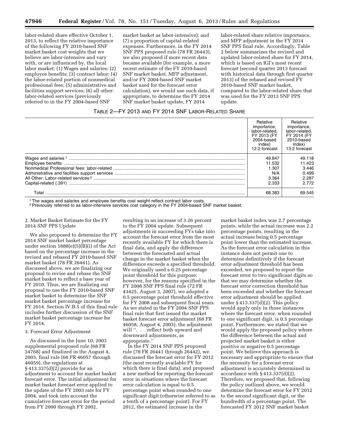labor-related share effective October 1, 2013, to reflect the relative importance of the following FY 2010-based SNF market basket cost weights that we believe are labor-intensive and vary with, or are influenced by, the local labor market: (1) Wages and salaries; (2) employee benefits; (3) contract labor; (4) the labor-related portion of nonmedical professional fees; (5) administrative and facilities support services; (6) all other: labor-related services (previously referred to in the FY 2004-based SNF

market basket as labor-intensive); and (7) a proportion of capital-related expenses. Furthermore, in the FY 2014 SNF PPS proposed rule (78 FR 26443), we also proposed if more recent data became available (for example, a more recent estimate of the FY 2010-based SNF market basket, MFP adjustment, and/or FY 2004-based SNF market basket used for the forecast error calculation), we would use such data, if appropriate, to determine the FY 2014 SNF market basket update, FY 2014

labor-related share relative importance, and MFP adjustment in the FY 2014 SNF PPS final rule. Accordingly, Table 2 below summarizes the revised and updated labor-related share for FY 2014, which is based on IGI's most recent forecast (second quarter 2013 forecast with historical data through first quarter 2013) of the rebased and revised FY 2010-based SNF market basket, compared to the labor-related share that was used for the FY 2013 SNF PPS update.

### TABLE 2—FY 2013 AND FY 2014 SNF LABOR-RELATED SHARE

|       | Relative<br>importance,<br>labor-related.<br>FY 2013 (FY<br>2004-based<br>index)<br>12:2 forecast | <b>Relative</b><br>importance.<br>labor-related.<br>FY 2014 (FY<br>2010-based<br>index)<br>13:2 forecast |
|-------|---------------------------------------------------------------------------------------------------|----------------------------------------------------------------------------------------------------------|
|       | 49.847<br>11.532<br>1.307<br>N/A<br>3.364<br>2.333                                                | 49.118<br>11.423<br>3.446<br>0.499<br>2.287<br>2.772                                                     |
| Total | 68.383                                                                                            | 69.545                                                                                                   |

<sup>1</sup> The wages and salaries and employee benefits cost weight reflect contract labor costs

2Previously referred to as labor-intensive services cost category in the FY 2004-based SNF market basket.

### 2. Market Basket Estimate for the FY 2014 SNF PPS Update

We also proposed to determine the FY 2014 SNF market basket percentage under section 1888(e)(5)(B)(i) of the Act based on the percentage increase in the revised and rebased FY 2010-based SNF market basket (78 FR 26441). As discussed above, we are finalizing our proposal to revise and rebase the SNF market basket to reflect a base year of FY 2010. Thus, we are finalizing our proposal to use the FY 2010-based SNF market basket to determine the SNF market basket percentage increase for FY 2014. Section IV.B.5 of this final rule includes further discussion of the SNF market basket percentage increase for FY 2014.

### 3. Forecast Error Adjustment

As discussed in the June 10, 2003 supplemental proposed rule (68 FR 34768) and finalized in the August 4, 2003, final rule (68 FR 46057 through 46059), the regulations at § 413.337(d)(2) provide for an adjustment to account for market basket forecast error. The initial adjustment for market basket forecast error applied to the update of the FY 2003 rate for FY 2004, and took into account the cumulative forecast error for the period from FY 2000 through FY 2002,

resulting in an increase of 3.26 percent to the FY 2004 update. Subsequent adjustments in succeeding FYs take into account the forecast error from the most recently available FY for which there is final data, and apply the difference between the forecasted and actual change in the market basket when the difference exceeds a specified threshold. We originally used a 0.25 percentage point threshold for this purpose; however, for the reasons specified in the FY 2008 SNF PPS final rule (72 FR 43425, August 3, 2007), we adopted a 0.5 percentage point threshold effective for FY 2008 and subsequent fiscal years. As we stated in the FY 2004 SNF PPS final rule that first issued the market basket forecast error adjustment (68 FR 46058, August 4, 2003), the adjustment will ". . . reflect both upward and downward adjustments, as appropriate.''

In the FY 2014 SNF PPS proposed rule (78 FR 26441 through 26442), we discussed the forecast error for FY 2012 (the most recently available FY for which there is final data), and proposed a new method for reporting the forecast error in situations where the forecast error calculation is equal to 0.5 percentage point when rounded to one significant digit (otherwise referred to as a tenth of a percentage point). For FY 2012, the estimated increase in the

market basket index was 2.7 percentage points, while the actual increase was 2.2 percentage points, resulting in the actual increase being 0.5 percentage point lower than the estimated increase. As the forecast error calculation in this instance does not permit one to determine definitively if the forecast error adjustment threshold has been exceeded, we proposed to report the forecast error to two significant digits so that we may determine whether the forecast error correction threshold has been exceeded and whether the forecast error adjustment should be applied under  $§$  413.337(d)(2). This policy would apply only in those instances where the forecast error, when rounded to one significant digit, is 0.5 percentage point. Furthermore, we stated that we would apply the proposed policy where the difference between the actual and projected market basket is either positive or negative 0.5 percentage point. We believe this approach is necessary and appropriate to ensure that the necessity for a forecast error adjustment is accurately determined in accordance with § 413.337(d)(2). Therefore, we proposed that, following the policy outlined above, we would determine the forecast error for FY 2012 to the second significant digit, or the hundredth of a percentage point. The forecasted FY 2012 SNF market basket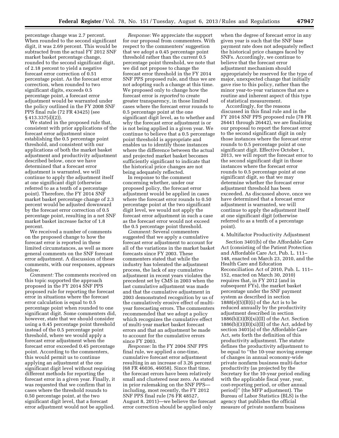percentage change was 2.7 percent. When rounded to the second significant digit, it was 2.69 percent. This would be subtracted from the actual FY 2012 SNF market basket percentage change, rounded to the second significant digit, of 2.18 percent to yield a negative forecast error correction of 0.51 percentage point. As the forecast error correction, when rounded to two significant digits, exceeds 0.5 percentage point, a forecast error adjustment would be warranted under the policy outlined in the FY 2008 SNF PPS final rule (72 FR 43425) (see § 413.337(d)(2)).

We stated in the proposed rule that, consistent with prior applications of the forecast error adjustment since establishing the 0.5 percentage point threshold, and consistent with our applications of both the market basket adjustment and productivity adjustment described below, once we have determined that a forecast error adjustment is warranted, we will continue to apply the adjustment itself at one significant digit (otherwise referred to as a tenth of a percentage point). Therefore, the FY 2014 SNF market basket percentage change of 2.3 percent would be adjusted downward by the forecast error correction of 0.5 percentage point, resulting in a net SNF market basket increase factor of 1.8 percent.

We received a number of comments on the proposed change to how the forecast error is reported in these limited circumstances, as well as more general comments on the SNF forecast error adjustment. A discussion of these comments, with our responses, appears below.

*Comment:* The comments received on this topic supported the approach proposed in the FY 2014 SNF PPS proposed rule for reporting the forecast error in situations where the forecast error calculation is equal to 0.5 percentage point when rounded to one significant digit. Some commenters did, however, state that we should consider using a 0.45 percentage point threshold instead of the 0.5 percentage point threshold, where we would apply a forecast error adjustment when the forecast error exceeded 0.45 percentage point. According to the commenters, this would permit us to continue applying an adjustment at the one significant digit level without requiring different methods for reporting the forecast error in a given year. Finally, it was requested that we confirm that in cases where the threshold rounds to 0.50 percentage point, at the two significant digit level, that a forecast error adjustment would not be applied.

*Response:* We appreciate the support for our proposal from commenters. With respect to the commenters' suggestion that we adopt a 0.45 percentage point threshold rather than the current 0.5 percentage point threshold, we note that we did not propose to change the forecast error threshold in the FY 2014 SNF PPS proposed rule, and thus we are not adopting such a change at this time. We proposed only to change how the forecast error is *reported* to create greater transparency, in those limited cases where the forecast error rounds to 0.5 percentage point at the one significant digit level, as to whether and why the forecast error adjustment is or is not being applied in a given year. We continue to believe that a 0.5 percentage point threshold is appropriate and enables us to identify those instances where the difference between the actual and projected market basket becomes sufficiently significant to indicate that the historical price changes are not being adequately reflected.

In response to the comment concerning whether, under our proposed policy, the forecast error adjustment would be applied in cases where the forecast error rounds to 0.50 percentage point at the two significant digit level, we would not apply the forecast error adjustment in such a case as the forecast error would not exceed the 0.5 percentage point threshold.

*Comment:* Several commenters suggested that we apply a cumulative forecast error adjustment to account for all of the variations in the market basket forecasts since FY 2003. These commenters stated that while the industry has tolerated the adjustment process, the lack of any cumulative adjustment in recent years violates the precedent set by CMS in 2003 when the last cumulative adjustment was made and that the cumulative adjustment in 2003 demonstrated recognition by us of the cumulatively erosive effect of multiyear forecasting errors. The commenters recommended that we adopt a policy which recognizes the cumulative effect of multi-year market basket forecast errors and that an adjustment be made to account for the cumulative errors since FY 2003.

*Response:* In the FY 2004 SNF PPS final rule, we applied a one-time, cumulative forecast error adjustment resulting in an increase of 3.26 percent (68 FR 46036, 46058). Since that time, the forecast errors have been relatively small and clustered near zero. As stated in prior rulemaking on the SNF PPS including, most recently, the FY 2012 SNF PPS final rule (76 FR 48527, August 8, 2011)—we believe the forecast error correction should be applied only

when the degree of forecast error in any given year is such that the SNF base payment rate does not adequately reflect the historical price changes faced by SNFs. Accordingly, we continue to believe that the forecast error adjustment mechanism should appropriately be reserved for the type of major, unexpected change that initially gave rise to this policy, rather than the minor year-to-year variances that are a routine and inherent aspect of this type of statistical measurement.

Accordingly, for the reasons discussed in this final rule and in the FY 2014 SNF PPS proposed rule (78 FR 26441 through 26442), we are finalizing our proposal to report the forecast error to the second significant digit in only those instances where the forecast error rounds to 0.5 percentage point at one significant digit. Effective October 1, 2013, we will report the forecast error to the second significant digit in those instances where the forecast error rounds to 0.5 percentage point at one significant digit, so that we may determine whether the forecast error adjustment threshold has been exceeded. As discussed above, once we have determined that a forecast error adjustment is warranted, we will continue to apply the adjustment itself at one significant digit (otherwise referred to as a tenth of a percentage point).

### 4. Multifactor Productivity Adjustment

Section 3401(b) of the Affordable Care Act (consisting of the Patient Protection and Affordable Care Act, Pub. L. 111– 148, enacted on March 23, 2010, and the Health Care and Education Reconciliation Act of 2010, Pub. L. 111– 152, enacted on March 30, 2010) requires that, in FY 2012 (and in subsequent FYs), the market basket percentage under the SNF payment system as described in section  $1888(e)(5)(B)(i)$  of the Act is to be reduced annually by the productivity adjustment described in section  $1886(b)(3)(B)(xi)(II)$  of the Act. Section  $1886(b)(3)(B)(xi)(II)$  of the Act, added by section 3401(a) of the Affordable Care Act, sets forth the definition of this productivity adjustment. The statute defines the productivity adjustment to be equal to ''the 10-year moving average of changes in annual economy-wide private nonfarm business multi-factor productivity (as projected by the Secretary for the 10-year period ending with the applicable fiscal year, year, cost-reporting period, or other annual period)'' (the MFP adjustment). The Bureau of Labor Statistics (BLS) is the agency that publishes the official measure of private nonfarm business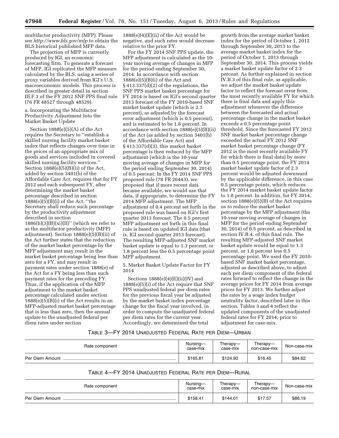multifactor productivity (MFP). Please see *<http://www.bls.gov/mfp>* to obtain the BLS historical published MFP data.

The projection of MFP is currently produced by IGI, an economic forecasting firm. To generate a forecast of MFP, IGI replicated the MFP measure calculated by the BLS, using a series of proxy variables derived from IGI's U.S. macroeconomic models. This process is described in greater detail in section III.F.3 of the FY 2012 SNF PPS final rule (76 FR 48527 through 48529).

a. Incorporating the Multifactor Productivity Adjustment Into the Market Basket Update

Section 1888(e)(5)(A) of the Act requires the Secretary to ''establish a skilled nursing facility market basket index that reflects changes over time in the prices of an appropriate mix of goods and services included in covered skilled nursing facility services.'' Section  $1888(e)(5)(B)(ii)$  of the Act, added by section 3401(b) of the Affordable Care Act, requires that for FY 2012 and each subsequent FY, after determining the market basket percentage described in section 1888(e)(5)(B)(i) of the Act, ''the Secretary shall reduce such percentage by the productivity adjustment described in section  $1886(b)(3)(B)(xi)(II)$ " (which we refer to as the multifactor productivity (MFP) adjustment). Section 1888(e)(5)(B)(ii) of the Act further states that the reduction of the market basket percentage by the MFP adjustment may result in the market basket percentage being less than zero for a FY, and may result in payment rates under section 1888(e) of the Act for a FY being less than such payment rates for the preceding FY. Thus, if the application of the MFP adjustment to the market basket percentage calculated under section  $1888(e)(5)(B)(i)$  of the Act results in an MFP-adjusted market basket percentage that is less than zero, then the annual update to the unadjusted federal per diem rates under section

 $1888(e)(4)(E)(ii)$  of the Act would be negative, and such rates would decrease relative to the prior FY.

For the FY 2014 SNF PPS update, the MFP adjustment is calculated as the 10 year moving average of changes in MFP for the period ending September 30, 2014. In accordance with section 1888(e)(5)(B)(i) of the Act and § 413.337(d)(2) of the regulations, the SNF PPS market basket percentage for FY 2014 is based on IGI's second quarter 2013 forecast of the FY 2010-based SNF market basket update (which is 2.3 percent), as adjusted by the forecast error adjustment (which is 0.5 percent), and is estimated to be 1.8 percent. In accordance with section 1888(e)(5)(B)(ii) of the Act (as added by section 3401(b) of the Affordable Care Act) and § 413.337(d)(3), this market basket percentage is then reduced by the MFP adjustment (which is the 10-year moving average of changes in MFP for the period ending September 30, 2014) of 0.5 percent. In the FY 2014 SNF PPS proposed rule (78 FR 26443), we proposed that if more recent data became available, we would use that data, if appropriate, to determine the FY 2014 MFP adjustment. The MFP adjustment of 0.4 percent set forth in the proposed rule was based on IGI's first quarter 2013 forecast. The 0.5 percent MFP adjustment set forth in this final rule is based on updated IGI data (that is, IGI second quarter 2013 forecast). The resulting MFP-adjusted SNF market basket update is equal to 1.3 percent, or 1.8 percent less the 0.5 percentage point MFP adjustment.

5. Market Basket Update Factor for FY 2014

Sections  $1888(e)(4)(E)(ii)(IV)$  and 1888(e)(5)(i) of the Act require that SNF PPS unadjusted federal per diem rates for the previous fiscal year be adjusted by the market basket index percentage change for the fiscal year involved, in order to compute the unadjusted federal per diem rates for the current year. Accordingly, we determined the total

growth from the average market basket index for the period of October 1, 2012 through September 30, 2013 to the average market basket index for the period of October 1, 2013 through September 30, 2014. This process yields a market basket update factor of 2.3 percent. As further explained in section IV.B.3 of this final rule, as applicable, we adjust the market basket update factor to reflect the forecast error from the most recently available FY for which there is final data and apply this adjustment whenever the difference between the forecasted and actual percentage change in the market basket exceeds a 0.5 percentage point threshold. Since the forecasted FY 2012 SNF market basket percentage change exceeded the actual FY 2012 SNF market basket percentage change (FY 2012 is the most recently available FY for which there is final data) by more than 0.5 percentage point, the FY 2014 market basket update factor of 2.3 percent would be adjusted downward by the applicable difference, in this case 0.5 percentage points, which reduces the FY 2014 market basket update factor to 1.8 percent. In addition, for FY 2014, section 1888(e)(5)(B) of the Act requires us to reduce the market basket percentage by the MFP adjustment (the 10-year moving average of changes in MFP for the period ending September 30, 2014) of 0.5 percent, as described in section IV.B.4. of this final rule. The resulting MFP-adjusted SNF market basket update would be equal to 1.3 percent, or 1.8 percent less 0.5 percentage point. We used the FY 2010 based SNF market basket percentage, adjusted as described above, to adjust each per diem component of the federal rates forward to reflect the change in the average prices for FY 2014 from average prices for FY 2013. We further adjust the rates by a wage index budget neutrality factor, described later in this section. Tables 3 and 4 reflect the updated components of the unadjusted federal rates for FY 2014, prior to adjustment for case-mix.

### TABLE 3—FY 2014 UNADJUSTED FEDERAL RATE PER DIEM—URBAN

| Rate component  | Nursing-<br>case-mix | Therapy-<br>case-mix | Therapy—<br>non-case-mix | Non-case-mix |
|-----------------|----------------------|----------------------|--------------------------|--------------|
| Per Diem Amount | \$165.81             | \$124.90             | \$16.45                  | \$84.62      |

### TABLE 4—FY 2014 UNADJUSTED FEDERAL RATE PER DIEM—RURAL

| Rate component  | Nursing-<br>case-mix | Therapy-<br>case-mix | Therapy—<br>non-case-mix | Non-case-mix |
|-----------------|----------------------|----------------------|--------------------------|--------------|
| Per Diem Amount | \$158.41             | \$144.01             | \$17.57                  | \$86.19      |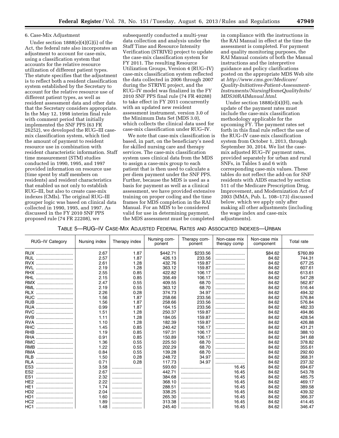### 6. Case-Mix Adjustment

Under section 1888(e)(4)(G)(i) of the Act, the federal rate also incorporates an adjustment to account for case-mix, using a classification system that accounts for the relative resource utilization of different patient types. The statute specifies that the adjustment is to reflect both a resident classification system established by the Secretary to account for the relative resource use of different patient types, as well as resident assessment data and other data that the Secretary considers appropriate. In the May 12, 1998 interim final rule with comment period that initially implemented the SNF PPS (63 FR 26252), we developed the RUG–III casemix classification system, which tied the amount of payment to resident resource use in combination with resident characteristic information. Staff time measurement (STM) studies conducted in 1990, 1995, and 1997 provided information on resource use (time spent by staff members on residents) and resident characteristics that enabled us not only to establish RUG–III, but also to create case-mix indexes (CMIs). The original RUG–III grouper logic was based on clinical data collected in 1990, 1995, and 1997. As discussed in the FY 2010 SNF PPS proposed rule (74 FR 22208), we

subsequently conducted a multi-year data collection and analysis under the Staff Time and Resource Intensity Verification (STRIVE) project to update the case-mix classification system for FY 2011. The resulting Resource Utilization Groups, Version 4 (RUG–IV) case-mix classification system reflected the data collected in 2006 through 2007 during the STRIVE project, and the RUG–IV model was finalized in the FY 2010 SNF PPS final rule (74 FR 40288) to take effect in FY 2011 concurrently with an updated new resident assessment instrument, version 3.0 of the Minimum Data Set (MDS 3.0), which collects the clinical data used for case-mix classification under RUG–IV.

We note that case-mix classification is based, in part, on the beneficiary's need for skilled nursing care and therapy services. The case-mix classification system uses clinical data from the MDS to assign a case-mix group to each patient that is then used to calculate a per diem payment under the SNF PPS. Further, because the MDS is used as a basis for payment as well as a clinical assessment, we have provided extensive training on proper coding and the time frames for MDS completion in the RAI Manual. For an MDS to be considered valid for use in determining payment, the MDS assessment must be completed

in compliance with the instructions in the RAI Manual in effect at the time the assessment is completed. For payment and quality monitoring purposes, the RAI Manual consists of both the Manual instructions and the interpretive guidance and policy clarifications posted on the appropriate MDS Web site at *[http://www.cms.gov/Medicare/](http://www.cms.gov/Medicare/Quality-Initiatives-Patient-Assessment-Instruments/NursingHomeQualityInits/MDS30RAIManual.html)  [Quality-Initiatives-Patient-Assessment-](http://www.cms.gov/Medicare/Quality-Initiatives-Patient-Assessment-Instruments/NursingHomeQualityInits/MDS30RAIManual.html)[Instruments/NursingHomeQualityInits/](http://www.cms.gov/Medicare/Quality-Initiatives-Patient-Assessment-Instruments/NursingHomeQualityInits/MDS30RAIManual.html)  [MDS30RAIManual.html](http://www.cms.gov/Medicare/Quality-Initiatives-Patient-Assessment-Instruments/NursingHomeQualityInits/MDS30RAIManual.html)*.

Under section 1888(e)(4)(H), each update of the payment rates must include the case-mix classification methodology applicable for the upcoming FY. The payment rates set forth in this final rule reflect the use of the RUG–IV case-mix classification system from October 1, 2013, through September 30, 2014. We list the casemix adjusted RUG–IV payment rates, provided separately for urban and rural SNFs, in Tables 5 and 6 with corresponding case-mix values. These tables do not reflect the add-on for SNF residents with AIDS enacted by section 511 of the Medicare Prescription Drug, Improvement, and Modernization Act of 2003 (MMA, Pub. L. 108–173) discussed below, which we apply only after making all other adjustments (including the wage index and case-mix adjustments).

TABLE 5—RUG–IV CASE-MIX ADJUSTED FEDERAL RATES AND ASSOCIATED INDEXES—URBAN

| <b>RUG-IV Category</b> | Nursing index | Therapy index | Nursing com-<br>ponent | Therapy com-<br>ponent | Non-case mix<br>therapy comp | Non-case mix<br>component | Total rate |
|------------------------|---------------|---------------|------------------------|------------------------|------------------------------|---------------------------|------------|
| RUX                    | 2.67          | 1.87          | \$442.71               | \$233.56               |                              | \$84.62                   | \$760.89   |
| <b>RUL</b>             | 2.57          | 1.87          | 426.13                 | 233.56                 |                              | 84.62                     | 744.31     |
| RVX                    | 2.61          | 1.28          | 432.76                 | 159.87                 |                              | 84.62                     | 677.25     |
| <b>RVL</b>             | 2.19          | 1.28          | 363.12                 | 159.87                 |                              | 84.62                     | 607.61     |
| <b>RHX</b>             | 2.55          | 0.85          | 422.82                 | 106.17                 |                              | 84.62                     | 613.61     |
| <b>RHL</b>             | 2.15          | 0.85          | 356.49                 | 106.17                 |                              | 84.62                     | 547.28     |
| RMX                    | 2.47          | 0.55          | 409.55                 | 68.70                  |                              | 84.62                     | 562.87     |
| RML<br>                | 2.19          | 0.55          | 363.12                 | 68.70                  |                              | 84.62                     | 516.44     |
| <b>RLX</b>             | 2.26          | 0.28          | 374.73                 | 34.97                  |                              | 84.62                     | 494.32     |
| <b>RUC</b>             | 1.56          | 1.87          | 258.66                 | 233.56                 |                              | 84.62                     | 576.84     |
| RUB                    | 1.56          | 1.87          | 258.66                 | 233.56                 |                              | 84.62                     | 576.84     |
| <b>RUA</b>             | 0.99          | 1.87          | 164.15                 | 233.56                 |                              | 84.62                     | 482.33     |
| <b>RVC</b>             | 1.51          | 1.28          | 250.37                 | 159.87                 |                              | 84.62                     | 494.86     |
| <b>RVB</b>             | 1.11          | 1.28          | 184.05                 | 159.87                 |                              | 84.62                     | 428.54     |
| <b>RVA</b>             | 1.10          | 1.28          | 182.39                 | 159.87                 |                              | 84.62                     | 426.88     |
| <b>RHC</b>             | 1.45          | 0.85          | 240.42                 | 106.17                 |                              | 84.62                     | 431.21     |
| RHB                    | 1.19          | 0.85          | 197.31                 | 106.17                 |                              | 84.62                     | 388.10     |
| <b>RHA</b>             | 0.91          | 0.85          | 150.89                 | 106.17                 |                              | 84.62                     | 341.68     |
| <b>RMC</b>             | 1.36          | 0.55          | 225.50                 | 68.70                  |                              | 84.62                     | 378.82     |
| <b>RMB</b>             | 1.22          | 0.55          | 202.29                 | 68.70                  |                              | 84.62                     | 355.61     |
| <b>RMA</b><br>         | 0.84          | 0.55          | 139.28                 | 68.70                  |                              | 84.62                     | 292.60     |
| <b>RLB</b>             | 1.50          | 0.28          | 248.72                 | 34.97                  |                              | 84.62                     | 368.31     |
| <b>RLA</b>             | 0.71          | 0.28          | 117.73                 | 34.97                  |                              | 84.62                     | 237.32     |
| ES <sub>3</sub>        | 3.58          |               | 593.60                 |                        | 16.45                        | 84.62                     | 694.67     |
| ES <sub>2</sub>        | 2.67          |               | 442.71                 |                        | 16.45                        | 84.62                     | 543.78     |
| ES <sub>1</sub>        | 2.32          |               | 384.68                 |                        | 16.45                        | 84.62                     | 485.75     |
| HE <sub>2</sub>        | 2.22          |               | 368.10                 |                        | 16.45                        | 84.62                     | 469.17     |
| HE <sub>1</sub>        | 1.74          |               | 288.51                 |                        | 16.45                        | 84.62                     | 389.58     |
| H <sub>D2</sub>        | 2.04          |               | 338.25                 |                        | 16.45                        | 84.62                     | 439.32     |
| HD <sub>1</sub>        | 1.60          |               | 265.30                 |                        | 16.45                        | 84.62                     | 366.37     |
| HC <sub>2</sub>        | 1.89          |               | 313.38                 |                        | 16.45                        | 84.62                     | 414.45     |
| HC1                    | 1.48          |               | 245.40                 |                        | 16.45                        | 84.62                     | 346.47     |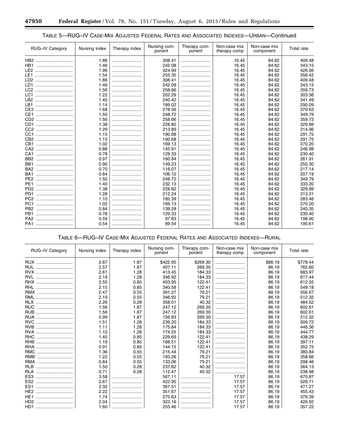۰

### TABLE 5—RUG–IV CASE-MIX ADJUSTED FEDERAL RATES AND ASSOCIATED INDEXES—URBAN—Continued

| <b>RUG-IV Category</b>      | Nursing index | Therapy index | Nursing com-<br>ponent | Therapy com-<br>ponent | Non-case mix<br>therapy comp | Non-case mix<br>component | Total rate |
|-----------------------------|---------------|---------------|------------------------|------------------------|------------------------------|---------------------------|------------|
| HB2                         | 1.86          |               | 308.41                 |                        | 16.45                        | 84.62                     | 409.48     |
| HB1                         | 1.46          |               | 242.08                 |                        | 16.45                        | 84.62                     | 343.15     |
| LE2                         | 1.96          |               | 324.99                 |                        | 16.45                        | 84.62                     | 426.06     |
|                             | 1.54          |               | 255.35                 |                        | 16.45                        | 84.62                     | 356.42     |
| LD2                         | 1.86          |               | 308.41                 |                        | 16.45                        | 84.62                     | 409.48     |
| LD1                         | 1.46          |               | 242.08                 |                        | 16.45                        | 84.62                     | 343.15     |
| LC2                         | 1.56          |               | 258.66                 |                        | 16.45                        | 84.62                     | 359.73     |
| LC1                         | 1.22          |               | 202.29                 |                        | 16.45                        | 84.62                     | 303.36     |
| LB <sub>2</sub>             | 1.45          |               | 240.42                 |                        | 16.45                        | 84.62                     | 341.49     |
| LB1                         | 1.14          |               | 189.02                 |                        | 16.45                        | 84.62                     | 290.09     |
| CE <sub>2</sub>             | 1.68          |               | 278.56                 |                        | 16.45                        | 84.62                     | 379.63     |
| CE <sub>1</sub>             | 1.50          |               | 248.72                 |                        | 16.45                        | 84.62                     | 349.79     |
| CD <sub>2</sub>             | 1.56          |               | 258.66                 |                        | 16.45                        | 84.62                     | 359.73     |
| CD1                         | 1.38          |               | 228.82                 |                        | 16.45                        | 84.62                     | 329.89     |
| CC <sub>2</sub>             | 1.29          |               | 213.89                 |                        | 16.45                        | 84.62                     | 314.96     |
| CC1                         | 1.15          |               | 190.68                 |                        | 16.45                        | 84.62                     | 291.75     |
| CB <sub>2</sub>             | 1.15          |               | 190.68                 |                        | 16.45                        | 84.62                     | 291.75     |
| CB1<br>                     | 1.02          |               | 169.13                 |                        | 16.45                        | 84.62                     | 270.20     |
| CA <sub>2</sub>             | 0.88          |               | 145.91                 |                        | 16.45                        | 84.62                     | 246.98     |
| CA1<br>                     | 0.78          |               | 129.33                 |                        | 16.45                        | 84.62                     | 230.40     |
| BB <sub>2</sub>             | 0.97          |               | 160.84                 |                        | 16.45                        | 84.62                     | 261.91     |
| BB <sub>1</sub><br>         | 0.90          |               | 149.23                 |                        | 16.45                        | 84.62                     | 250.30     |
| BA <sub>2</sub>             | 0.70          |               | 116.07                 |                        | 16.45                        | 84.62                     | 217.14     |
| BA1<br>                     | 0.64          |               | 106.12                 |                        | 16.45                        | 84.62                     | 207.19     |
| PE <sub>2</sub><br>         | 1.50          |               | 248.72                 |                        | 16.45                        | 84.62                     | 349.79     |
| PE <sub>1</sub><br>         | 1.40          |               | 232.13                 |                        | 16.45                        | 84.62                     | 333.20     |
| P <sub>D</sub> <sub>2</sub> | 1.38          |               | 228.82                 |                        | 16.45                        | 84.62                     | 329.89     |
| PD <sub>1</sub>             | 1.28          |               | 212.24                 |                        | 16.45                        | 84.62                     | 313.31     |
| PC <sub>2</sub><br>         | 1.10          |               | 182.39                 |                        | 16.45                        | 84.62                     | 283.46     |
| PC <sub>1</sub>             | 1.02          |               | 169.13                 |                        | 16.45                        | 84.62                     | 270.20     |
| PB <sub>2</sub><br>         | 0.84          |               | 139.28                 |                        | 16.45                        | 84.62                     | 240.35     |
| PB <sub>1</sub>             | 0.78          |               | 129.33                 |                        | 16.45                        | 84.62                     | 230.40     |
| PA <sub>2</sub>             | 0.59          |               | 97.83                  |                        | 16.45                        | 84.62                     | 198.90     |
| PA1                         | 0.54          |               | 89.54                  |                        | 16.45                        | 84.62                     | 190.61     |

### TABLE 6—RUG–IV CASE-MIX ADJUSTED FEDERAL RATES AND ASSOCIATED INDEXES—RURAL

| <b>RUG-IV Category</b> | Nursing index | Therapy index | Nursing com-<br>ponent | Therapy com-<br>ponent | Non-case mix<br>therapy comp | Non-case mix<br>component | Total rate |
|------------------------|---------------|---------------|------------------------|------------------------|------------------------------|---------------------------|------------|
| RUX                    | 2.67          | 1.87          | \$422.95               | \$269.30               |                              | \$86.19                   | \$778.44   |
| <b>RUL</b>             | 2.57          | 1.87          | 407.11                 | 269.30                 |                              | 86.19                     | 762.60     |
| <b>RVX</b>             | 2.61          | 1.28          | 413.45                 | 184.33                 |                              | 86.19                     | 683.97     |
| <b>RVL</b>             | 2.19          | 1.28          | 346.92                 | 184.33                 |                              | 86.19                     | 617.44     |
| RHX                    | 2.55          | 0.85          | 403.95                 | 122.41                 |                              | 86.19                     | 612.55     |
| <b>RHL</b><br>         | 2.15          | 0.85          | 340.58                 | 122.41                 |                              | 86.19                     | 549.18     |
| RMX                    | 2.47          | 0.55          | 391.27                 | 79.21                  |                              | 86.19                     | 556.67     |
| <b>RML</b><br>         | 2.19          | 0.55          | 346.92                 | 79.21                  |                              | 86.19                     | 512.32     |
| <b>RLX</b>             | 2.26          | 0.28          | 358.01                 | 40.32                  |                              | 86.19                     | 484.52     |
| <b>RUC</b>             | 1.56          | 1.87          | 247.12                 | 269.30                 |                              | 86.19                     | 602.61     |
| <b>RUB</b>             | 1.56          | 1.87          | 247.12                 | 269.30                 |                              | 86.19                     | 602.61     |
| <b>RUA</b>             | 0.99          | 1.87          | 156.83                 | 269.30                 |                              | 86.19                     | 512.32     |
| <b>RVC</b>             | 1.51          | 1.28          | 239.20                 | 184.33                 |                              | 86.19                     | 509.72     |
| <b>RVB</b>             | 1.11          | 1.28          | 175.84                 | 184.33                 |                              | 86.19                     | 446.36     |
| <b>RVA</b>             | 1.10          | 1.28          | 174.25                 | 184.33                 |                              | 86.19                     | 444.77     |
| <b>RHC</b><br>         | 1.45          | 0.85          | 229.69                 | 122.41                 |                              | 86.19                     | 438.29     |
| <b>RHB</b>             | 1.19          | 0.85          | 188.51                 | 122.41                 |                              | 86.19                     | 397.11     |
| <b>RHA</b><br>         | 0.91          | 0.85          | 144.15                 | 122.41                 |                              | 86.19                     | 352.75     |
| <b>RMC</b><br>         | 1.36          | 0.55          | 215.44                 | 79.21                  |                              | 86.19                     | 380.84     |
| <b>RMB</b>             | 1.22          | 0.55          | 193.26                 | 79.21                  |                              | 86.19                     | 358.66     |
| <b>RMA</b><br>         | 0.84          | 0.55          | 133.06                 | 79.21                  |                              | 86.19                     | 298.46     |
| <b>RLB</b>             | 1.50          | 0.28          | 237.62                 | 40.32                  |                              | 86.19                     | 364.13     |
| <b>RLA</b>             | 0.71          | 0.28          | 112.47                 | 40.32                  |                              | 86.19                     | 238.98     |
| ES <sub>3</sub>        | 3.58          |               | 567.11                 |                        | 17.57                        | 86.19                     | 670.87     |
| ES <sub>2</sub><br>    | 2.67          |               | 422.95                 |                        | 17.57                        | 86.19                     | 526.71     |
| ES <sub>1</sub>        | 2.32          |               | 367.51                 |                        | 17.57                        | 86.19                     | 471.27     |
| HE <sub>2</sub><br>    | 2.22          |               | 351.67                 |                        | 17.57                        | 86.19                     | 455.43     |
| HE <sub>1</sub><br>    | 1.74          |               | 275.63                 |                        | 17.57                        | 86.19                     | 379.39     |
| H <sub>D2</sub>        | 2.04          |               | 323.16                 |                        | 17.57                        | 86.19                     | 426.92     |
| HD1                    | 1.60          |               | 253.46                 |                        | 17.57                        | 86.19                     | 357.22     |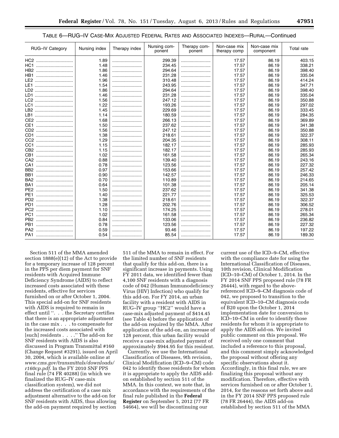### TABLE 6—RUG–IV CASE-MIX ADJUSTED FEDERAL RATES AND ASSOCIATED INDEXES—RURAL—Continued

| <b>RUG-IV Category</b>          | Nursing index | Therapy index | Nursing com-<br>ponent | Therapy com-<br>ponent | Non-case mix<br>therapy comp | Non-case mix<br>component | Total rate |
|---------------------------------|---------------|---------------|------------------------|------------------------|------------------------------|---------------------------|------------|
| HC2                             | 1.89          |               | 299.39                 |                        | 17.57                        | 86.19                     | 403.15     |
| HC1                             | 1.48          |               | 234.45                 |                        | 17.57                        | 86.19                     | 338.21     |
| HB <sub>2</sub>                 | 1.86          |               | 294.64                 |                        | 17.57                        | 86.19                     | 398.40     |
| HB1                             | 1.46          |               | 231.28                 |                        | 17.57                        | 86.19                     | 335.04     |
| LE <sub>2</sub>                 | 1.96          |               | 310.48                 |                        | 17.57                        | 86.19                     | 414.24     |
| LE1                             | 1.54          |               | 243.95                 |                        | 17.57                        | 86.19                     | 347.71     |
| LD <sub>2</sub>                 | 1.86          |               | 294.64                 |                        | 17.57                        | 86.19                     | 398.40     |
|                                 | 1.46          |               | 231.28                 |                        | 17.57                        | 86.19                     | 335.04     |
| LC <sub>2</sub>                 | 1.56          |               | 247.12                 |                        | 17.57                        | 86.19                     | 350.88     |
| LC1                             | 1.22          |               | 193.26                 |                        | 17.57                        | 86.19                     | 297.02     |
| LB <sub>2</sub>                 | 1.45          |               | 229.69                 |                        | 17.57                        | 86.19                     | 333.45     |
| LB1                             | 1.14          |               | 180.59                 |                        | 17.57                        | 86.19                     | 284.35     |
| CE <sub>2</sub><br>             | 1.68          |               | 266.13                 |                        | 17.57                        | 86.19                     | 369.89     |
| CE <sub>1</sub>                 | 1.50          |               | 237.62                 |                        | 17.57                        | 86.19                     | 341.38     |
| CD <sub>2</sub>                 | 1.56          |               | 247.12                 |                        | 17.57                        | 86.19                     | 350.88     |
| CD1                             | 1.38          |               | 218.61                 |                        | 17.57                        | 86.19                     | 322.37     |
| CC <sub>2</sub>                 | 1.29          |               | 204.35                 |                        | 17.57                        | 86.19                     | 308.11     |
| CC <sub>1</sub><br>             | 1.15          |               | 182.17                 |                        | 17.57                        | 86.19                     | 285.93     |
| CB <sub>2</sub>                 | 1.15          |               | 182.17                 |                        | 17.57                        | 86.19                     | 285.93     |
| CB1                             | 1.02          |               | 161.58                 |                        | 17.57                        | 86.19                     | 265.34     |
| CA <sub>2</sub><br>             | 0.88          |               | 139.40                 |                        | 17.57                        | 86.19                     | 243.16     |
| CA <sub>1</sub>                 | 0.78          |               | 123.56                 |                        | 17.57                        | 86.19                     | 227.32     |
| BB <sub>2</sub>                 | 0.97          |               | 153.66                 |                        | 17.57                        | 86.19                     | 257.42     |
| BB <sub>1</sub><br>             | 0.90          |               | 142.57                 |                        | 17.57                        | 86.19                     | 246.33     |
| BA <sub>2</sub>                 | 0.70          |               | 110.89                 |                        | 17.57                        | 86.19                     | 214.65     |
| BA <sub>1</sub>                 | 0.64          |               | 101.38                 |                        | 17.57                        | 86.19                     | 205.14     |
| PE <sub>2</sub><br>             | 1.50          |               | 237.62                 |                        | 17.57                        | 86.19                     | 341.38     |
| PE <sub>1</sub>                 | 1.40          |               | 221.77                 |                        | 17.57                        | 86.19                     | 325.53     |
| P <sub>D</sub> <sub>2</sub><br> | 1.38          |               | 218.61                 |                        | 17.57                        | 86.19                     | 322.37     |
| PD <sub>1</sub>                 | 1.28          |               | 202.76                 |                        | 17.57                        | 86.19                     | 306.52     |
| PC <sub>2</sub>                 | 1.10          |               | 174.25                 |                        | 17.57                        | 86.19                     | 278.01     |
| PC <sub>1</sub>                 | 1.02          |               | 161.58                 |                        | 17.57                        | 86.19                     | 265.34     |
| PB <sub>2</sub><br>             | 0.84          |               | 133.06                 |                        | 17.57                        | 86.19                     | 236.82     |
| PB <sub>1</sub>                 | 0.78          |               | 123.56                 |                        | 17.57                        | 86.19                     | 227.32     |
| PA <sub>2</sub>                 | 0.59          |               | 93.46                  |                        | 17.57                        | 86.19                     | 197.22     |
| PA1                             | 0.54          |               | 85.54                  |                        | 17.57                        | 86.19                     | 189.30     |

Section 511 of the MMA amended section 1888(e)(12) of the Act to provide for a temporary increase of 128 percent in the PPS per diem payment for SNF residents with Acquired Immune Deficiency Syndrome (AIDS) to reflect increased costs associated with these residents, effective for services furnished on or after October 1, 2004. This special add-on for SNF residents with AIDS is required to remain in effect until ''. . . the Secretary certifies that there is an appropriate adjustment in the case mix . . . to compensate for the increased costs associated with [such] residents . . . .'' The add-on for SNF residents with AIDS is also discussed in Program Transmittal #160 (Change Request #3291), issued on April 30, 2004, which is available online at *[www.cms.gov/transmittals/downloads/](http://www.cms.gov/transmittals/downloads/r160cp.pdf)  [r160cp.pdf](http://www.cms.gov/transmittals/downloads/r160cp.pdf)*. In the FY 2010 SNF PPS final rule (74 FR 40288) (in which we finalized the RUG–IV case-mix classification system), we did not address the certification of a case mix adjustment alternative to the add-on for SNF residents with AIDS, thus allowing the add-on payment required by section

511 of the MMA to remain in effect. For the limited number of SNF residents that qualify for this add-on, there is a significant increase in payments. Using FY 2011 data, we identified fewer than 4,100 SNF residents with a diagnosis code of 042 (Human Immunodeficiency Virus (HIV) Infection) who qualify for this add-on. For FY 2014, an urban facility with a resident with AIDS in RUG–IV group ''HC2'' would have a case-mix adjusted payment of \$414.45 (see Table 4) before the application of the add-on required by the MMA. After application of the add-on, an increase of 128 percent, this urban facility would receive a case-mix adjusted payment of approximately \$944.95 for this resident.

Currently, we use the International Classification of Diseases, 9th revision, Clinical Modification (ICD–9–CM) code 042 to identify those residents for whom it is appropriate to apply the AIDS addon established by section 511 of the MMA. In this context, we note that, in accordance with the requirements of the final rule published in the **Federal Register** on September 5, 2012 (77 FR 54664), we will be discontinuing our

current use of the ICD–9–CM, effective with the compliance date for using the International Classification of Diseases, 10th revision, Clinical Modification (ICD–10–CM) of October 1, 2014. In the FY 2014 SNF PPS proposed rule (78 FR 26444), with regard to the abovereferenced ICD–9–CM diagnosis code of 042, we proposed to transition to the equivalent ICD–10–CM diagnosis code of B20 upon the October 1, 2014 implementation date for conversion to ICD–10–CM in order to identify those residents for whom it is appropriate to apply the AIDS add-on. We invited public comment on this proposal. We received only one comment that included a reference to this proposal, and this comment simply acknowledged the proposal without offering any specific observations about it. Accordingly, in this final rule, we are finalizing this proposal without any modification. Therefore, effective with services furnished on or after October 1, 2014, for the reasons set forth above and in the FY 2014 SNF PPS proposed rule (78 FR 26444), the AIDS add-on established by section 511 of the MMA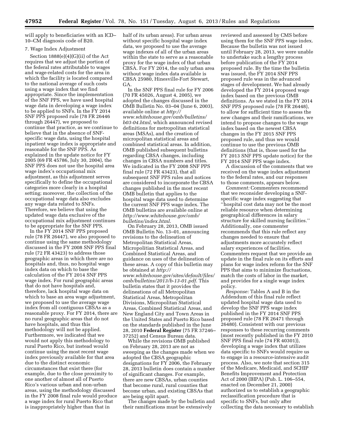will apply to beneficiaries with an ICD– 10–CM diagnosis code of B20.

### 7. Wage Index Adjustment

Section 1888(e)(4)(G)(ii) of the Act requires that we adjust the portion of the federal rates attributable to wages and wage-related costs for the area in which the facility is located compared to the national average of such costs using a wage index that we find appropriate. Since the implementation of the SNF PPS, we have used hospital wage data in developing a wage index to be applied to SNFs. In the FY 2014 SNF PPS proposed rule (78 FR 26446 through 26447), we proposed to continue that practice, as we continue to believe that in the absence of SNFspecific wage data, using the hospital inpatient wage index is appropriate and reasonable for the SNF PPS. As explained in the update notice for FY 2005 (69 FR 45786, July 30, 2004), the SNF PPS does not use the hospital area wage index's occupational mix adjustment, as this adjustment serves specifically to define the occupational categories more clearly in a hospital setting; moreover, the collection of the occupational wage data also excludes any wage data related to SNFs. Therefore, we believe that using the updated wage data exclusive of the occupational mix adjustment continues to be appropriate for the SNF PPS.

In the FY 2014 SNF PPS proposed rule (78 FR 26447), we also proposed to continue using the same methodology discussed in the FY 2008 SNF PPS final rule (72 FR 43423) to address those geographic areas in which there are no hospitals and, thus, no hospital wage index data on which to base the calculation of the FY 2014 SNF PPS wage index. For rural geographic areas that do not have hospitals and, therefore, lack hospital wage data on which to base an area wage adjustment, we proposed to use the average wage index from all contiguous CBSAs as a reasonable proxy. For FY 2014, there are no rural geographic areas that do not have hospitals, and thus this methodology will not be applied. Furthermore, we indicated that we would not apply this methodology to rural Puerto Rico, but instead would continue using the most recent wage index previously available for that area due to the distinct economic circumstances that exist there (for example, due to the close proximity to one another of almost all of Puerto Rico's various urban and non-urban areas, using the methodology discussed in the FY 2008 final rule would produce a wage index for rural Puerto Rico that is inappropriately higher than that in

half of its urban areas). For urban areas without specific hospital wage index data, we proposed to use the average wage indexes of all of the urban areas within the state to serve as a reasonable proxy for the wage index of that urban CBSA. For FY 2014, the only urban area without wage index data available is CBSA 25980, Hinesville-Fort Stewart, GA.

In the SNF PPS final rule for FY 2006 (70 FR 45026, August 4, 2005), we adopted the changes discussed in the OMB Bulletin No. 03–04 (June 6, 2003), available online at *[http://](http://www.whitehouse.gov/omb/bulletins/b03-04.html)  [www.whitehouse.gov/omb/bulletins/](http://www.whitehouse.gov/omb/bulletins/b03-04.html) [b03-04.html,](http://www.whitehouse.gov/omb/bulletins/b03-04.html)* which announced revised definitions for metropolitan statistical areas (MSAs), and the creation of micropolitan statistical areas and combined statistical areas. In addition, OMB published subsequent bulletins regarding CBSA changes, including changes in CBSA numbers and titles. We indicated in the FY 2008 SNF PPS final rule (72 FR 43423), that all subsequent SNF PPS rules and notices are considered to incorporate the CBSA changes published in the most recent OMB bulletin that applies to the hospital wage data used to determine the current SNF PPS wage index. The OMB bulletins are available online at *[http://www.whitehouse.gov/omb/](http://www.whitehouse.gov/omb/bulletins/index.html) [bulletins/index.html](http://www.whitehouse.gov/omb/bulletins/index.html)*.

On February 28, 2013, OMB issued OMB Bulletin No. 13–01, announcing revisions to the delineation of Metropolitan Statistical Areas, Micropolitian Statistical Areas, and Combined Statistical Areas, and guidance on uses of the delineation of these areas. A copy of this bulletin may be obtained at *[http://](http://www.whitehouse.gov/sites/default/files/omb/bulletins/2013/b-13-01.pdf)  [www.whitehouse.gov/sites/default/files/](http://www.whitehouse.gov/sites/default/files/omb/bulletins/2013/b-13-01.pdf)  [omb/bulletins/2013/b-13-01.pdf](http://www.whitehouse.gov/sites/default/files/omb/bulletins/2013/b-13-01.pdf)*. This bulletin states that it provides the delineations of all Metropolitan Statistical Areas, Metropolitan Divisions, Micropolitan Statistical Areas, Combined Statistical Areas, and New England City and Town Areas in the United States and Puerto Rico based on the standards published in the June 28, 2010 **Federal Register** (75 FR 37246– 37252) and Census Bureau data.

While the revisions OMB published on February 28, 2013 are not as sweeping as the changes made when we adopted the CBSA geographic designations for FY 2006, the February 28, 2013 bulletin does contain a number of significant changes. For example, there are new CBSAs, urban counties that become rural, rural counties that become urban, and existing CBSAs that are being split apart.

The changes made by the bulletin and their ramifications must be extensively

reviewed and assessed by CMS before using them for the SNF PPS wage index. Because the bulletin was not issued until February 28, 2013, we were unable to undertake such a lengthy process before publication of the FY 2014 proposed rule. By the time the bulletin was issued, the FY 2014 SNF PPS proposed rule was in the advanced stages of development. We had already developed the FY 2014 proposed wage index based on the previous OMB definitions. As we stated in the FY 2014 SNF PPS proposed rule (78 FR 26448), to allow for sufficient time to assess the new changes and their ramifications, we intend to propose changes to the wage index based on the newest CBSA changes in the FY 2015 SNF PPS proposed rule, and thus we would continue to use the previous OMB definitions (that is, those used for the FY 2013 SNF PPS update notice) for the FY 2014 SNF PPS wage index.

A discussion of the comments that we received on the wage index adjustment to the federal rates, and our responses to those comments, appears below.

*Comment:* Commenters recommend that we reconsider developing a SNFspecific wage index suggesting that ''hospital cost data may not be the most reliable resource when determining geographical differences in salary structure for skilled nursing facilities.'' Additionally, one commenter recommends that this rule reflect any changes needed to ensure that adjustments more accurately reflect salary experiences of facilities. Commenters request that we provide an update in the final rule on its efforts and plans for wage index reform for the SNF PPS that aims to minimize fluctuations, match the costs of labor in the market, and provides for a single wage index policy.

*Response:* Tables A and B in the Addendum of this final rule reflect updated hospital wage data used to develop the SNF PPS wage index published in the FY 2014 SNF PPS proposed rule (78 FR 26471 through 26480). Consistent with our previous responses to these recurring comments (most recently published in the FY 2010 SNF PPS final rule (74 FR 40301)), developing a wage index that utilizes data specific to SNFs would require us to engage in a resource-intensive audit process. Also, we note that section 315 of the Medicare, Medicaid, and SCHIP Benefits Improvement and Protection Act of 2000 (BIPA) (Pub. L. 106–554, enacted on December 21, 2000) authorized us to establish a geographic reclassification procedure that is specific to SNFs, but only after collecting the data necessary to establish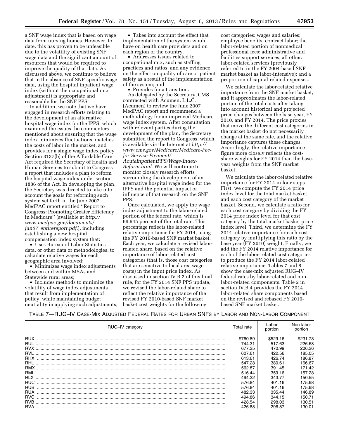a SNF wage index that is based on wage data from nursing homes. However, to date, this has proven to be unfeasible due to the volatility of existing SNF wage data and the significant amount of resources that would be required to improve the quality of that data. As discussed above, we continue to believe that in the absence of SNF-specific wage data, using the hospital inpatient wage index (without the occupational mix adjustment) is appropriate and reasonable for the SNF PPS.

In addition, we note that we have engaged in research efforts relating to the development of an alternative hospital wage index for the IPPS, which examined the issues the commenters mentioned about ensuring that the wage index minimizes fluctuations, matches the costs of labor in the market, and provides for a single wage index policy. Section 3137(b) of the Affordable Care Act required the Secretary of Health and Human Services to submit to Congress a report that includes a plan to reform the hospital wage index under section 1886 of the Act. In developing the plan, the Secretary was directed to take into account the goals for reforming such system set forth in the June 2007 MedPAC report entitled ''Report to Congress: Promoting Greater Efficiency in Medicare'' (available at *[http://](http://www.medpac.gov/documents/jun07_entirereport.pdf)  [www.medpac.gov/documents/](http://www.medpac.gov/documents/jun07_entirereport.pdf) jun07*\_*[entirereport.pdf.](http://www.medpac.gov/documents/jun07_entirereport.pdf)*), including establishing a new hospital compensation index system that:

• Uses Bureau of Labor Statistics data, or other data or methodologies, to calculate relative wages for each geographic area involved;

• Minimizes wage index adjustments between and within MSAs and Statewide rural areas;

• Includes methods to minimize the volatility of wage index adjustments that result from implementation of policy, while maintaining budget neutrality in applying such adjustments;

• Takes into account the effect that implementation of the system would have on health care providers and on each region of the country.

• Addresses issues related to occupational mix, such as staffing practices and ratios, and any evidence on the effect on quality of care or patient safety as a result of the implementation of the system; and

• Provides for a transition. As delegated by the Secretary, CMS contracted with Acumen, L.L.C. (Acumen) to review the June 2007 MedPAC report and recommend a methodology for an improved Medicare wage index system. After consultation with relevant parties during the development of the plan, the Secretary submitted the report to Congress, which is available via the Internet at *[http://](http://www.cms.gov/Medicare/Medicare-Fee-for-Service-Payment/AcuteInpatientPPS/Wage-Index-Reform.html)  [www.cms.gov/Medicare/Medicare-Fee](http://www.cms.gov/Medicare/Medicare-Fee-for-Service-Payment/AcuteInpatientPPS/Wage-Index-Reform.html)[for-Service-Payment/](http://www.cms.gov/Medicare/Medicare-Fee-for-Service-Payment/AcuteInpatientPPS/Wage-Index-Reform.html) [AcuteInpatientPPS/Wage-Index-](http://www.cms.gov/Medicare/Medicare-Fee-for-Service-Payment/AcuteInpatientPPS/Wage-Index-Reform.html)[Reform.html.](http://www.cms.gov/Medicare/Medicare-Fee-for-Service-Payment/AcuteInpatientPPS/Wage-Index-Reform.html)* We will continue to monitor closely research efforts surrounding the development of an alternative hospital wage index for the IPPS and the potential impact or influence of that research on the SNF

PPS. Once calculated, we apply the wage index adjustment to the labor-related portion of the federal rate, which is 69.545 percent of the total rate. This percentage reflects the labor-related relative importance for FY 2014, using the FY 2010-based SNF market basket. Each year, we calculate a revised laborrelated share, based on the relative importance of labor-related cost categories (that is, those cost categories that are sensitive to local area wage costs) in the input price index. As discussed in section IV.B.2 of this final rule, for the FY 2014 SNF PPS update, we revised the labor-related share to reflect the relative importance of the revised FY 2010-based SNF market basket cost weights for the following

cost categories: wages and salaries; employee benefits; contract labor; the labor-related portion of nonmedical professional fees; administrative and facilities support services; all other: labor-related services (previously referred to in the FY 2004-based SNF market basket as labor-intensive); and a proportion of capital-related expenses.

We calculate the labor-related relative importance from the SNF market basket, and it approximates the labor-related portion of the total costs after taking into account historical and projected price changes between the base year, FY 2010, and FY 2014. The price proxies that move the different cost categories in the market basket do not necessarily change at the same rate, and the relative importance captures these changes. Accordingly, the relative importance figure more closely reflects the costshare weights for FY 2014 than the baseyear weights from the SNF market basket.

We calculate the labor-related relative importance for FY 2014 in four steps. First, we compute the FY 2014 price index level for the total market basket and each cost category of the market basket. Second, we calculate a ratio for each cost category by dividing the FY 2014 price index level for that cost category by the total market basket price index level. Third, we determine the FY 2014 relative importance for each cost category by multiplying this ratio by the base year (FY 2010) weight. Finally, we add the FY 2014 relative importance for each of the labor-related cost categories to produce the FY 2014 labor-related relative importance. Tables 7 and 8 show the case-mix adjusted RUG–IV federal rates by labor-related and nonlabor-related components. Table 2 in section IV.B.4 provides the FY 2014 labor-related share components based on the revised and rebased FY 2010 based SNF market basket.

### TABLE 7—RUG–IV CASE-MIX ADJUSTED FEDERAL RATES FOR URBAN SNFS BY LABOR AND NON-LABOR COMPONENT

| RUG-IV category | Total rate | Labor<br>portion | Non-labor<br>portion |
|-----------------|------------|------------------|----------------------|
| <b>RUX</b>      | \$760.89   | \$529.16         | \$231.73             |
| <b>RUL</b>      | 744.31     | 517.63           | 226.68               |
|                 | 677.25     | 470.99           | 206.26               |
| <b>RVL</b>      | 607.61     | 422.56           | 185.05               |
| <b>RHX</b>      | 613.61     | 426.74           | 186.87               |
| <b>RHL</b>      | 547.28     | 380.61           | 166.67               |
| <b>RMX</b>      | 562.87     | 391.45           | 171.42               |
| RML             | 516.44     | 359.16           | 157.28               |
| <b>RLX</b>      | 494.32     | 343.77           | 150.55               |
| <b>RUC</b>      | 576.84     | 401.16           | 175.68               |
| <b>RUB</b>      | 576.84     | 401.16           | 175.68               |
| <b>RUA</b>      | 482.33     | 335.44           | 146.89               |
| <b>RVC</b>      | 494.86     | 344.15           | 150.71               |
| <b>RVB</b>      | 428.54     | 298.03           | 130.51               |
|                 | 426.88     | 296.87           | 130.01               |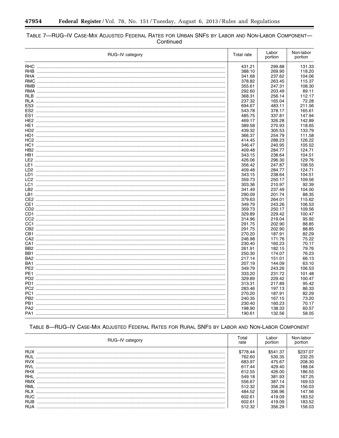$\equiv$ 

٠

# TABLE 7—RUG-IV CASE-MIX ADJUSTED FEDERAL RATES FOR URBAN SNFS BY LABOR AND NON-LABOR COMPONENT—<br>Continued

| RUG-IV category |  |        | Labor<br>portion | Non-labor<br>portion |  |
|-----------------|--|--------|------------------|----------------------|--|
|                 |  | 431.21 | 299.88           | 131.33               |  |
|                 |  | 388.10 | 269.90           | 118.20               |  |
|                 |  | 341.68 | 237.62           | 104.06               |  |
|                 |  | 378.82 | 263.45           | 115.37               |  |
|                 |  | 355.61 | 247.31           | 108.30               |  |
|                 |  | 292.60 | 203.49           | 89.11                |  |
|                 |  | 368.31 | 256.14           | 112.17               |  |
|                 |  | 237.32 | 165.04           | 72.28                |  |
| ES3             |  | 694.67 | 483.11           | 211.56               |  |
|                 |  | 543.78 | 378.17           | 165.61               |  |
|                 |  | 485.75 | 337.81           | 147.94               |  |
|                 |  | 469.17 | 326.28           | 142.89               |  |
| HE1.            |  | 389.58 | 270.93           | 118.65               |  |
|                 |  | 439.32 | 305.53           | 133.79               |  |
| HD1.            |  | 366.37 | 254.79           | 111.58               |  |
|                 |  | 414.45 | 288.23           | 126.22               |  |
|                 |  | 346.47 | 240.95           | 105.52               |  |
|                 |  | 409.48 | 284.77           | 124.71               |  |
|                 |  | 343.15 | 238.64           | 104.51               |  |
|                 |  | 426.06 | 296.30           | 129.76               |  |
|                 |  | 356.42 | 247.87           | 108.55               |  |
|                 |  | 409.48 | 284.77           | 124.71               |  |
| LD1.            |  | 343.15 | 238.64           | 104.51               |  |
|                 |  | 359.73 | 250.17           | 109.56               |  |
|                 |  | 303.36 | 210.97           | 92.39                |  |
|                 |  | 341.49 | 237.49           | 104.00               |  |
|                 |  | 290.09 | 201.74           | 88.35                |  |
|                 |  | 379.63 | 264.01           | 115.62               |  |
|                 |  | 349.79 | 243.26           | 106.53               |  |
|                 |  | 359.73 | 250.17           | 109.56               |  |
|                 |  | 329.89 | 229.42           | 100.47               |  |
|                 |  | 314.96 | 219.04           | 95.92                |  |
|                 |  | 291.75 | 202.90           | 88.85                |  |
|                 |  | 291.75 | 202.90           | 88.85                |  |
|                 |  | 270.20 | 187.91           | 82.29                |  |
|                 |  | 246.98 | 171.76           | 75.22                |  |
| CA1             |  | 230.40 | 160.23           | 70.17                |  |
|                 |  | 261.91 | 182.15           | 79.76                |  |
|                 |  | 250.30 | 174.07           | 76.23                |  |
| BA2             |  |        |                  |                      |  |
|                 |  | 217.14 | 151.01           | 66.13                |  |
| BA1             |  | 207.19 | 144.09           | 63.10                |  |
|                 |  | 349.79 | 243.26           | 106.53               |  |
| PE1             |  | 333.20 | 231.72           | 101.48               |  |
|                 |  | 329.89 | 229.42           | 100.47               |  |
| PD1.            |  | 313.31 | 217.89           | 95.42                |  |
|                 |  | 283.46 | 197.13           | 86.33                |  |
|                 |  | 270.20 | 187.91           | 82.29                |  |
| PB2             |  | 240.35 | 167.15           | 73.20                |  |
| PB1             |  | 230.40 | 160.23           | 70.17                |  |
|                 |  | 198.90 | 138.33           | 60.57                |  |
|                 |  | 190.61 | 132.56           | 58.05                |  |

| RUG-IV category | Total<br>rate | Labor<br>portion | Non-labor<br>portion |
|-----------------|---------------|------------------|----------------------|
| <b>RUX</b>      | \$778.44      | \$541.37         | \$237.07             |
| <b>RUL</b>      | 762.60        | 530.35           | 232.25               |
| <b>RVX</b>      | 683.97        | 475.67           | 208.30               |
| <b>RVL</b>      | 617.44        | 429.40           | 188.04               |
| <b>RHX</b>      | 612.55        | 426.00           | 186.55               |
| RHL             | 549.18        | 381.93           | 167.25               |
| <b>RMX</b>      | 556.67        | 387.14           | 169.53               |
| RML             | 512.32        | 356.29           | 156.03               |
| <b>RLX</b>      | 484.52        | 336.96           | 147.56               |
| <b>RUC</b>      | 602.61        | 419.09           | 183.52               |
| <b>RUB</b>      | 602.61        | 419.09           | 183.52               |
| <b>RUA</b>      | 512.32        | 356.29           | 156.03               |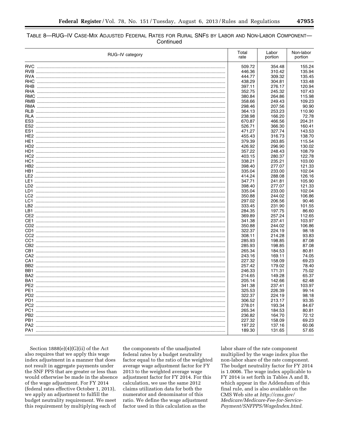| TABLE 8-RUG-IV CASE-MIX ADJUSTED FEDERAL RATES FOR RURAL SNFS BY LABOR AND NON-LABOR COMPONENT- |           |  |
|-------------------------------------------------------------------------------------------------|-----------|--|
|                                                                                                 | Continued |  |

| RUG-IV category |  |        | Labor<br>portion | Non-labor<br>portion |
|-----------------|--|--------|------------------|----------------------|
|                 |  | 509.72 | 354.48           | 155.24               |
|                 |  | 446.36 | 310.42           | 135.94               |
|                 |  | 444.77 | 309.32           | 135.45               |
|                 |  | 438.29 | 304.81           | 133.48               |
|                 |  | 397.11 | 276.17           | 120.94               |
|                 |  | 352.75 | 245.32           | 107.43               |
|                 |  | 380.84 | 264.86           | 115.98               |
|                 |  | 358.66 | 249.43           | 109.23               |
|                 |  | 298.46 | 207.56           | 90.90                |
|                 |  | 364.13 | 253.23           | 110.90               |
|                 |  | 238.98 | 166.20           | 72.78                |
|                 |  |        |                  | 204.31               |
|                 |  | 670.87 | 466.56           |                      |
|                 |  | 526.71 | 366.30           | 160.41               |
|                 |  | 471.27 | 327.74           | 143.53               |
|                 |  | 455.43 | 316.73           | 138.70               |
|                 |  | 379.39 | 263.85           | 115.54               |
|                 |  | 426.92 | 296.90           | 130.02               |
|                 |  | 357.22 | 248.43           | 108.79               |
|                 |  | 403.15 | 280.37           | 122.78               |
|                 |  | 338.21 | 235.21           | 103.00               |
|                 |  | 398.40 | 277.07           | 121.33               |
|                 |  | 335.04 | 233.00           | 102.04               |
|                 |  | 414.24 | 288.08           | 126.16               |
|                 |  | 347.71 | 241.81           | 105.90               |
|                 |  | 398.40 | 277.07           | 121.33               |
|                 |  | 335.04 | 233.00           | 102.04               |
|                 |  | 350.88 | 244.02           | 106.86               |
|                 |  | 297.02 | 206.56           | 90.46                |
|                 |  | 333.45 | 231.90           | 101.55               |
|                 |  | 284.35 | 197.75           | 86.60                |
|                 |  | 369.89 | 257.24           | 112.65               |
|                 |  | 341.38 | 237.41           | 103.97               |
|                 |  | 350.88 | 244.02           | 106.86               |
|                 |  | 322.37 | 224.19           | 98.18                |
|                 |  | 308.11 | 214.28           | 93.83                |
|                 |  | 285.93 | 198.85           | 87.08                |
|                 |  | 285.93 | 198.85           | 87.08                |
|                 |  | 265.34 | 184.53           | 80.81                |
|                 |  | 243.16 | 169.11           | 74.05                |
|                 |  | 227.32 | 158.09           | 69.23                |
|                 |  | 257.42 | 179.02           | 78.40                |
|                 |  | 246.33 | 171.31           | 75.02                |
|                 |  | 214.65 | 149.28           | 65.37                |
|                 |  | 205.14 | 142.66           | 62.48                |
|                 |  | 341.38 | 237.41           | 103.97               |
|                 |  | 325.53 | 226.39           | 99.14                |
|                 |  | 322.37 | 224.19           | 98.18                |
|                 |  | 306.52 | 213.17           | 93.35                |
|                 |  | 278.01 | 193.34           | 84.67                |
|                 |  | 265.34 | 184.53           | 80.81                |
|                 |  | 236.82 | 164.70           | 72.12                |
| PB1             |  | 227.32 | 158.09           | 69.23                |
|                 |  | 197.22 | 137.16           | 60.06                |
|                 |  | 189.30 | 131.65           | 57.65                |
|                 |  |        |                  |                      |

Section  $1888(e)(4)(G)(ii)$  of the Act also requires that we apply this wage index adjustment in a manner that does not result in aggregate payments under the SNF PPS that are greater or less than would otherwise be made in the absence of the wage adjustment. For FY 2014 (federal rates effective October 1, 2013), we apply an adjustment to fulfill the budget neutrality requirement. We meet this requirement by multiplying each of

the components of the unadjusted federal rates by a budget neutrality factor equal to the ratio of the weighted average wage adjustment factor for FY 2013 to the weighted average wage adjustment factor for FY 2014. For this calculation, we use the same 2012 claims utilization data for both the numerator and denominator of this ratio. We define the wage adjustment factor used in this calculation as the

labor share of the rate component multiplied by the wage index plus the non-labor share of the rate component. The budget neutrality factor for FY 2014 is 1.0006. The wage index applicable to FY 2014 is set forth in Tables A and B, which appear in the Addendum of this final rule, and is also available on the CMS Web site at http://cms.gov/ Medicare/Medicare-Fee-for-Service-Payment/SNFPPS/WageIndex.html.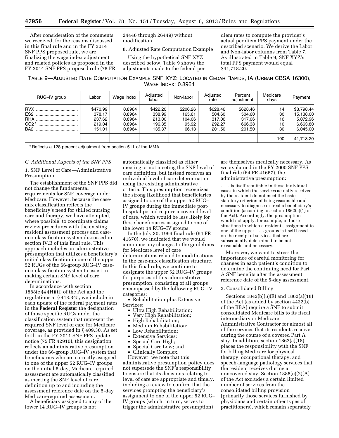After consideration of the comments we received, for the reasons discussed in this final rule and in the FY 2014 SNF PPS proposed rule, we are finalizing the wage index adjustment and related policies as proposed in the FY 2014 SNF PPS proposed rule (78 FR 24446 through 26449) without modification.

8. Adjusted Rate Computation Example

Using the hypothetical SNF XYZ described below, Table 9 shows the adjustments made to the federal per

diem rates to compute the provider's actual per diem PPS payment under the described scenario. We derive the Labor and Non-labor columns from Table 7. As illustrated in Table 9, SNF XYZ's total PPS payment would equal \$41,718.20.

TABLE 9—ADJUSTED RATE COMPUTATION EXAMPLE SNF XYZ: LOCATED IN CEDAR RAPIDS, IA (URBAN CBSA 16300), WAGE INDEX: 0.8964

| RUG-IV group    | Labor    | Wage index | Adjusted<br>labor | Non-labor | Adjusted<br>rate | Percent<br>adjustment | Medicare<br>days | Payment    |
|-----------------|----------|------------|-------------------|-----------|------------------|-----------------------|------------------|------------|
| <b>RVX</b>      | \$470.99 | 0.8964     | \$422.20          | \$206.26  | \$628.46         | \$628.46              | 14               | \$8,798.44 |
| ES <sub>2</sub> | 378.17   | 0.8964     | 338.99            | 165.61    | 504.60           | 504.60                | 30               | 15,138.00  |
|                 | 237.62   | 0.8964     | 213.00            | 104.06    | 317.06           | 317.06                | 16               | 5.072.96   |
| $CC2*$<br>      | 219.04   | 0.8964     | 196.35            | 95.92     | 292.27           | 666.38                | 10               | 6,663.80   |
| BA <sub>2</sub> | 151.01   | 0.8964     | 135.37            | 66.13     | 201.50           | 201.50                | 30               | 6.045.00   |
|                 |          |            |                   |           |                  |                       | 100              | 41,718.20  |

\* Reflects a 128 percent adjustment from section 511 of the MMA.

### *C. Additional Aspects of the SNF PPS*

1. SNF Level of Care—Administrative Presumption

The establishment of the SNF PPS did not change the fundamental requirements for SNF coverage under Medicare. However, because the casemix classification reflects the beneficiary's need for skilled nursing care and therapy, we have attempted, where possible, to coordinate claims review procedures with the existing resident assessment process and casemix classification system discussed in section IV.B of this final rule. This approach includes an administrative presumption that utilizes a beneficiary's initial classification in one of the upper 52 RUGs of the 66-group RUG–IV casemix classification system to assist in making certain SNF level of care determinations.

In accordance with section  $1888(e)(4)(H)(ii)$  of the Act and the regulations at § 413.345, we include in each update of the federal payment rates in the **Federal Register** the designation of those specific RUGs under the classification system that represent the required SNF level of care for Medicare coverage, as provided in § 409.30. As set forth in the FY 2011 SNF PPS update notice (75 FR 42910), this designation reflects an administrative presumption under the 66-group RUG–IV system that beneficiaries who are correctly assigned to one of the upper 52 RUG–IV groups on the initial 5-day, Medicare-required assessment are automatically classified as meeting the SNF level of care definition up to and including the assessment reference date on the 5-day Medicare-required assessment.

A beneficiary assigned to any of the lower 14 RUG–IV groups is not

automatically classified as either meeting or not meeting the SNF level of care definition, but instead receives an individual level of care determination using the existing administrative criteria. This presumption recognizes the strong likelihood that beneficiaries assigned to one of the upper 52 RUG– IV groups during the immediate posthospital period require a covered level of care, which would be less likely for those beneficiaries assigned to one of the lower 14 RUG–IV groups.

In the July 30, 1999 final rule (64 FR 41670), we indicated that we would announce any changes to the guidelines for Medicare level of care determinations related to modifications in the case-mix classification structure. In this final rule, we continue to designate the upper 52 RUG–IV groups for purposes of this administrative presumption, consisting of all groups encompassed by the following RUG–IV categories:

• Rehabilitation plus Extensive Services;

- Ultra High Rehabilitation;
- Very High Rehabilitation;
- High Rehabilitation;
- Medium Rehabilitation;
- Low Rehabilitation;
- Extensive Services;
- Special Care High;
- Special Care Low; and,
- Clinically Complex.

However, we note that this administrative presumption policy does not supersede the SNF's responsibility to ensure that its decisions relating to level of care are appropriate and timely, including a review to confirm that the services prompting the beneficiary's assignment to one of the upper 52 RUG– IV groups (which, in turn, serves to trigger the administrative presumption)

are themselves medically necessary. As we explained in the FY 2000 SNF PPS final rule (64 FR 41667), the administrative presumption:

. . . is itself rebuttable in those individual cases in which the services actually received by the resident do not meet the basic statutory criterion of being reasonable and necessary to diagnose or treat a beneficiary's condition (according to section 1862(a)(1) of the Act). Accordingly, the presumption would not apply, for example, in those situations in which a resident's assignment to one of the upper . . . groups is itself based on the receipt of services that are subsequently determined to be not reasonable and necessary.

Moreover, we want to stress the importance of careful monitoring for changes in each patient's condition to determine the continuing need for Part A SNF benefits after the assessment reference date of the 5-day assessment.

### 2. Consolidated Billing

Sections 1842(b)(6)(E) and 1862(a)(18) of the Act (as added by section 4432(b) of the BBA) require a SNF to submit consolidated Medicare bills to its fiscal intermediary or Medicare Administrative Contractor for almost all of the services that its residents receive during the course of a covered Part A stay. In addition, section 1862(a)(18) places the responsibility with the SNF for billing Medicare for physical therapy, occupational therapy, and speech-language pathology services that the resident receives during a noncovered stay. Section 1888(e)(2)(A) of the Act excludes a certain limited number of services from the consolidated billing provision (primarily those services furnished by physicians and certain other types of practitioners), which remain separately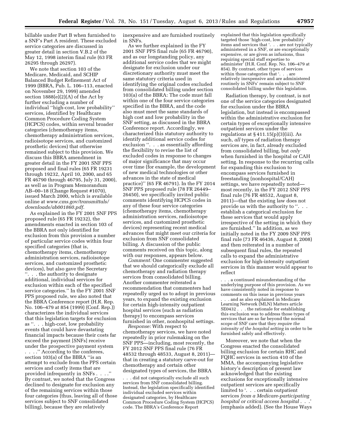billable under Part B when furnished to a SNF's Part A resident. These excluded service categories are discussed in greater detail in section V.B.2 of the May 12, 1998 interim final rule (63 FR 26295 through 26297).

We note that section 103 of the Medicare, Medicaid, and SCHIP Balanced Budget Refinement Act of 1999 (BBRA, Pub. L. 106–113, enacted on November 29, 1999) amended section  $1888(e)(2)(A)$  of the Act by further excluding a number of individual ''high-cost, low probability'' services, identified by Healthcare Common Procedure Coding System (HCPCS) codes, within several broader categories (chemotherapy items, chemotherapy administration services, radioisotope services, and customized prosthetic devices) that otherwise remained subject to this provision. We discuss this BBRA amendment in greater detail in the FY 2001 SNF PPS proposed and final rules (65 FR 19231 through 19232, April 10, 2000, and 65 FR 46790 through 46795, July 31, 2000), as well as in Program Memorandum AB–00–18 (Change Request #1070), issued March 2000, which is available online at *[www.cms.gov/transmittals/](http://www.cms.gov/transmittals/downloads/ab001860.pdf)  [downloads/ab001860.pdf.](http://www.cms.gov/transmittals/downloads/ab001860.pdf)* 

As explained in the FY 2001 SNF PPS proposed rule (65 FR 19232), the amendments enacted in section 103 of the BBRA not only identified for exclusion from this provision a number of particular service codes within four specified categories (that is, chemotherapy items, chemotherapy administration services, radioisotope services, and customized prosthetic devices), but also gave the Secretary ''. . . the authority to designate additional, individual services for exclusion within each of the specified service categories.'' In the FY 2001 SNF PPS proposed rule, we also noted that the BBRA Conference report (H.R. Rep. No. 106–479 at 854 (1999) (Conf. Rep.)) characterizes the individual services that this legislation targets for exclusion as ''. . . high-cost, low probability events that could have devastating financial impacts because their costs far exceed the payment [SNFs] receive under the prospective payment system . . . .'' According to the conferees, section 103(a) of the BBRA ''is an attempt to exclude from the PPS certain services and costly items that are provided infrequently in SNFs . . . .'' By contrast, we noted that the Congress declined to designate for exclusion any of the remaining services within those four categories (thus, leaving all of those services subject to SNF consolidated billing), because they are relatively

inexpensive and are furnished routinely in SNFs.

As we further explained in the FY 2001 SNF PPS final rule (65 FR 46790), and as our longstanding policy, any additional service codes that we might designate for exclusion under our discretionary authority must meet the same statutory criteria used in identifying the original codes excluded from consolidated billing under section 103(a) of the BBRA: The code must fall within one of the four service categories specified in the BBRA, and the code also must meet the same standards of high cost and low probability in the SNF setting, as discussed in the BBRA Conference report. Accordingly, we characterized this statutory authority to identify additional service codes for exclusion ''. . . as essentially affording the flexibility to revise the list of excluded codes in response to changes of major significance that may occur over time (for example, the development of new medical technologies or other advances in the state of medical practice)'' (65 FR 46791). In the FY 2014 SNF PPS proposed rule (78 FR 26449– 26450), we specifically invited public comments identifying HCPCS codes in any of these four service categories (chemotherapy items, chemotherapy administration services, radioisotope services, and customized prosthetic devices) representing recent medical advances that might meet our criteria for exclusion from SNF consolidated billing. A discussion of the public comments received on this topic, along with our responses, appears below.

*Comment:* One commenter suggested that we should categorically exclude all chemotherapy and radiation therapy services from consolidated billing. Another commenter reiterated a recommendation that commenters had repeatedly urged us to adopt in previous years, to expand the existing exclusion for certain high-intensity outpatient hospital services (such as radiation therapy) to encompass services furnished in other, nonhospital settings.

*Response:* With respect to chemotherapy services, we have noted repeatedly in prior rulemaking on the SNF PPS—including, most recently, the FY 2012 SNF PPS final rule (76 FR 48532 through 48533, August 8, 2011) that in creating a statutory carve-out for chemotherapy and certain other designated types of services, the BBRA

. . . did not categorically exclude all such services from SNF consolidated billing. Instead, the legislation specifically identified individual excluded services within designated categories, by Healthcare Common Procedure Coding System (HCPCS) code. The BBRA's Conference Report

explained that this legislation specifically targeted those 'high-cost, low probability' items and services that '. . . are not typically administered in a SNF, or are exceptionally expensive, or are given as infusions, thus requiring special staff expertise to administer' (H.R. Conf. Rep. No. 106–479 at 854). By contrast, other types of services within those categories that '. . . are relatively inexpensive and are administered routinely in SNFs' remain subject to SNF consolidated billing under this legislation.

Radiation therapy, by contrast, is not one of the service categories designated for exclusion under the BBRA legislation, but instead is encompassed within the administrative exclusion for certain types of exceptionally intensive outpatient services under the regulations at § 411.15(p)(3)(iii). As such, *all* types of radiation therapy services are, in fact, already excluded from consolidated billing, but *only*  when furnished in the hospital or CAH setting. In response to the recurring calls for expanding this exclusion to encompass services furnished in freestanding (nonhospital/CAH) settings, we have repeatedly noted most recently, in the FY 2012 SNF PPS final rule (76 FR 48532, August 8, 2011)—that the existing law does not provide us with the authority to ''. . . establish a categorical exclusion for these services that would apply irrespective of the setting in which they are furnished.'' In addition, as we initially noted in the FY 2009 SNF PPS final rule (73 FR 46436, August 8, 2008) and then reiterated in a number of subsequent final rules, the repeated calls to expand the administrative exclusion for high-intensity outpatient services in this manner would appear to reflect

. a continued misunderstanding of the underlying purpose of this provision. As we have consistently noted in response to comments on this issue in previous years . . . and as also explained in Medicare Learning Network (MLN) Matters article SE0432 . . . the rationale for establishing this exclusion was to address those types of services that are so far beyond the normal scope of SNF care that they *require the intensity of the hospital setting* in order to be furnished safely and effectively.

Moreover, we note that when the Congress enacted the consolidated billing exclusion for certain RHC and FQHC services in section 410 of the MMA, the accompanying legislative history's description of present law acknowledged that the existing exclusions for exceptionally intensive outpatient services are specifically limited to '. . . certain outpatient services *from a Medicare-participating hospital or critical access hospital* . . .' (emphasis added). (See the House Ways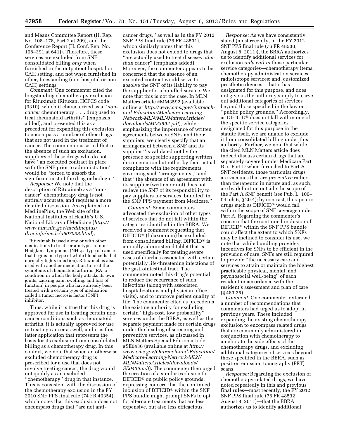and Means Committee Report (H. Rep. No. 108–178, Part 2 at 209), and the Conference Report (H. Conf. Rep. No. 108–391 at 641)). Therefore, these services are excluded from SNF consolidated billing *only* when furnished in the outpatient hospital or CAH setting, and not when furnished in other, freestanding (non-hospital or non-CAH) settings.

*Comment:* One commenter cited the longstanding chemotherapy exclusion for Rituximab (Rituxan, HCPCS code J9310), which it characterized as a ''*noncancer* chemotherapy . . . drug used to treat rheumatoid arthritis'' (emphasis added), and presented this as a precedent for expanding this exclusion to encompass a number of other drugs that are not used in the treatment of cancer. The commenter asserted that in the absence of such an exclusion, suppliers of these drugs who do not have ''an executed contract in place with the SNF prior to administration'' would be ''forced to absorb the significant cost of the drug or biologic.''

*Response:* We note that the description of Rituximab as a ''noncancer'' chemotherapy drug is not entirely accurate, and requires a more detailed discussion. As explained on MedlinePlus, the Web site of the National Institutes of Health's U.S. National Library of Medicine (*[http://](http://www.nlm.nih.gov/medlineplus/druginfo/meds/a607038.html)  [www.nlm.nih.gov/medlineplus/](http://www.nlm.nih.gov/medlineplus/druginfo/meds/a607038.html)  [druginfo/meds/a607038.html](http://www.nlm.nih.gov/medlineplus/druginfo/meds/a607038.html)*),

Rituximab is used alone or with other medications to treat certain types of non-Hodgkin's lymphoma (NHL; a type of cancer that begins in a type of white blood cells that normally fights infection). Rituximab is also used with another medication to treat the symptoms of rheumatoid arthritis (RA; a condition in which the body attacks its own joints, causing pain, swelling, and loss of function) in people who have already been treated with a certain type of medication called a tumor necrosis factor (TNF) inhibitor.

Thus, while it is true that this drug is approved for use in treating certain noncancer conditions such as rheumatoid arthritis, it is actually approved for use in treating cancer as well, and it is this latter application that represents the basis for its exclusion from consolidated billing as a chemotherapy drug. In this context, we note that when an otherwise excluded chemotherapy drug is prescribed for a use that does not involve treating cancer, the drug would not qualify as an excluded ''chemotherapy'' drug in that instance. This is consistent with the discussion of the chemotherapy exclusion in the FY 2010 SNF PPS final rule (74 FR 40354), which notes that this exclusion does not encompass drugs that ''are not anti-

cancer drugs,'' as well as in the FY 2012 SNF PPS final rule (76 FR 48531), which similarly notes that this exclusion does not extend to drugs that ''are actually used to treat diseases *other than* cancer'' (emphasis added). Moreover, the commenter appears to be concerned that the absence of an executed contract would serve to absolve the SNF of its liability to pay the supplier for a bundled service. We note that this is not the case. In MLN Matters article #MM3592 (available online at *[http://www.cms.gov/Outreach](http://www.cms.gov/Outreach-and-Education/Medicare-Learning-Network-MLN/MLNMattersArticles/downloads/MM3592.pdf)[and-Education/Medicare-Learning-](http://www.cms.gov/Outreach-and-Education/Medicare-Learning-Network-MLN/MLNMattersArticles/downloads/MM3592.pdf)[Network-MLN/MLNMattersArticles/](http://www.cms.gov/Outreach-and-Education/Medicare-Learning-Network-MLN/MLNMattersArticles/downloads/MM3592.pdf)  [downloads/MM3592.pdf](http://www.cms.gov/Outreach-and-Education/Medicare-Learning-Network-MLN/MLNMattersArticles/downloads/MM3592.pdf)*), while emphasizing the importance of written agreements between SNFs and their suppliers, we clearly specify that an arrangement between a SNF and its supplier ''is validated not by the presence of specific supporting written documentation but rather by their actual compliance with the requirements governing such 'arrangements','' and that ''the absence of an agreement with its supplier (written or not) does not relieve the SNF of its responsibility to pay suppliers for services 'bundled' in the SNF PPS payment from Medicare.''

*Comment:* Some commenters advocated the exclusion of other types of services that do not fall within the categories identified in the BBRA. We received a comment requesting that DIFICID® (fidaxomicin) be excluded from consolidated billing. DIFICID® is an orally administered tablet that is used specifically for treating severe cases of diarrhea associated with certain potentially life-threatening infections of the gastrointestinal tract. The commenter noted this drug's potential to reduce the recurrence of such infections (along with associated hospitalizations and physician office visits), and to improve patient quality of life. The commenter cited as precedents the existing authority for excluding certain ''high-cost, low probability'' services under the BBRA, as well as the separate payment made for certain drugs under the heading of screening and preventive services, as discussed in MLN Matters Special Edition article #SE0436 (available online at *[http://](http://www.cms.gov/Outreach-and-Education/Medicare-Learning-Network-MLN/MLNMattersArticles/downloads/SE0436.pdf) [www.cms.gov/Outreach-and-Education/](http://www.cms.gov/Outreach-and-Education/Medicare-Learning-Network-MLN/MLNMattersArticles/downloads/SE0436.pdf) [Medicare-Learning-Network-MLN/](http://www.cms.gov/Outreach-and-Education/Medicare-Learning-Network-MLN/MLNMattersArticles/downloads/SE0436.pdf) [MLNMattersArticles/downloads/](http://www.cms.gov/Outreach-and-Education/Medicare-Learning-Network-MLN/MLNMattersArticles/downloads/SE0436.pdf) [SE0436.pdf](http://www.cms.gov/Outreach-and-Education/Medicare-Learning-Network-MLN/MLNMattersArticles/downloads/SE0436.pdf)*). The commenter then urged the creation of a similar exclusion for DIFICID® on public policy grounds, expressing concern that the continued inclusion of DIFICID® within the SNF PPS bundle might prompt SNFs to opt for alternate treatments that are less expensive, but also less efficacious.

*Response:* As we have consistently stated (most recently, in the FY 2012 SNF PPS final rule (76 FR 48530, August 8, 2011)), the BBRA authorizes us to identify additional services for exclusion *only within* those particular service categories—chemotherapy items; chemotherapy administration services; radioisotope services; and, customized prosthetic devices—that it has designated for this purpose, and does not give us the authority simply to carve out additional categories of services beyond those specified in the law on ''public policy grounds.'' Accordingly, as DIFICID® does not fall within one of the specific service categories designated for this purpose in the statute itself, we are unable to exclude it from consolidated billing under this authority. Further, we note that while the cited MLN Matters article does indeed discuss certain drugs that are separately covered under Medicare Part B or Part D when furnished to Part A SNF residents, those particular drugs are vaccines that are *preventive* rather than therapeutic in nature and, as such, are by definition outside the scope of the Part A SNF benefit (see Pub. L. 100– 04, ch.6, § 20.4); by contrast, therapeutic drugs such as DIFICID® would fall within the scope of SNF coverage under Part A. Regarding the commenter's concern that the continued inclusion of DIFICID® within the SNF PPS bundle could affect the extent to which SNFs may be inclined to consider its use, we note that while bundling provides incentives for SNFs to be efficient in the provision of care, SNFs are still required to provide ''the necessary care and services to attain or maintain the highest practicable physical, mental, and psychosocial well-being'' of each resident in accordance with the resident's assessment and plan of care (§ 483.25).

*Comment:* One commenter reiterated a number of recommendations that commenters had urged us to adopt in previous years. These included expanding the existing chemotherapy exclusion to encompass related drugs that are commonly administered in conjunction with chemotherapy to ameliorate the side effects of the chemotherapy drugs, and excluding additional categories of services beyond those specified in the BBRA, such as positron emission tomography (PET) scans.

*Response:* Regarding the exclusion of chemotherapy-related drugs, we have noted repeatedly in this and previous final rules—most recently, the FY 2012 SNF PPS final rule (76 FR 48532, August 8, 2011)—that the BBRA authorizes us to identify additional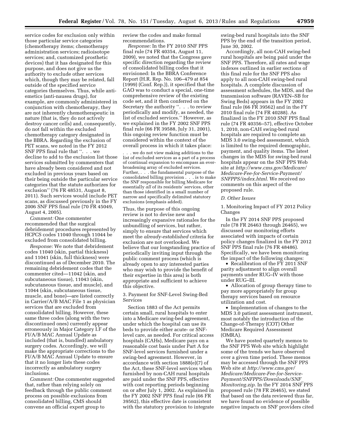service codes for exclusion only within those particular service categories (chemotherapy items; chemotherapy administration services; radioisotope services; and, customized prosthetic devices) that it has designated for this purpose, and does not give us the authority to exclude other services which, though they may be related, fall outside of the specified service categories themselves. Thus, while antiemetics (anti-nausea drugs), for example, are commonly administered in conjunction with chemotherapy, they are not inherently chemotherapeutic in nature (that is, they do not actively destroy cancer cells) and, consequently, do not fall within the excluded chemotherapy category designated in the BBRA. Regarding the exclusion of PET scans, we noted in the FY 2012 SNF PPS final rule that ''. . . we decline to add to the exclusion list those services submitted by commenters that have already been considered and not excluded in previous years based on their being outside the particular service categories that the statute authorizes for exclusion'' (76 FR 48531, August 8, 2011). Such services would include PET scans, as discussed previously in the FY 2006 SNF PPS final rule (70 FR 45049, August 4, 2005).

*Comment:* One commenter recommended that the surgical debridement procedures represented by HCPCS codes 11040 through 11044 be excluded from consolidated billing.

*Response:* We note that debridement codes 11040 (skin, partial thickness) and 11041 (skin, full thickness) were discontinued as of December 2010. The remaining debridement codes that the commenter cited—11042 (skin, and subcutaneous tissue), 11043 (skin, subcutaneous tissue, and muscle), and 11044 (skin, subcutaneous tissue, muscle, and bone)—are listed correctly in Carrier/A/B MAC File 1 as physician services that are excluded from consolidated billing. However, these same three codes (along with the two discontinued ones) currently appear erroneously in Major Category I.F of the FI/A/B MAC Annual Update as included (that is, bundled) ambulatory surgery codes. Accordingly, we will make the appropriate corrections to the FI/A/B MAC Annual Update to ensure that it no longer lists these codes incorrectly as ambulatory surgery inclusions.

*Comment:* One commenter suggested that, rather than relying solely on feedback through the public comment process on possible exclusions from consolidated billing, CMS should convene an official expert group to

review the codes and make formal recommendations.

*Response:* In the FY 2010 SNF PPS final rule (74 FR 40354, August 11, 2009), we noted that the Congress gave specific direction regarding the review of consolidated billing codes that it envisioned: In the BBRA Conference Report (H.R. Rep. No. 106–479 at 854 (1999) (Conf. Rep.)), it specified that the GAO was to conduct a special, one-time comprehensive review of the existing code set, and it then conferred on the Secretary the authority ''. . . to review periodically and modify, as needed, the list of excluded services.'' However, as we explained in the FY 2002 SNF PPS final rule (66 FR 39588, July 31, 2001), this ongoing review function must be considered within the context of the overall process in which it takes place:

. . . we do not view making additions to the list of excluded services as a part of a process of continual expansion to encompass an everbroadening array of excluded services. Further, . . . the fundamental purpose of the consolidated billing provision . . . is to make the SNF responsible for billing Medicare for essentially *all* of its residents' services, other than those identified in a small number of narrow and specifically delimited statutory exclusions (emphasis added).

Thus, the purpose of this ongoing review is not to devise new and increasingly expansive rationales for the unbundling of services, but rather, simply to ensure that services which meet the *already-established* criteria for exclusion are not overlooked. We believe that our longstanding practice of periodically inviting input through the public comment process (which is already open to any interested parties who may wish to provide the benefit of their expertise in this area) is both appropriate and sufficient to achieve this objective.

3. Payment for SNF-Level Swing-Bed Services

Section 1883 of the Act permits certain small, rural hospitals to enter into a Medicare swing-bed agreement, under which the hospital can use its beds to provide either acute- or SNFlevel care, as needed. For critical access hospitals (CAHs), Medicare pays on a reasonable cost basis under Part A for SNF-level services furnished under a swing-bed agreement. However, in accordance with section 1888(e)(7) of the Act, these SNF-level services when furnished by non-CAH rural hospitals are paid under the SNF PPS, effective with cost reporting periods beginning on or after July 1, 2002. As explained in the FY 2002 SNF PPS final rule (66 FR 39562), this effective date is consistent with the statutory provision to integrate

swing-bed rural hospitals into the SNF PPS by the end of the transition period, June 30, 2002.

Accordingly, all non-CAH swing-bed rural hospitals are being paid under the SNF PPS. Therefore, all rates and wage indexes outlined in earlier sections of this final rule for the SNF PPS also apply to all non-CAH swing-bed rural hospitals. A complete discussion of assessment schedules, the MDS, and the transmission software (RAVEN–SB for Swing Beds) appears in the FY 2002 final rule (66 FR 39562) and in the FY 2010 final rule (74 FR 40288). As finalized in the FY 2010 SNF PPS final rule (74 FR 40356–57), effective October 1, 2010, non-CAH swing-bed rural hospitals are required to complete an MDS 3.0 swing-bed assessment, which is limited to the required demographic, payment, and quality items. The latest changes in the MDS for swing-bed rural hospitals appear on the SNF PPS Web site at *[http://www.cms.gov/Medicare/](http://www.cms.gov/Medicare/Medicare-Fee-for-Service-Payment/SNFPPS/index.html)  [Medicare-Fee-for-Service-Payment/](http://www.cms.gov/Medicare/Medicare-Fee-for-Service-Payment/SNFPPS/index.html)  [SNFPPS/index.html.](http://www.cms.gov/Medicare/Medicare-Fee-for-Service-Payment/SNFPPS/index.html)* We received no comments on this aspect of the proposed rule.

### *D. Other Issues*

1. Monitoring Impact of FY 2012 Policy Changes

In the FY 2014 SNF PPS proposed rule (78 FR 26463 through 26465), we discussed our monitoring efforts associated with impacts of certain policy changes finalized in the FY 2012 SNF PPS final rule (76 FR 48486). Specifically, we have been monitoring the impact of the following changes:

• Recalibration of the FY 2011 SNF parity adjustment to align overall payments under RUG–IV with those under RUG–III.

• Allocation of group therapy time to pay more appropriately for group therapy services based on resource utilization and cost.

• Implementation of changes to the MDS 3.0 patient assessment instrument, most notably the introduction of the Change-of-Therapy (COT) Other Medicare Required Assessment (OMRA).

We have posted quarterly memos to the SNF PPS Web site which highlight some of the trends we have observed over a given time period. These memos may be accessed through the SNF PPS Web site at *[http://www.cms.gov/](http://www.cms.gov/Medicare/Medicare-Fee-for-Service-Payment/SNFPPS/Downloads/SNF_Monitoring.zip) [Medicare/Medicare-Fee-for-Service-](http://www.cms.gov/Medicare/Medicare-Fee-for-Service-Payment/SNFPPS/Downloads/SNF_Monitoring.zip)[Payment/SNFPPS/Downloads/SNF](http://www.cms.gov/Medicare/Medicare-Fee-for-Service-Payment/SNFPPS/Downloads/SNF_Monitoring.zip)*\_ *[Monitoring.zip.](http://www.cms.gov/Medicare/Medicare-Fee-for-Service-Payment/SNFPPS/Downloads/SNF_Monitoring.zip)* In the FY 2014 SNF PPS proposed rule (78 FR 26465), we stated that based on the data reviewed thus far, we have found no evidence of possible negative impacts on SNF providers cited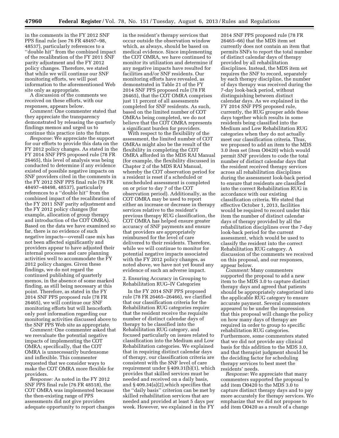in the comments in the FY 2012 SNF PPS final rule (see 76 FR 48497–98, 48537), particularly references to a ''double hit'' from the combined impact of the recalibration of the FY 2011 SNF parity adjustment and the FY 2012 policy changes. Therefore, we stated that while we will continue our SNF monitoring efforts, we will post information to the aforementioned Web site only as appropriate.

A discussion of the comments we received on these efforts, with our responses, appears below.

*Comment:* One commenter stated that they appreciate the transparency demonstrated by releasing the quarterly findings memos and urged us to continue this practice into the future.

*Response:* We appreciate the support for our efforts to provide this data on the FY 2012 policy changes. As stated in the FY 2014 SNF PPS proposed rule (78 FR 26465), this level of analysis was being conducted to determine if any evidence existed of possible negative impacts on SNF providers cited in the comments in the FY 2012 SNF PPS final rule (76 FR 48497–48498, 48537), particularly references to a ''double hit'' from the combined impact of the recalibration of the FY 2011 SNF parity adjustment and the FY 2012 policy changes (for example, allocation of group therapy and introduction of the COT OMRA). Based on the data we have examined so far, there is no evidence of such negative impacts—overall case mix has not been affected significantly and providers appear to have adjusted their internal processes and care planning activities well to accommodate the FY 2012 policy changes. Given these findings, we do not regard the continued publishing of quarterly memos, in the absence of some marked finding, as still being necessary at this point. Therefore, as stated in the FY 2014 SNF PPS proposed rule (78 FR 26465), we will continue our SNF monitoring efforts but will henceforth only post information regarding our monitoring activities discussed above to the SNF PPS Web site as appropriate.

*Comment:* One commenter asked that we reevaluate the potential negative impacts of implementing the COT OMRA; specifically, that the COT OMRA is unnecessarily burdensome and inflexible. This commenter requested that we consider ways to make the COT OMRA more flexible for providers.

*Response:* As noted in the FY 2012 SNF PPS final rule (76 FR 48518), the COT OMRA was implemented because the then-existing range of PPS assessments did not give providers adequate opportunity to report changes

in the resident's therapy services that occur outside the observation window which, as always, should be based on medical evidence. Since implementing the COT OMRA, we have continued to monitor its utilization and determine if any negative impacts have resulted for facilities and/or SNF residents. Our monitoring efforts have revealed, as demonstrated in Table 21 of the FY 2014 SNF PPS proposed rule (78 FR 26465), that the COT OMRA comprises just 11 percent of all assessments completed for SNF residents. As such, based on the limited number of COT OMRAs being completed, we do not believe that the COT OMRA represents a significant burden for providers.

With respect to the flexibility of the assessment, the limited number of COT OMRAs might also be the result of the flexibility in completing the COT OMRA afforded in the MDS RAI Manual (for example, the flexibility discussed in Chapter 2 of the MDS RAI Manual, whereby the COT observation period for a resident is reset if a scheduled or unscheduled assessment is completed on or prior to day 7 of the COT observation period). Additionally, as the COT OMRA may be used to report either an increase or decrease in therapy services relative to the resident's previous therapy RUG classification, the COT OMRA has helped ensure greater accuracy of SNF payments and ensure that providers are appropriately reimbursed for the level of care delivered to their residents. Therefore, while we will continue to monitor for potential negative impacts associated with the FY 2012 policy changes, as noted above, we have not yet found any evidence of such an adverse impact.

2. Ensuring Accuracy in Grouping to Rehabilitation RUG–IV Categories

In the FY 2014 SNF PPS proposed rule (78 FR 26465–26466), we clarified that our classification criteria for the Rehabilitation RUG categories require that the resident receive the requisite number of distinct calendar days of therapy to be classified into the Rehabilitation RUG category, and focused particularly on issues related to classification into the Medium and Low Rehabilitation categories. We explained that in requiring distinct calendar days of therapy, our classification criteria are consistent with the SNF level of care requirement under § 409.31(b)(1), which provides that skilled services must be needed and received on a daily basis, and § 409.34(a)(2),which specifies that the ''daily basis'' criterion can be met by skilled rehabilitation services that are needed and provided at least 5 days per week. However, we explained in the FY

2014 SNF PPS proposed rule (78 FR 26465–66) that the MDS item set currently does not contain an item that permits SNFs to report the total number of distinct calendar days of therapy provided by all rehabilitation disciplines. Instead, the MDS item set requires the SNF to record, separately by each therapy discipline, the number of days therapy was received during the 7-day look-back period, without distinguishing between distinct calendar days. As we explained in the FY 2014 SNF PPS proposed rule, currently, the RUG grouper adds these days together which results in some residents being classified into the Medium and Low Rehabilitation RUG categories when they do not actually meet our classification criteria. Thus, we proposed to add an item to the MDS 3.0 item set (item O0420) which would permit SNF providers to code the total number of distinct calendar days that the resident received therapy services across all rehabilitation disciplines during the assessment look-back period to ensure that residents are classified into the correct Rehabilitation RUG in accordance with our existing classification criteria. We stated that effective October 1, 2013, facilities would be required to record under this item the number of distinct calendar days of therapy provided by all the rehabilitation disciplines over the 7-day look-back period for the current assessment, which would be used to classify the resident into the correct Rehabilitation RUG category. A discussion of the comments we received on this proposal, and our responses, appear below.

*Comment:* Many commenters supported the proposal to add a new item to the MDS 3.0 to capture distinct therapy days and agreed that patients should be appropriately categorized into the applicable RUG category to ensure accurate payment. Several commenters appeared to be under the impression that this proposal will change the policy on how many days of therapy are required in order to group to specific rehabilitation RUG categories. Furthermore, some commenters stated that we did not provide any clinical basis for this addition to the MDS 3.0, and that therapist judgment should be the deciding factor for scheduling therapy services to best meet the residents' needs.

*Response:* We appreciate that many commenters supported the proposal to add item O0420 to the MDS 3.0 to capture distinct therapy days and to pay more accurately for therapy services. We emphasize that we did not propose to add item O0420 as a result of a change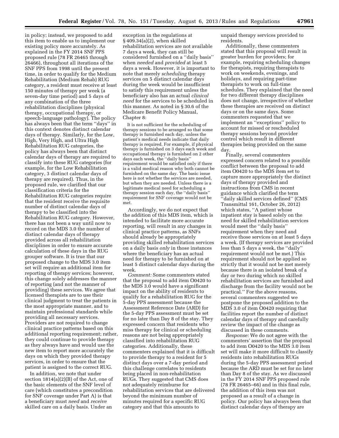in policy; instead, we proposed to add this item to enable us to implement our existing policy more accurately. As explained in the FY 2014 SNF PPS proposed rule (78 FR 26465 through 26466), throughout all iterations of the SNF PPS from 1998 until the present time, in order to qualify for the Medium Rehabilitation (Medium Rehab) RUG category, a resident must receive at least 150 minutes of therapy per week (a seven-day time period) and 5 days of any combination of the three rehabilitation disciplines (physical therapy, occupational therapy, or speech-language pathology). The policy has always been that the term ''days'' in this context denotes distinct calendar days of therapy. Similarly, for the Low, High, Very High, and Ultra High Rehabilitation RUG categories, the policy has always been that distinct calendar days of therapy are required to classify into these RUG categories (for example, for the Low Rehabilitation category, 3 distinct calendar days of therapy are required). Thus, in the proposed rule, we clarified that our classification criteria for the Rehabilitation RUG categories require that the resident receive the requisite number of distinct calendar days of therapy to be classified into the Rehabilitation RUG category. However, there has not been a way until now to record on the MDS 3.0 the number of distinct calendar days of therapy provided across all rehabilitation disciplines in order to ensure accurate calculation of these days in the RUG grouper software. It is true that our proposed change to the MDS 3.0 item set will require an additional item for reporting of therapy services; however, this change solely addresses the manner of reporting (and not the manner of providing) these services. We agree that licensed therapists are to use their clinical judgment to treat the patients in the most appropriate manner, and to maintain professional standards while providing all necessary services. Providers are not required to change clinical practice patterns based on this additional reporting requirement; rather, they could continue to provide therapy as they always have and would use the new item to report more accurately the days on which they provided therapy services, in order to ensure that the patient is assigned to the correct RUG.

In addition, we note that under section 1814(a)(2)(B) of the Act, one of the basic elements of the SNF level of care (which constitutes a precondition for SNF coverage under Part A) is that a beneficiary must *need* and *receive*  skilled care on a daily basis. Under an

exception in the regulations at § 409.34(a)(2), when skilled rehabilitation services are not available 7 days a week, they can still be considered furnished on a ''daily basis'' when *needed* and *provided* at least 5 days a week. However, it is important to note that merely *scheduling* therapy services on 5 distinct calendar days during the week would be insufficient to satisfy this requirement unless the beneficiary also has an actual *clinical need* for the services to be scheduled in this manner. As noted in § 30.6 of the Medicare Benefit Policy Manual, Chapter 8:

It is not sufficient for the scheduling of therapy sessions to be arranged so that some therapy is furnished each day, unless the patient's medical needs indicate that daily therapy is required. For example, if physical therapy is furnished on 3 days each week and occupational therapy is furnished on 2 other days each week, the ''daily basis'' requirement would be satisfied only if there is a valid medical reason why both cannot be furnished on the same day. The basic issue here is not whether the services are needed, but when they are needed. Unless there is a legitimate medical need for scheduling a therapy session each day, the ''daily basis'' requirement for SNF coverage would not be met.

Accordingly, we do not expect that the addition of this MDS item, which is intended to facilitate more accurate reporting, will result in any changes in clinical practice patterns, as SNFs should already be appropriately providing skilled rehabilitation services on a daily basis *only* in those instances where the beneficiary has an actual need for therapy to be furnished on at least 5 distinct calendar days during the week.

*Comment:* Some commenters stated that the proposal to add item O0420 to the MDS 3.0 would have a significant impact on the ability of residents to qualify for a rehabilitation RUG for the 5-day PPS assessment because the Assessment Reference Date (ARD) for the 5-day PPS assessment must be set for no later than Day 8 of the stay. They expressed concern that residents who miss therapy for clinical or scheduling reasons are not being appropriately classified into rehabilitation RUG categories. Additionally, these commenters explained that it is difficult to provide therapy to a resident for 5 distinct days over a 7-day period and this challenge correlates to residents being placed in non-rehabilitation RUGs. They suggested that CMS does not adequately reimburse for rehabilitation services that are delivered beyond the minimum number of minutes required for a specific RUG category and that this amounts to

unpaid therapy services provided to residents.

Additionally, these commenters stated that this proposal will result in greater burden for providers; for example, requiring scheduling changes for therapists, requiring therapists to work on weekends, evenings, and holidays, and requiring part-time therapists to work on full-time schedules. They explained that the need for two different therapy disciplines does not change, irrespective of whether these therapies are received on distinct days or on the same days. Some commenters requested that we implement an ''exceptions'' policy to account for missed or rescheduled therapy sessions beyond provider control which result in different therapies being provided on the same day.

Finally, several commenters expressed concern related to a possible conflict between the proposal to add item O0420 to the MDS item set to capture more appropriately the distinct days of therapy provided and instructions from CMS in recent guidance which clarified the term 'daily skilled services defined'' (CMS Transmittal 161, October 26, 2012) which states, ''A patient whose inpatient stay is based solely on the need for skilled rehabilitation services would meet the ''daily basis'' requirement when they need and receive those services on at least 5 days a week. (If therapy services are provided less than 5 days a week, the ''daily'' requirement would not be met.) This requirement should not be applied so strictly that it would not be met merely because there is an isolated break of a day or two during which no skilled rehabilitation services are furnished and discharge from the facility would not be practical.'' For the above reasons, several commenters suggested we postpone the proposed addition to the MDS 3.0 of item O0420 requiring that facilities report the number of distinct calendar days of therapy and carefully review the impact of the change as discussed in these comments.

*Response:* We do not agree with the commenters' assertion that the proposal to add item O0420 to the MDS 3.0 item set will make it more difficult to classify residents into rehabilitation RUGs during the 5-day PPS assessment period because the ARD must be set for no later than Day 8 of the stay. As we discussed in the FY 2014 SNF PPS proposed rule (78 FR 26465–66) and in this final rule, the addition of this item was not proposed as a result of a change in policy. Our policy has always been that distinct calendar days of therapy are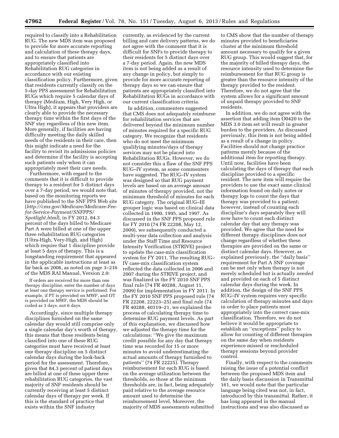required to classify into a Rehabilitation RUG. The new MDS item was proposed to provide for more accurate reporting and calculation of these therapy days, and to ensure that patients are appropriately classified into Rehabilitation RUG categories in accordance with our existing classification policy. Furthermore, given that residents currently classify on the 5-day PPS assessment for Rehabilitation RUGs which require 5 calendar days of therapy (Medium, High, Very High, or Ultra High), it appears that providers are clearly able to provide the necessary therapy time within the first days of the SNF stay regardless of this new item. More generally, if facilities are having difficulty meeting the daily skilled needs of the residents in their care, then this might indicate a need for the facility to revisit its admissions policies and determine if the facility is accepting such patients only when it can appropriately meet their care needs.

Furthermore, with regard to the comments that it is difficult to provide therapy to a resident for 5 distinct days over a 7-day period, we would note that, based on the monitoring reports we have published to the SNF PPS Web site (*[http://cms.gov/Medicare/Medicare-Fee](http://cms.gov/Medicare/Medicare-Fee-for-Service-Payment/SNFPPS/Spotlight.html)[for-Service-Payment/SNFPPS/](http://cms.gov/Medicare/Medicare-Fee-for-Service-Payment/SNFPPS/Spotlight.html) [Spotlight.html](http://cms.gov/Medicare/Medicare-Fee-for-Service-Payment/SNFPPS/Spotlight.html)*), in FY 2012, 84.3 percent of the days billed to Medicare Part A were billed at one of the upper three rehabilitation RUG categories (Ultra-High, Very-High, and High) which require that 1 discipline provide at least 5 days of therapy. This is a longstanding requirement that appeared in the applicable instructions at least as far back as 2006, as noted on page 3–216 of the MDS RAI Manual, Version 2.0:

If orders are received for more than one therapy discipline, enter the number of days at least one therapy service is performed. For example, if PT is provided on MWF, and OT is provided on MWF, the MDS should be coded as 3 days, not 6 days.

Accordingly, since multiple therapy disciplines furnished on the same calendar day would still comprise only a single calendar day's worth of therapy, this means that those residents being classified into one of these RUG categories must have received at least one therapy discipline on 5 distinct calendar days during the look-back period for the assessment. Therefore, given that 84.3 percent of patient days are billed at one of these upper three rehabilitation RUG categories, the vast majority of SNF residents should be currently receiving at least 5 distinct calendar days of therapy per week. If this is the standard of practice that exists within the SNF industry

currently, as evidenced by the current billing and care delivery patterns, we do not agree with the comment that it is difficult for SNFs to provide therapy to their residents for 5 distinct days over a 7-day period. Again, the new MDS item is not being added as a result of any change in policy, but simply to provide for more accurate reporting of therapy days so we can ensure that patients are appropriately classified into Rehabilitation RUGs in accordance with our current classification criteria.

In addition, commenters suggested that CMS does not adequately reimburse for rehabilitation services that are delivered beyond the minimum number of minutes required for a specific RUG category. We recognize that residents who do not meet the minimum qualifying minutes/days of therapy services may not be placed into Rehabilitation RUGs. However, we do not consider this a flaw of the SNF PPS RUG–IV system, as some commenters have suggested. The RUG–IV system was designed so that RUG payment levels are based on an average amount of minutes of therapy provided, not the minimum threshold of minutes for each RUG category. The original RUG–III grouper logic was based on clinical data collected in 1990, 1995, and 1997. As discussed in the SNF PPS proposed rule for FY 2010 (74 FR 22208, May 12, 2009), we subsequently conducted a multi-year data collection and analysis under the Staff Time and Resource Intensity Verification (STRIVE) project to update the case-mix classification system for FY 2011. The resulting RUG– IV case-mix classification system reflected the data collected in 2006 and 2007 during the STRIVE project, and was finalized in the FY 2010 SNF PPS final rule (74 FR 40288, August 11, 2009) for implementation in FY 2011. In the FY 2010 SNF PPS proposed rule (74 FR 22208, 22223–25) and final rule (74 FR 40288, 40319–21, we explained the process of calculating therapy time to determine RUG payment levels. As part of this explanation, we discussed how we adjusted the therapy time for the calculations: ''We give the maximum credit possible for any day that therapy time was recorded for 15 or more minutes to avoid underestimating the actual amounts of therapy furnished to patients'' (74 FR 22225). Therapy reimbursement for each RUG is based on the average utilization between the thresholds, so those at the minimum thresholds are, in fact, being adequately paid relative to the average resource amount used to determine the reimbursement level. Moreover, the majority of MDS assessments submitted

to CMS show that the number of therapy minutes provided to beneficiaries cluster at the minimum threshold amount necessary to qualify for a given RUG group. This would suggest that, for the majority of billed therapy days, the resource intensity used to determine the reimbursement for that RUG group is greater than the resource intensity of the therapy provided to the resident. Therefore, we do not agree that the system allows for a significant amount of unpaid therapy provided to SNF residents.

In addition, we do not agree with the assertion that adding item O0420 to the MDS 3.0 item set will result in greater burden to the providers. As discussed previously, this item is not being added as a result of a change in policy. Facilities should not change practice patterns merely because of the additional item for reporting therapy. Until now, facilities have been calculating the days of therapy that each discipline provided to a specific resident. The new item will require the providers to use the exact same clinical information found on daily notes or therapy logs to count the days that therapy was provided to a patient; however, instead of counting each discipline's days separately they will now have to count each distinct calendar day that any therapy was provided. We agree that the need for different therapy disciplines does not change regardless of whether these therapies are provided on the same or distinct calendar days. However, as explained previously, the ''daily basis'' requirement for Part A SNF coverage can be met only when therapy is not merely scheduled but is actually *needed*  and provided on each of 5 distinct calendar days during the week. In addition, the design of the SNF PPS RUG–IV system requires very specific calculation of therapy minutes and days in order to place patients most appropriately into the correct case-mix classification. Therefore, we do not believe it would be appropriate to establish an ''exceptions'' policy to allow for counting of different therapies on the same day when residents experience missed or rescheduled therapy sessions beyond provider control.

Finally, with respect to the comments raising the issue of a potential conflict between the proposed MDS item and the daily basis discussion in Transmittal 161, we would note that the particular language being cited was not, in fact, introduced by this transmittal. Rather, it has long appeared in the manual instructions and was also discussed as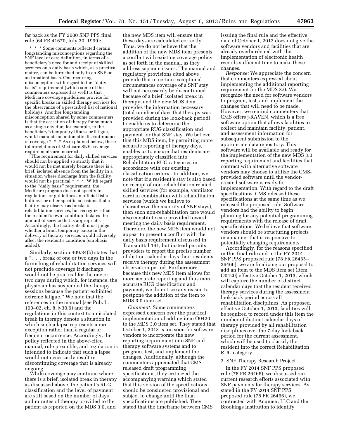far back as the FY 2000 SNF PPS final rule (64 FR 41670, July 30, 1999):

\* \* \* Some comments reflected certain longstanding misconceptions regarding the SNF level of care definition, in terms of a beneficiary's need for and receipt of skilled services on a daily basis which, as a practical matter, can be furnished only in an SNF on an inpatient basis. One recurring misconception with regard to the ''daily basis'' requirement (which some of the commenters expressed as well) is that Medicare coverage guidelines provide for specific breaks in skilled therapy services for the observance of a prescribed list of national holidays. Another longstanding misconception shared by some commenters is that the cessation of therapy for so much as a single day due, for example, to the beneficiary's temporary illness or fatigue, would mandate an automatic discontinuance of coverage \* \* \* As explained below, these interpretations of Medicare SNF coverage requirements are incorrect.

[T]he requirement for daily skilled services should not be applied so strictly that it would not be met merely because there is a brief, isolated absence from the facility in a situation where discharge from the facility would not be practical  $* * * [W]$ ith regard to the ''daily basis'' requirement, the Medicare program does not specify in regulations or guidelines an official list of holidays or other specific occasions that a facility may observe as breaks in rehabilitation services, but recognizes that the resident's own condition dictates the amount of service that is appropriate. Accordingly, the facility itself must judge whether a brief, temporary pause in the delivery of therapy services would adversely affect the resident's condition (emphasis added).

Similarly, section 409.34(b) states that a ''. . . break of one or two days in the furnishing of rehabilitation services will not preclude coverage if discharge would not be practical for the one or two days during which, for instance, the physician has suspended the therapy sessions because the patient exhibited extreme fatigue.'' We note that the references in the manual (see Pub. L. 100–02, ch. 8, § 30.6) and the regulations in this context to an isolated break in therapy denote a situation in which such a lapse represents a rare exception rather than a regular or frequent occurrence. Accordingly, the policy reflected in the above-cited manual, rule preamble, and regulation is intended to indicate that such a lapse would not necessarily result in discontinuing coverage that is already ongoing.

While coverage may continue where there is a brief, isolated break in therapy as discussed above, the patient's RUG classification and the level of payment are still based on the number of days and minutes of therapy provided to the patient as reported on the MDS 3.0, and

the new MDS item will ensure that these days are calculated correctly. Thus, we do not believe that the addition of the new MDS item presents a conflict with existing coverage policy as set forth in the manual, as they address separate issues. The manual and regulatory provisions cited above provide that in certain exceptional circumstances coverage of a SNF stay will not necessarily be discontinued because of a brief, isolated break in therapy; and the new MDS item provides the information necessary (total number of days that therapy was provided during the look-back period) to enable us to determine the appropriate RUG classification and payment for that SNF stay. We believe that this MDS item, by permitting more accurate reporting of therapy days, enables us to ensure that residents are appropriately classified into Rehabilitation RUG categories in accordance with our existing classification criteria. In addition, we note that if a resident's stay is also based on receipt of non-rehabilitation related skilled services (for example, ventilator care) in combination with rehabilitation services (which we believe to characterize the majority of SNF stays), then such non-rehabilitation care would also constitute care provided toward meeting the daily basis requirement. Therefore, the new MDS item would not appear to present a conflict with the daily basis requirement discussed in Transmittal 161, but instead permits providers to report the precise number of distinct calendar days their residents receive therapy during the assessment observation period. Furthermore, because this new MDS item allows for more accurate reporting and thus more accurate RUG classification and payment, we do not see any reason to postpone the addition of the item to MDS 3.0 item set.

*Comment:* Some commenters expressed concern over the practical implementation of adding item O0420 to the MDS 3.0 item set. They stated that October 1, 2013 is too soon for software vendors to incorporate the new reporting requirement into SNF and therapy software systems and to program, test, and implement the changes. Additionally, although the commenters appreciated that CMS released draft programming specifications, they criticized the accompanying warning which stated that this version of the specifications should be considered provisional and subject to change until the final specifications are published. They stated that the timeframe between CMS

issuing the final rule and the effective date of October 1, 2013 does not give the software vendors and facilities that are already overburdened with the implementation of electronic health records sufficient time to make these changes.

*Response:* We appreciate the concern that commenters expressed about implementing the additional reporting requirement for the MDS 3.0. We recognize the need for software vendors to program, test, and implement the changes that will need to be made. However, we remind commenters that CMS offers j-RAVEN, which is a free software option that allows facilities to collect and maintain facility, patient, and assessment information for subsequent submission to the appropriate data repository. This software will be available and ready for the implementation of the new MDS 3.0 reporting requirement and facilities that contract with alternative software vendors may choose to utilize the CMSprovided software until the vendorcreated software is ready for implementation. With regard to the draft specifications, CMS released these specifications at the same time as we released the proposed rule. Software vendors had the ability to begin planning for any potential programming requirements with the release of draft specifications. We believe that software vendors should be structuring projects in a manner that is responsive to potentially changing requirements.

Accordingly, for the reasons specified in this final rule and in the FY 2014 SNF PPS proposed rule (78 FR 26465– 26466), we are finalizing our proposal to add an item to the MDS item set (Item O0420) effective October 1, 2013, which will capture the number of distinct calendar days that the resident received therapy services during the assessment look-back period across all rehabilitation disciplines. As proposed, effective October 1, 2013, facilities will be required to record under this item the number of distinct calendar days of therapy provided by all rehabilitation disciplines over the 7-day look-back period for the current assessment, which will be used to classify the resident into the correct Rehabilitation RUG category.

### 3. SNF Therapy Research Project

In the FY 2014 SNF PPS proposed rule (78 FR 26466), we discussed our current research efforts associated with SNF payments for therapy services. As stated in the FY 2014 SNF PPS proposed rule (78 FR 26466), we contracted with Acumen, LLC and the Brookings Institution to identify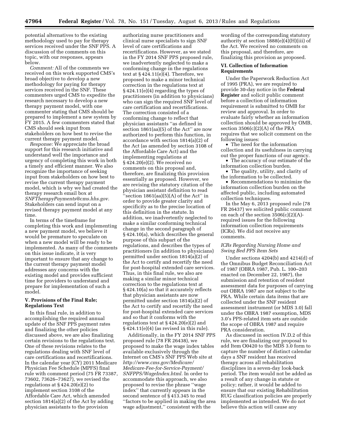potential alternatives to the existing methodology used to pay for therapy services received under the SNF PPS. A discussion of the comments on this topic, with our responses, appears below.

*Comment:* All of the comments we received on this work supported CMS's broad objective to develop a new methodology for paying for therapy services received in the SNF. These commenters urged CMS to expedite the research necessary to develop a new therapy payment model, with one commenter stating that CMS should be prepared to implement a new system by FY 2015. A few commenters stated that CMS should seek input from stakeholders on how best to revise the current therapy payment model.

*Response:* We appreciate the broad support for this research initiative and understand well the importance and urgency of completing this work in both a timely and efficient manner. We also recognize the importance of seeking input from stakeholders on how best to revise the current therapy payment model, which is why we had created the therapy research email box at *[SNFTherapyPayments@cms.hhs.gov.](mailto:SNFTherapyPayments@cms.hhs.gov)*  Stakeholders can send input on a revised therapy payment model at any time.

In terms of the timeframe for completing this work and implementing a new payment model, we believe it would be premature to speculate on when a new model will be ready to be implemented. As many of the comments on this issue indicate, it is very important to ensure that any change to the current therapy payment model addresses any concerns with the existing model and provides sufficient time for providers to understand and prepare for implementation of such a model.

### **V. Provisions of the Final Rule; Regulations Text**

In this final rule, in addition to accomplishing the required annual update of the SNF PPS payment rates and finalizing the other policies discussed above, we are also finalizing certain revisions to the regulations text. One of these revisions relates to the regulations dealing with SNF level of care certifications and recertifications. In the calendar year (CY) 2011 Medicare Physician Fee Schedule (MPFS) final rule with comment period (75 FR 73387, 73602, 73626–73627), we revised the regulations at § 424.20(e)(2) to implement section 3108 of the Affordable Care Act, which amended section 1814(a)(2) of the Act by adding physician assistants to the provision

authorizing nurse practitioners and clinical nurse specialists to sign SNF level of care certifications and recertifications. However, as we stated in the FY 2014 SNF PPS proposed rule, we inadvertently neglected to make a conforming change in the regulations text at  $\S 424.11(e)(4)$ . Therefore, we proposed to make a minor technical correction in the regulations text at § 424.11(e)(4) regarding the types of practitioners (in addition to physicians) who can sign the required SNF level of care certification and recertifications. The correction consisted of a conforming change to reflect that physician assistants ''as defined in section 1861(aa)(5) of the Act'' are now authorized to perform this function, in accordance with section 1814(a)(2) of the Act (as amended by section 3108 of the Affordable Care Act) and the implementing regulations at § 424.20(e)(2). We received no comments on this proposal and, therefore, are finalizing this provision essentially as proposed. However, we are revising the statutory citation of the physician assistant definition to read 'section  $1861(aa)(5)(A)$  of the Act'' in order to provide greater clarity and specificity as to the precise location of this definition in the statute. In addition, we inadvertently neglected to make a similar conforming technical change in the second paragraph of § 424.10(a), which describes the general purpose of this subpart of the regulations, and describes the types of practitioners (in addition to physicians) permitted under section 1814(a)(2) of the Act to certify and recertify the need for post-hospital extended care services. Thus, in this final rule, we also are making a similar minor technical correction to the regulations text at § 424.10(a) so that it accurately reflects that physician assistants are now permitted under section 1814(a)(2) of the Act to certify and recertify the need for post-hospital extended care services and so that it conforms with the regulations text at § 424.20(e)(2) and  $§$  424.11(e)(4) (as revised in this rule).

Additionally, in the FY 2014 SNF PPS proposed rule (78 FR 26438), we proposed to make the wage index tables available exclusively through the Internet on CMS's SNF PPS Web site at *[http://www.cms.gov/Medicare/](http://www.cms.gov/Medicare/Medicare-Fee-for-Service-Payment/SNFPPS/WageIndex.html) [Medicare-Fee-for-Service-Payment/](http://www.cms.gov/Medicare/Medicare-Fee-for-Service-Payment/SNFPPS/WageIndex.html)  [SNFPPS/WageIndex.html.](http://www.cms.gov/Medicare/Medicare-Fee-for-Service-Payment/SNFPPS/WageIndex.html)* In order to accommodate this approach, we also proposed to revise the phrase ''wage index'' that currently appears in the second sentence of § 413.345 to read ''factors to be applied in making the area wage adjustment,'' consistent with the

wording of the corresponding statutory authority at section 1888(e)(4)(H)(iii) of the Act. We received no comments on this proposal, and therefore, are finalizing this provision as proposed.

### **VI. Collection of Information Requirements**

Under the Paperwork Reduction Act of 1995 (PRA), we are required to provide 30-day notice in the **Federal Register** and solicit public comment before a collection of information requirement is submitted to OMB for review and approval. In order to evaluate fairly whether an information collection should be approved by OMB, section 3506(c)(2)(A) of the PRA requires that we solicit comment on the following issues:

• The need for the information collection and its usefulness in carrying out the proper functions of our agency.

• The accuracy of our estimate of the information collection burden.

• The quality, utility, and clarity of the information to be collected.

• Recommendations to minimize the information collection burden on the affected public, including automated collection techniques.

In the May 6, 2013 proposed rule (78 FR 26437) we solicited public comment on each of the section  $3506(c)(2)(A)$ required issues for the following information collection requirements (ICRs). We did not receive any comments.

### *ICRs Regarding Nursing Home and Swing Bed PPS Item Sets*

Under sections 4204(b) and 4214(d) of the Omnibus Budget Reconciliation Act of 1987 (OBRA 1987, Pub. L. 100–203 enacted on December 22, 1987), the submission and retention of resident assessment data for purposes of carrying out OBRA 1987 are not subject to the PRA. While certain data items that are collected under the SNF resident assessment instrument (or MDS 3.0) fall under the OBRA 1987 exemption, MDS 3.0's PPS-related item sets are outside the scope of OBRA 1987 and require PRA consideration.

As discussed in section IV.D.2 of this rule, we are finalizing our proposal to add Item O0420 to the MDS 3.0 form to capture the number of distinct calendar days a SNF resident has received therapy across all rehabilitation disciplines in a seven-day look-back period. The item would not be added as a result of any change in statute or policy; rather, it would be added to ensure that our existing Rehabilitation RUG classification policies are properly implemented as intended. We do not believe this action will cause any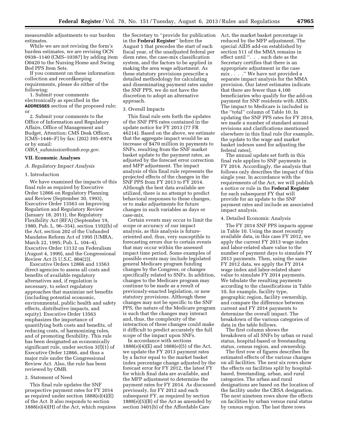measureable adjustments to our burden estimates.

While we are not revising the form's burden estimates, we are revising OCN 0938–1140 (CMS–10387) by adding item O0420 to the Nursing Home and Swing Bed PPS Item Sets.

If you comment on these information collection and recordkeeping requirements, please do either of the following:

1. Submit your comments electronically as specified in the **ADDRESSES** section of the proposed rule; or

2. Submit your comments to the Office of Information and Regulatory Affairs, Office of Management and Budget, Attention: CMS Desk Officer, [CMS–1446–F] by fax: (202) 395–6974 or by email:

*OIRA*\_*[submission@omb.eop.gov.](mailto:OIRA_submission@omb.eop.gov)* 

### **VII. Economic Analyses**

### *A. Regulatory Impact Analysis*

### 1. Introduction

We have examined the impacts of this final rule as required by Executive Order 12866 on Regulatory Planning and Review (September 30, 1993), Executive Order 13563 on Improving Regulation and Regulatory Review (January 18, 2011), the Regulatory Flexibility Act (RFA) (September 19, 1980, Pub. L. 96–354), section 1102(b) of the Act, section 202 of the Unfunded Mandates Reform Act of 1995 (UMRA, March 22, 1995; Pub. L. 104–4), Executive Order 13132 on Federalism (August 4, 1999), and the Congressional Review Act (5 U.S.C. 804(2)).

Executive Orders 12866 and 13563 direct agencies to assess all costs and benefits of available regulatory alternatives and, if regulation is necessary, to select regulatory approaches that maximize net benefits (including potential economic, environmental, public health and safety effects, distributive impacts, and equity). Executive Order 13563 emphasizes the importance of quantifying both costs and benefits, of reducing costs, of harmonizing rules, and of promoting flexibility. This rule has been designated an economically significant rule, under section 3(f)(1) of Executive Order 12866, and thus a major rule under the Congressional Review Act. Also, the rule has been reviewed by OMB.

### 2. Statement of Need

This final rule updates the SNF prospective payment rates for FY 2014 as required under section 1888(e)(4)(E) of the Act. It also responds to section 1888(e)(4)(H) of the Act, which requires

the Secretary to ''provide for publication in the **Federal Register**'' before the August 1 that precedes the start of each fiscal year, of the unadjusted federal per diem rates, the case-mix classification system, and the factors to be applied in making the area wage adjustment. As these statutory provisions prescribe a detailed methodology for calculating and disseminating payment rates under the SNF PPS, we do not have the discretion to adopt an alternative approach.

### 3. Overall Impacts

This final rule sets forth the updates of the SNF PPS rates contained in the update notice for FY 2013 (77 FR 46214). Based on the above, we estimate that the aggregate impact would be an increase of \$470 million in payments to SNFs, resulting from the SNF market basket update to the payment rates, as adjusted by the forecast error correction and MFP adjustment. The impact analysis of this final rule represents the projected effects of the changes in the SNF PPS from FY 2013 to FY 2014. Although the best data available are utilized, there is no attempt to predict behavioral responses to these changes, or to make adjustments for future changes in such variables as days or case-mix.

Certain events may occur to limit the scope or accuracy of our impact analysis, as this analysis is futureoriented and, thus, very susceptible to forecasting errors due to certain events that may occur within the assessed impact time period. Some examples of possible events may include legislated general Medicare program funding changes by the Congress, or changes specifically related to SNFs. In addition, changes to the Medicare program may continue to be made as a result of previously-enacted legislation, or new statutory provisions. Although these changes may not be specific to the SNF PPS, the nature of the Medicare program is such that the changes may interact and, thus, the complexity of the interaction of these changes could make it difficult to predict accurately the full scope of the impact upon SNFs.

In accordance with sections 1888(e)(4)(E) and 1888(e)(5) of the Act, we update the FY 2013 payment rates by a factor equal to the market basket index percentage change adjusted by the forecast error for FY 2012, the latest FY for which final data are available, and the MFP adjustment to determine the payment rates for FY 2014. As discussed previously, for FY 2012 and each subsequent FY, as required by section  $1888(e)(5)(B)$  of the Act as amended by section 3401(b) of the Affordable Care

Act, the market basket percentage is reduced by the MFP adjustment. The special AIDS add-on established by section 511 of the MMA remains in effect until ''. . . such date as the Secretary certifies that there is an appropriate adjustment in the case mix . . . .'' We have not provided a separate impact analysis for the MMA provision. Our latest estimates indicate that there are fewer than 4,100 beneficiaries who qualify for the add-on payment for SNF residents with AIDS. The impact to Medicare is included in the ''total'' column of Table 10. In updating the SNF PPS rates for FY 2014, we made a number of standard annual revisions and clarifications mentioned elsewhere in this final rule (for example, the update to the wage and market basket indexes used for adjusting the federal rates).

The annual update set forth in this final rule applies to SNF payments in FY 2014. Accordingly, the analysis that follows only describes the impact of this single year. In accordance with the requirements of the Act, we will publish a notice or rule in the **Federal Register**  for each subsequent FY that will provide for an update to the SNF payment rates and include an associated impact analysis.

### 4. Detailed Economic Analysis

The FY 2014 SNF PPS impacts appear in Table 10. Using the most recently available data, in this case FY 2012, we apply the current FY 2013 wage index and labor-related share value to the number of payment days to simulate FY 2013 payments. Then, using the same FY 2012 data, we apply the FY 2014 wage index and labor-related share value to simulate FY 2014 payments. We tabulate the resulting payments according to the classifications in Table 10, for example, facility type, geographic region, facility ownership, and compare the difference between current and FY 2014 payments to determine the overall impact. The breakdown of the various categories of data in the table follows.

The first column shows the breakdown of all SNFs by urban or rural status, hospital-based or freestanding status, census region, and ownership.

The first row of figures describes the estimated effects of the various changes on all facilities. The next six rows show the effects on facilities split by hospitalbased, freestanding, urban, and rural categories. The urban and rural designations are based on the location of the facility under the CBSA designation. The next nineteen rows show the effects on facilities by urban versus rural status by census region. The last three rows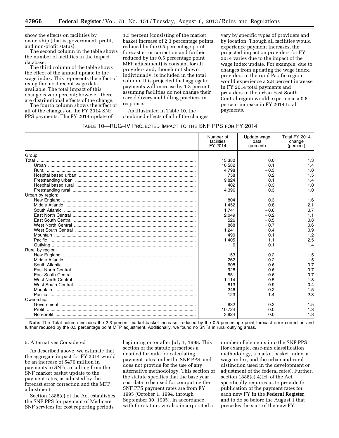show the effects on facilities by ownership (that is, government, profit, and non-profit status).

The second column in the table shows the number of facilities in the impact database.

The third column of the table shows the effect of the annual update to the wage index. This represents the effect of using the most recent wage data available. The total impact of this change is zero percent; however, there are distributional effects of the change.

The fourth column shows the effect of all of the changes on the FY 2014 SNF PPS payments. The FY 2014 update of

1.3 percent (consisting of the market basket increase of 2.3 percentage points, reduced by the 0.5 percentage point forecast error correction and further reduced by the 0.5 percentage point MFP adjustment) is constant for all providers and, though not shown individually, is included in the total column. It is projected that aggregate payments will increase by 1.3 percent, assuming facilities do not change their care delivery and billing practices in response.

As illustrated in Table 10, the combined effects of all of the changes

vary by specific types of providers and by location. Though all facilities would experience payment increases, the projected impact on providers for FY 2014 varies due to the impact of the wage index update. For example, due to changes from updating the wage index, providers in the rural Pacific region would experience a 2.8 percent increase in FY 2014 total payments and providers in the urban East South Central region would experience a 0.8 percent increase in FY 2014 total payments.

### TABLE 10—RUG–IV PROJECTED IMPACT TO THE SNF PPS FOR FY 2014

|                  | Number of<br>facilities<br>FY 2014 | Update wage<br>data<br>(percent) | Total FY 2014<br>change<br>(percent) |
|------------------|------------------------------------|----------------------------------|--------------------------------------|
| Group:           |                                    |                                  |                                      |
|                  | 15,380                             | 0.0                              | 1.3                                  |
|                  | 10,582                             | 0.1                              | 1.4                                  |
|                  | 4.798                              | $-0.3$                           | 1.0                                  |
|                  | 758                                | 0.2                              | 1.5                                  |
|                  | 9,824                              | 0.1                              | 1.4                                  |
|                  | 402                                | $-0.3$                           | 1.0                                  |
|                  | 4,396                              | $-0.3$                           | 1.0                                  |
| Urban by region: |                                    |                                  |                                      |
|                  | 804                                | 0.3                              | 1.6                                  |
|                  | 1,452                              | 0.8                              | 2.1                                  |
|                  | 1.741                              | $-0.6$                           | 0.7                                  |
|                  | 2,049                              | $-0.2$                           | 1.1                                  |
|                  | 526                                | $-0.5$                           | 0.8                                  |
|                  | 868                                | $-0.7$                           | 0.6                                  |
|                  | 1.241                              | $-0.4$                           | 0.9                                  |
|                  | 490                                | $-0.1$                           | 1.2                                  |
|                  | 1,405                              | 1.1                              | 2.5                                  |
|                  | 6                                  | 0.1                              | 1.4                                  |
| Rural by region: |                                    |                                  |                                      |
|                  | 153                                | 0.2                              | 1.5                                  |
|                  | 262                                | 0.2                              | 1.5                                  |
|                  | 608                                | $-0.6$                           | 0.7                                  |
|                  | 928                                | $-0.6$                           | 0.7                                  |
|                  | 551                                | $-0.6$                           | 0.7                                  |
|                  | 1.114                              | 0.5                              | 1.8                                  |
|                  | 813                                | $-0.9$                           | 0.4                                  |
|                  | 246                                | 0.2                              | 1.5                                  |
| Pacific          | 123                                | 1.4                              | 2.8                                  |
| Ownership:       |                                    |                                  |                                      |
|                  | 832                                | 0.2                              | 1.5                                  |
|                  | 10,724                             | 0.0                              | 1.3                                  |
|                  | 3,824                              | 0.0                              | 1.3                                  |

**Note:** The Total column includes the 2.3 percent market basket increase, reduced by the 0.5 percentage point forecast error correction and further reduced by the 0.5 percentage point MFP adjustment. Additionally, we found no SNFs in rural outlying areas.

### 5. Alternatives Considered

As described above, we estimate that the aggregate impact for FY 2014 would be an increase of \$470 million in payments to SNFs, resulting from the SNF market basket update to the payment rates, as adjusted by the forecast error correction and the MFP adjustment.

Section 1888(e) of the Act establishes the SNF PPS for payment of Medicare SNF services for cost reporting periods

beginning on or after July 1, 1998. This section of the statute prescribes a detailed formula for calculating payment rates under the SNF PPS, and does not provide for the use of any alternative methodology. This section of the statute specifies that the base year cost data to be used for computing the SNF PPS payment rates are from FY 1995 (October 1, 1994, through September 30, 1995). In accordance with the statute, we also incorporated a

number of elements into the SNF PPS (for example, case-mix classification methodology, a market basket index, a wage index, and the urban and rural distinction used in the development or adjustment of the federal rates). Further, section 1888(e)(4)(H) of the Act specifically requires us to provide for publication of the payment rates for each new FY in the **Federal Register**, and to do so before the August 1 that precedes the start of the new FY.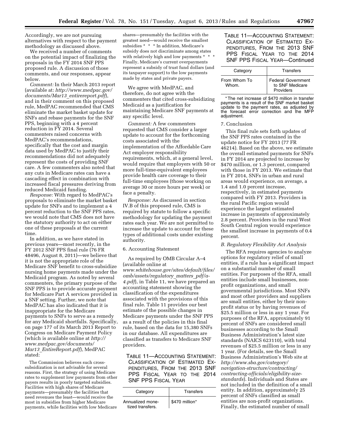Accordingly, we are not pursuing alternatives with respect to the payment methodology as discussed above.

We received a number of comments on the potential impact of finalizing the proposals in the FY 2014 SNF PPS proposed rule. A discussion of those comments, and our responses, appear below.

*Comment:* In their March 2013 report (available at: *[http://www.medpac.gov/](http://www.medpac.gov/documents/Mar13_entirereport.pdf)  [documents/Mar13](http://www.medpac.gov/documents/Mar13_entirereport.pdf)*\_*entirereport.pdf*), and in their comment on this proposed rule, MedPAC recommended that CMS eliminate the market basket update for SNFs and rebase payments for the SNF PPS, beginning with a 4 percent reduction in FY 2014. Several commenters raised concerns with MedPAC's recommendations, specifically that the cost and margin data used by MedPAC to justify their recommendations did not adequately represent the costs of providing SNF care. A few commenters also noted that any cuts in Medicare rates can have a cascading effect in combination with increased fiscal pressures deriving from reduced Medicaid funding.

*Response:* With regard to MedPAC's proposals to eliminate the market basket update for SNFs and to implement a 4 percent reduction to the SNF PPS rates, we would note that CMS does not have the statutory authority to act on either one of these proposals at the current time.

In addition, as we have stated in previous years—most recently, in the FY 2012 SNF PPS final rule (76 FR 48496, August 8, 2011)—we believe that it is not the appropriate role of the Medicare SNF benefit to cross-subsidize nursing home payments made under the Medicaid program. As noted by several commenters, the primary purpose of the SNF PPS is to provide accurate payment for Medicare Part A services provided in a SNF setting. Further, we note that MedPAC has also indicated that it is inappropriate for the Medicare payments to SNFs to serve as a remedy for any Medicaid shortfalls. Specifically, on page 177 of its March 2013 Report to Congress on Medicare Payment Policy (which is available online at *[http://](http://www.medpac.gov/documents/Mar13_EntireReport.pdf)  [www.medpac.gov/documents/](http://www.medpac.gov/documents/Mar13_EntireReport.pdf) Mar13*\_*[EntireReport.pdf](http://www.medpac.gov/documents/Mar13_EntireReport.pdf)*), MedPAC stated:

The Commission believes such crosssubsidization is not advisable for several reasons. First, the strategy of using Medicare rates to supplement low payments from other payers results in poorly targeted subsidies. Facilities with high shares of Medicare payments—presumably the facilities that need revenues the least—would receive the most in subsidies from higher Medicare payments, while facilities with low Medicare

shares—presumably the facilities with the greatest need—would receive the smallest subsidies \* \* \* In addition, Medicare's subsidy does not discriminate among states with relatively high and low payments \* \* Finally, Medicare's current overpayments represent a subsidy of trust fund dollars (and its taxpayer support) to the low payments made by states and private payers.

We agree with MedPAC, and therefore, do not agree with the commenters that cited cross-subsidizing Medicaid as a justification for maintaining Medicare SNF payments at any specific level.

*Comment:* A few commenters requested that CMS consider a larger update to account for the forthcoming costs associated with the implementation of the Affordable Care Act employer responsibility requirements, which, at a general level, would require that employers with 50 or more full-time-equivalent employees provide health care coverage to their full-time employees (those working on average 30 or more hours per week) or face a penalty.

*Response:* As discussed in section IV.B of this proposed rule, CMS is required by statute to follow a specific methodology for updating the payment rates each year. We are not permitted to increase the update to account for these types of additional costs under existing authority.

### 6. Accounting Statement

As required by OMB Circular A–4 (available online at *[www.whitehouse.gov/sites/default/files/](http://www.whitehouse.gov/sites/default/files/omb/assets/regulatory_matters_pdf/a-4.pdf)  [omb/assets/regulatory](http://www.whitehouse.gov/sites/default/files/omb/assets/regulatory_matters_pdf/a-4.pdf)*\_*matters*\_*pdf/a-[4.pdf](http://www.whitehouse.gov/sites/default/files/omb/assets/regulatory_matters_pdf/a-4.pdf)*), in Table 11, we have prepared an accounting statement showing the classification of the expenditures associated with the provisions of this final rule. Table 11 provides our best estimate of the possible changes in Medicare payments under the SNF PPS as a result of the policies in this final rule, based on the data for 15,380 SNFs in our database. All expenditures are classified as transfers to Medicare SNF providers.

TABLE 11—ACCOUNTING STATEMENT: CLASSIFICATION OF ESTIMATED EX-PENDITURES, FROM THE 2013 SNF PPS FISCAL YEAR TO THE 2014 SNF PPS FISCAL YEAR

| Category                             | Transfers      |
|--------------------------------------|----------------|
| Annualized mone-<br>tized transfers. | \$470 million* |

TABLE 11—ACCOUNTING STATEMENT: CLASSIFICATION OF ESTIMATED EX-PENDITURES, FROM THE 2013 SNF PPS FISCAL YEAR TO THE 2014 SNF PPS FISCAL YEAR—Continued

| Category     | Transfers                             |
|--------------|---------------------------------------|
| From Whom To | Federal Government<br>to SNF Medicare |
| Whom.        | Providers                             |

\* The net increase of \$470 million in transfer payments is a result of the SNF market basket update to the payment rates, as adjusted by the forecast error correction and the MFP adjustment.

### 7. Conclusion

This final rule sets forth updates of the SNF PPS rates contained in the update notice for FY 2013 (77 FR 46214). Based on the above, we estimate the overall estimated payments for SNFs in FY 2014 are projected to increase by \$470 million, or 1.3 percent, compared with those in FY 2013. We estimate that in FY 2014, SNFs in urban and rural areas would experience, on average, a 1.4 and 1.0 percent increase, respectively, in estimated payments compared with FY 2013. Providers in the rural Pacific region would experience the largest estimated increase in payments of approximately 2.8 percent. Providers in the rural West South Central region would experience the smallest increase in payments of 0.4 percent.

### *B. Regulatory Flexibility Act Analysis*

The RFA requires agencies to analyze options for regulatory relief of small entities, if a rule has a significant impact on a substantial number of small entities. For purposes of the RFA, small entities include small businesses, nonprofit organizations, and small governmental jurisdictions. Most SNFs and most other providers and suppliers are small entities, either by their nonprofit status or by having revenues of \$25.5 million or less in any 1 year. For purposes of the RFA, approximately 91 percent of SNFs are considered small businesses according to the Small Business Administration's latest size standards (NAICS 623110), with total revenues of \$25.5 million or less in any 1 year. (For details, see the Small Business Administration's Web site at *http://www.sba.gov/category/ [navigation-structure/contracting/](http://www.sba.gov/category/navigation-structure/contracting/contracting-officials/eligibility-size-standards)  contracting-officials/eligibility-size[standards](http://www.sba.gov/category/navigation-structure/contracting/contracting-officials/eligibility-size-standards)*). Individuals and States are not included in the definition of a small entity. In addition, approximately 25 percent of SNFs classified as small entities are non-profit organizations. Finally, the estimated number of small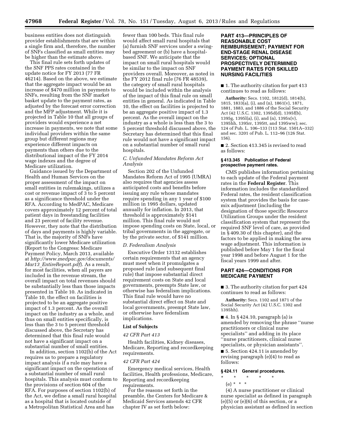business entities does not distinguish provider establishments that are within a single firm and, therefore, the number of SNFs classified as small entities may be higher than the estimate above.

This final rule sets forth updates of the SNF PPS rates contained in the update notice for FY 2013 (77 FR 46214). Based on the above, we estimate that the aggregate impact would be an increase of \$470 million in payments to SNFs, resulting from the SNF market basket update to the payment rates, as adjusted by the forecast error correction and the MFP adjustment. While it is projected in Table 10 that all groups of providers would experience a net increase in payments, we note that some individual providers within the same group but different regions may experience different impacts on payments than others due to the distributional impact of the FY 2014 wage indexes and the degree of Medicare utilization.

Guidance issued by the Department of Health and Human Services on the proper assessment of the impact on small entities in rulemakings, utilizes a cost or revenue impact of 3 to 5 percent as a significance threshold under the RFA. According to MedPAC, Medicare covers approximately 12 percent of total patient days in freestanding facilities and 23 percent of facility revenue. However, they note that the distribution of days and payments is highly variable. That is, the majority of SNFs have significantly lower Medicare utilization (Report to the Congress: Medicare Payment Policy, March 2013, available at *[http://www.medpac.gov/documents/](http://www.medpac.gov/documents/Mar13_EntireReport.pdf)  Mar13*\_*[EntireReport.pdf](http://www.medpac.gov/documents/Mar13_EntireReport.pdf)*). As a result, for most facilities, when all payers are included in the revenue stream, the overall impact on total revenues should be substantially less than those impacts presented in Table 10. As indicated in Table 10, the effect on facilities is projected to be an aggregate positive impact of 1.3 percent. As the overall impact on the industry as a whole, and thus on small entities specifically, is less than the 3 to 5 percent threshold discussed above, the Secretary has determined that this final rule would not have a significant impact on a substantial number of small entities.

In addition, section 1102(b) of the Act requires us to prepare a regulatory impact analysis if a rule may have a significant impact on the operations of a substantial number of small rural hospitals. This analysis must conform to the provisions of section 604 of the RFA. For purposes of section 1102(b) of the Act, we define a small rural hospital as a hospital that is located outside of a Metropolitan Statistical Area and has

fewer than 100 beds. This final rule would affect small rural hospitals that (a) furnish SNF services under a swingbed agreement or (b) have a hospitalbased SNF. We anticipate that the impact on small rural hospitals would be similar to the impact on SNF providers overall. Moreover, as noted in the FY 2012 final rule (76 FR 48539), the category of small rural hospitals would be included within the analysis of the impact of this final rule on small entities in general. As indicated in Table 10, the effect on facilities is projected to be an aggregate positive impact of 1.3 percent. As the overall impact on the industry as a whole is less than the 3 to 5 percent threshold discussed above, the Secretary has determined that this final rule would not have a significant impact on a substantial number of small rural hospitals.

### *C. Unfunded Mandates Reform Act Analysis*

Section 202 of the Unfunded Mandates Reform Act of 1995 (UMRA) also requires that agencies assess anticipated costs and benefits before issuing any rule whose mandates require spending in any 1 year of \$100 million in 1995 dollars, updated annually for inflation. In 2013, that threshold is approximately \$141 million. This final rule would not impose spending costs on State, local, or tribal governments in the aggregate, or by the private sector, of \$141 million.

### *D. Federalism Analysis*

Executive Order 13132 establishes certain requirements that an agency must meet when it promulgates a proposed rule (and subsequent final rule) that impose substantial direct requirement costs on State and local governments, preempts State law, or otherwise has federalism implications. This final rule would have no substantial direct effect on State and local governments, preempt State law, or otherwise have federalism implications.

### **List of Subjects**

### *42 CFR Part 413*

Health facilities, Kidney diseases, Medicare, Reporting and recordkeeping requirements.

### *42 CFR Part 424*

Emergency medical services, Health facilities, Health professions, Medicare, Reporting and recordkeeping requirements.

For the reasons set forth in the preamble, the Centers for Medicare & Medicaid Services amends 42 CFR chapter IV as set forth below:

### **PART 413—PRINCIPLES OF REASONABLE COST REIMBURSEMENT; PAYMENT FOR END-STAGE RENAL DISEASE SERVICES; OPTIONAL PROSPECTIVELY DETERMINED PAYMENT RATES FOR SKILLED NURSING FACILITIES**

■ 1. The authority citation for part 413 continues to read as follows:

**Authority:** Secs. 1102, 1812(d), 1814(b), 1815, 1833(a), (i), and (n), 1861(v), 1871, 1881, 1883, and 1886 of the Social Security Act (42 U.S.C. 1302, 1395d(d), 1395f(b), 1395g, 1395l(a), (i), and (n), 1395x(v), 1395hh, 1395rr, 1395tt, and 1395ww); sec. 124 of Pub. L. 106–133 (113 Stat. 1501A–332) and sec. 3201 of Pub. L. 112–96 (126 Stat. 156).

■ 2. Section 413.345 is revised to read as follows:

### **§ 413.345 Publication of Federal prospective payment rates.**

CMS publishes information pertaining to each update of the Federal payment rates in the **Federal Register**. This information includes the standardized Federal rates, the resident classification system that provides the basis for casemix adjustment (including the designation of those specific Resource Utilization Groups under the resident classification system that represent the required SNF level of care, as provided in § 409.30 of this chapter), and the factors to be applied in making the area wage adjustment. This information is published before May 1 for the fiscal year 1998 and before August 1 for the fiscal years 1999 and after.

### **PART 424—CONDITIONS FOR MEDICARE PAYMENT**

■ 3. The authority citation for part 424 continues to read as follows:

**Authority:** Secs. 1102 and 1871 of the Social Security Act (42 U.S.C. 1302 and 1395hh).

■ 4. In § 424.10, paragraph (a) is amended by removing the phrase ''nurse practitioners or clinical nurse specialists'' and adding in its place ''nurse practitioners, clinical nurse specialists, or physician assistants''.

■ 5. Section 424.11 is amended by revising paragraph (e)(4) to read as follows:

### **§ 424.11 General procedures.**

- \* \* \* \* \*
	- (e) \* \* \*

(4) A nurse practitioner or clinical nurse specialist as defined in paragraph  $(e)(5)$  or  $(e)(6)$  of this section, or a physician assistant as defined in section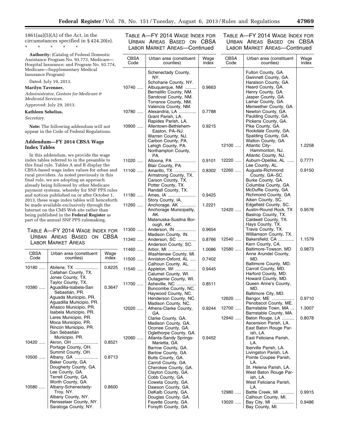$1861(aa)(5)(A)$  of the Act, in the circumstances specified in § 424.20(e).

\* \* \* \* \*

**Authority:** (Catalog of Federal Domestic Assistance Program No. 93.773, Medicare— Hospital Insurance; and Program No. 93.774, Medicare—Supplementary Medical Insurance Program)

### Dated: July 19, 2013.

**Marilyn Tavenner,** 

*Administrator, Centers for Medicare & Medicaid Services.* 

### Approved: July 29, 2013.

### **Kathleen Sebelius,**

*Secretary.* 

**Note:** The following addendum will not appear in the Code of Federal Regulations.

### **Addendum—FY 2014 CBSA Wage Index Tables**

In this addendum, we provide the wage index tables referred to in the preamble to this final rule. Tables A and B display the CBSA-based wage index values for urban and rural providers. As noted previously in this final rule, we are adopting an approach already being followed by other Medicare payment systems, whereby for SNF PPS rules and notices published on or after October 1, 2013, these wage index tables will henceforth be made available exclusively through the Internet on the CMS Web site rather than being published in the **Federal Register** as part of the annual SNF PPS rulemaking.

### TABLE A—FY 2014 WAGE INDEX FOR URBAN AREAS BASED ON CBSA LABOR MARKET AREAS

|              |                                                                                                                               |               | 11460 |
|--------------|-------------------------------------------------------------------------------------------------------------------------------|---------------|-------|
| CBSA<br>Code | Urban area (constituent<br>counties)                                                                                          | Wage<br>index |       |
|              |                                                                                                                               |               | 11500 |
| 10180        | Abilene, TX<br>Callahan County, TX.<br>Jones County, TX.                                                                      | 0.8225        | 11540 |
| 10380        | Taylor County, TX.<br>Aguadilla-Isabela-San<br>Sebastián, PR.                                                                 | 0.3647        | 11700 |
|              | Aguada Municipio, PR.<br>Aguadilla Municipio, PR.<br>Añasco Municipio, PR.                                                    |               | 12020 |
|              | Isabela Municipio, PR.<br>Lares Municipio, PR.<br>Moca Municipio, PR.<br>Rincón Municipio, PR.                                |               |       |
|              | San Sebastián                                                                                                                 |               |       |
|              | Municipio, PR.                                                                                                                |               | 12060 |
| $10420$      | Akron, OH                                                                                                                     | 0.8521        |       |
|              | Portage County, OH.<br>Summit County, OH.                                                                                     |               |       |
| $10500$      | Albany, GA                                                                                                                    | 0.8713        |       |
|              | Baker County, GA.<br>Dougherty County, GA.<br>Lee County, GA.<br>Terrell County, GA.                                          |               |       |
| $10580$      | Worth County, GA.<br>Albany-Schenectady-<br>Troy, NY.<br>Albany County, NY.<br>Rensselaer County, NY.<br>Saratoga County, NY. | 0.8600        |       |

### TABLE A—FY 2014 WAGE INDEX FOR URBAN AREAS BASED ON CBSA LABOR MARKET AREAS—Continued

11100

TABLE A—FY 2014 WAGE INDEX FOR URBAN AREAS BASED ON CBSA LABOR MARKET AREAS—Continued

| <b>CBSA</b><br>Code | Urban area (constituent<br>counties)                                                                                     | Wage<br>index | <b>CBSA</b><br>Code | Urban area (constituent<br>counties)                                                                                               | Wage<br>index |
|---------------------|--------------------------------------------------------------------------------------------------------------------------|---------------|---------------------|------------------------------------------------------------------------------------------------------------------------------------|---------------|
| 10740               | Schenectady County,<br>NY.<br>Schoharie County, NY.<br>Albuquerque, NM<br>Bernalillo County, NM.<br>Sandoval County, NM. | 0.9663        |                     | Fulton County, GA.<br>Gwinnett County, GA.<br>Haralson County, GA.<br>Heard County, GA.<br>Henry County, GA.<br>Jasper County, GA. |               |
| 10780               | Torrance County, NM.<br>Valencia County, NM.<br>Alexandria, LA<br>Grant Parish, LA.                                      | 0.7788        |                     | Lamar County, GA.<br>Meriwether County, GA.<br>Newton County, GA.<br>Paulding County, GA.                                          |               |
| 10900               | Rapides Parish, LA.<br>Allentown-Bethlehem-<br>Easton, PA-NJ.<br>Warren County, NJ.                                      | 0.9215        |                     | Pickens County, GA.<br>Pike County, GA.<br>Rockdale County, GA.<br>Spalding County, GA.                                            |               |
|                     | Carbon County, PA.<br>Lehigh County, PA.<br>Northampton County,<br>PA.                                                   |               | 12100               | Walton County, GA.<br><b>Atlantic City-</b><br>Hammonton, NJ.<br>Atlantic County, NJ.                                              | 1.2258        |
| 11020               | Altoona, PA<br>Blair County, PA.                                                                                         | 0.9101        | 12220               | Auburn-Opelika, AL<br>Lee County, AL.                                                                                              | 0.7771        |
| 11100               | Amarillo, TX<br>Armstrong County, TX.<br>Carson County, TX.<br>Potter County, TX.                                        | 0.8302        | 12260               | Augusta-Richmond<br>County, GA-SC.<br>Burke County, GA.<br>Columbia County, GA.                                                    | 0.9150        |
| 11180               | Randall County, TX.<br>Ames, IA                                                                                          | 0.9425        |                     | McDuffie County, GA.<br>Richmond County, GA.                                                                                       |               |
| 11260               | Story County, IA.<br>Anchorage, AK<br>Anchorage Municipality,                                                            | 1.2221        | $12420$             | Aiken County, SC.<br>Edgefield County, SC.<br>Austin-Round Rock, TX                                                                | 0.9576        |
|                     | AK.<br>Matanuska-Susitna Bor-<br>ough, AK.                                                                               |               |                     | Bastrop County, TX.<br>Caldwell County, TX.<br>Hays County, TX.                                                                    |               |
| 11300               | Anderson, IN<br>Madison County, IN.                                                                                      | 0.9654        |                     | Travis County, TX.<br>Williamson County, TX.                                                                                       |               |
| 11340               | Anderson, SC<br>Anderson County, SC.                                                                                     | 0.8766        | 12540               | Bakersfield, CA<br>Kern County, CA.                                                                                                | 1.1579        |
| 11460               | Arbor, MI<br>Washtenaw County, MI.                                                                                       | 1.0086        | 12580               | Baltimore-Towson, MD<br>Anne Arundel County,                                                                                       | 0.9873        |
| 11500               | Anniston-Oxford, AL<br>Calhoun County, AL.                                                                               | 0.7402        |                     | MD.                                                                                                                                |               |
| 11540               | Appleton, WI<br>Calumet County, WI.                                                                                      | 0.9445        |                     | Baltimore County, MD.<br>Carroll County, MD.<br>Harford County, MD.                                                                |               |
| 11700               | Outagamie County, WI.<br>Asheville, NC<br>Buncombe County, NC.                                                           | 0.8511        |                     | Howard County, MD.<br>Queen Anne's County,<br>MD.                                                                                  |               |
|                     | Haywood County, NC.<br>Henderson County, NC.                                                                             |               | 12620               | Baltimore City, MD.<br>Bangor, ME                                                                                                  | 0.9710        |
| 12020               | Madison County, NC.<br>Athens-Clarke County,                                                                             | 0.9244        | 12700               | Penobscot County, ME.<br>Barnstable Town, MA                                                                                       | 1.3007        |
|                     | GA.<br>Clarke County, GA.<br>Madison County, GA.                                                                         |               | 12940               | Barnstable County, MA.<br>Baton Rouge, LA<br>Ascension Parish, LA.<br>East Baton Rouge Par-                                        | 0.8078        |
| 12060               | Oconee County, GA.<br>Oglethorpe County, GA.<br>Atlanta-Sandy Springs-<br>Marietta, GA.                                  | 0.9452        |                     | ish, LA.<br>East Feliciana Parish,<br>LA.                                                                                          |               |
|                     | Barrow County, GA.<br>Bartow County, GA.<br>Butts County, GA.<br>Carroll County, GA.                                     |               |                     | Iberville Parish, LA.<br>Livingston Parish, LA.<br>Pointe Coupee Parish,<br>LA.                                                    |               |
|                     | Cherokee County, GA.<br>Clayton County, GA.<br>Cobb County, GA.                                                          |               |                     | St. Helena Parish, LA.<br>West Baton Rouge Par-<br>ish, LA.                                                                        |               |
|                     | Coweta County, GA.<br>Dawson County, GA.                                                                                 |               |                     | West Feliciana Parish,<br>LA.                                                                                                      |               |
|                     | DeKalb County, GA.<br>Douglas County, GA.                                                                                |               | 12980               | Battle Creek, MI<br>Calhoun County, MI.                                                                                            | 0.9915        |
|                     | Fayette County, GA.<br>Forsyth County, GA.                                                                               |               | 13020               | Bay City, MI<br>Bay County, MI.                                                                                                    | 0.9486        |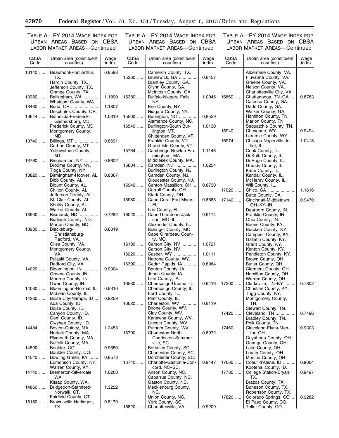<u>—</u>

TABLE A—FY 2014 WAGE INDEX FOR URBAN AREAS BASED ON CBSA LABOR MARKET AREAS—Continued

TABLE A—FY 2014 WAGE INDEX FOR URBAN AREAS BASED ON CBSA LABOR MARKET AREAS—Continued

٠

| <b>CBSA</b><br>Code | Urban area (constituent<br>counties)                                                              | Wage<br>index | <b>CBSA</b><br>Code | Urban area (constituent<br>counties)                                                                      | Wage<br>index | <b>CBSA</b><br>Code | Urban area (constituent<br>counties)                                                                                   | Wage<br>index |
|---------------------|---------------------------------------------------------------------------------------------------|---------------|---------------------|-----------------------------------------------------------------------------------------------------------|---------------|---------------------|------------------------------------------------------------------------------------------------------------------------|---------------|
| 13140               | Beaumont-Port Arthur,<br>TX.<br>Hardin County, TX.<br>Jefferson County, TX.<br>Orange County, TX. | 0.8598        | 15260               | Cameron County, TX.<br>Brunswick, GA<br>Brantley County, GA.<br>Glynn County, GA.<br>McIntosh County, GA. | 0.8457        |                     | Albemarle County, VA.<br>Fluvanna County, VA.<br>Greene County, VA.<br>Nelson County, VA.<br>Charlottesville City, VA. |               |
| 13380               | Bellingham, WA<br>Whatcom County, WA.                                                             | 1.1890        | 15380               | Buffalo-Niagara Falls,<br>NY.                                                                             | 1.0045        | 16860               | Chattanooga, TN-GA<br>Catoosa County, GA.                                                                              | 0.8783        |
| 13460               | Bend, OR<br>Deschutes County, OR.                                                                 | 1.1807        |                     | Erie County, NY.<br>Niagara County, NY.                                                                   |               |                     | Dade County, GA.<br>Walker County, GA.                                                                                 |               |
| 13644               | Bethesda-Frederick-<br>Gaithersburg, MD.                                                          | 1.0319        | 15500               | Burlington, NC<br>Alamance County, NC.                                                                    | 0.8529        |                     | Hamilton County, TN.<br>Marion County, TN.                                                                             |               |
|                     | Frederick County, MD.<br>Montgomery County,                                                       |               | 15540               | Burlington-South Bur-<br>lington, VT.                                                                     | 1.0130        | 16940               | Sequatchie County, TN.<br>Cheyenne, WY                                                                                 | 0.9494        |
| 13740               | MD.<br>Billings, MT<br>Carbon County, MT.                                                         | 0.8691        |                     | Chittenden County, VT.<br>Franklin County, VT.<br>Grand Isle County, VT.                                  |               | 16974               | Laramie County, WY.<br>Chicago-Naperville-Jo-<br>liet, IL.                                                             | 1.0418        |
|                     | Yellowstone County,<br>MT.                                                                        |               | 15764               | Cambridge-Newton-Fra-<br>mingham, MA.                                                                     | 1.1146        |                     | Cook County, IL.<br>DeKalb County, IL.                                                                                 |               |
| 13780               | Binghamton, NY<br>Broome County, NY.                                                              | 0.8602        | 15804               | Middlesex County, MA.<br>Camden, NJ                                                                       | 1.0254        |                     | DuPage County, IL.<br>Grundy County, IL.                                                                               |               |
| 13820               | Tioga County, NY.<br>Birmingham-Hoover, AL<br>Bibb County, AL.                                    | 0.8367        |                     | Burlington County, NJ.<br>Camden County, NJ.<br>Gloucester County, NJ.                                    |               |                     | Kane County, IL.<br>Kendall County, IL.<br>McHenry County, IL.                                                         |               |
|                     | Blount County, AL.<br>Chilton County, AL.                                                         |               | 15940               | Canton-Massillon, OH<br>Carroll County, OH.                                                               | 0.8730        | 17020               | Will County, IL.<br>Chico, CA                                                                                          | 1.1616        |
|                     | Jefferson County, AL.<br>St. Clair County, AL.                                                    |               | 15980               | Stark County, OH.<br>Cape Coral-Fort Myers,                                                               | 0.8683        | 17140               | Butte County, CA.<br>Cincinnati-Middletown,                                                                            | 0.9470        |
| 13900               | Shelby County, AL.<br>Walker County, AL.<br>Bismarck, ND                                          | 0.7282        | 16020               | FL.<br>Lee County, FL.<br>Cape Girardeau-Jack-                                                            | 0.9174        |                     | OH-KY-IN.<br>Dearborn County, IN.<br>Franklin County, IN.                                                              |               |
| 13980               | Burleigh County, ND.<br>Morton County, ND.                                                        | 0.8319        |                     | son, MO-IL.<br>Alexander County, IL.<br>Bollinger County, MO.                                             |               |                     | Ohio County, IN.<br>Boone County, KY.<br>Bracken County, KY.                                                           |               |
|                     | Blacksburg-<br>Christiansburg-<br>Radford, VA.                                                    |               |                     | Cape Girardeau Coun-<br>ty, MO.                                                                           |               |                     | Campbell County, KY.<br>Gallatin County, KY.                                                                           |               |
|                     | Giles County, VA.<br>Montgomery County,                                                           |               | 16180               | Carson City, NV<br>Carson City, NV.                                                                       | 1.0721        |                     | Grant County, KY.<br>Kenton County, KY.                                                                                |               |
|                     | VA.<br>Pulaski County, VA.                                                                        |               | 16220               | Casper, WY<br>Natrona County, WY.                                                                         | 1.0111        |                     | Pendleton County, KY.<br>Brown County, OH.                                                                             |               |
| 14020               | Radford City, VA.<br>Bloomington, IN<br>Greene County, IN.                                        | 0.9304        | 16300               | Cedar Rapids, IA<br>Benton County, IA.<br>Jones County, IA.                                               | 0.8964        |                     | Butler County, OH.<br>Clermont County, OH.<br>Hamilton County, OH.                                                     |               |
| 14060               | Monroe County, IN.<br>Owen County, IN.<br>Bloomington-Normal, IL                                  | 0.9310        | 16580               | Linn County, IA.<br>Champaign-Urbana, IL<br>Champaign County, IL.                                         | 0.9416        | 17300               | Warren County, OH.<br>Clarksville, TN-KY<br>Christian County, KY.                                                      | 0.7802        |
| 14260               | McLean County, IL.<br>Boise City-Nampa, ID                                                        | 0.9259        |                     | Ford County, IL.<br>Piatt County, IL.                                                                     |               |                     | Trigg County, KY.<br>Montgomery County,                                                                                |               |
|                     | Ada County, ID.<br>Boise County, ID.                                                              |               | 16620               | Charleston, WV<br>Boone County, WV.                                                                       | 0.8119        |                     | TN.<br>Stewart County, TN.                                                                                             |               |
|                     | Canyon County, ID.<br>Gem County, ID.                                                             |               |                     | Clay County, WV.<br>Kanawha County, WV.                                                                   |               | 17420               | Cleveland, TN<br>Bradley County, TN.                                                                                   | 0.7496        |
| 14484               | Owyhee County, ID.<br>Boston-Quincy, MA<br>Norfolk County, MA.                                    | 1.2453        | 16700               | Lincoln County, WV.<br>Putnam County, WV.<br>Charleston-North                                             | 0.8972        | 17460               | Polk County, TN.<br>Cleveland-Elyria-Men-<br>tor, OH.                                                                  | 0.9303        |
|                     | Plymouth County, MA.<br>Suffolk County, MA.                                                       |               |                     | Charleston-Summer-<br>ville, SC.                                                                          |               |                     | Cuyahoga County, OH.<br>Geauga County, OH.                                                                             |               |
| 14500               | Boulder, CO<br>Boulder County, CO.                                                                | 0.9850        |                     | Berkeley County, SC.<br>Charleston County, SC.                                                            |               |                     | Lake County, OH.<br>Lorain County, OH.                                                                                 |               |
| 14540               | Bowling Green, KY<br>Edmonson County, KY.<br>Warren County, KY.                                   | 0.8573        | 16740               | Dorchester County, SC.<br>Charlotte-Gastonia-Con-<br>cord, NC-SC.                                         | 0.9447        | 17660               | Medina County, OH.<br>Coeur d'Alene, ID<br>Kootenai County, ID.                                                        | 0.9064        |
| 14740               | Bremerton-Silverdale,<br>WA.                                                                      | 1.0268        |                     | Anson County, NC.<br>Cabarrus County, NC.                                                                 |               | 17780               | College Station-Bryan,<br>TX.                                                                                          | 0.9497        |
| 14860               | Kitsap County, WA.<br>Bridgeport-Stamford-<br>Norwalk, CT.                                        | 1.3252        |                     | Gaston County, NC.<br>Mecklenburg County,<br>NC.                                                          |               |                     | Brazos County, TX.<br>Burleson County, TX.<br>Robertson County, TX.                                                    |               |
| 15180               | Fairfield County, CT.<br>Brownsville-Harlingen,<br>TX.                                            | 0.8179        | 16820               | Union County, NC.<br>York County, SC.<br>Charlottesville, VA                                              | 0.9209        | 17820               | Colorado Springs, CO<br>El Paso County, CO.<br>Teller County, CO.                                                      | 0.9282        |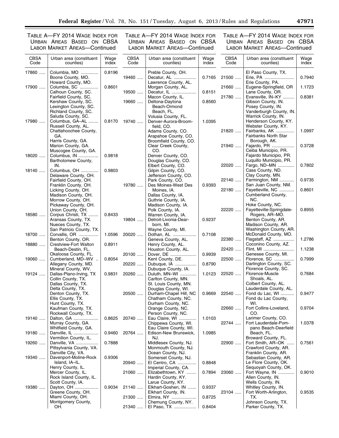TABLE A—FY 2014 WAGE INDEX FOR URBAN AREAS BASED ON CBSA LABOR MARKET AREAS—Continued

TABLE A—FY 2014 WAGE INDEX FOR URBAN AREAS BASED ON CBSA LABOR MARKET AREAS—Continued

| <b>CBSA</b><br>Code | Urban area (constituent<br>counties)                                                                                                   | Wage<br>index    | <b>CBSA</b><br>Code | Urban area (constituent<br>counties)                                                                              | Wage<br>index    | <b>CBSA</b><br>Code | Urban area (constituent<br>counties)                                                                                                    | Wage<br>index |
|---------------------|----------------------------------------------------------------------------------------------------------------------------------------|------------------|---------------------|-------------------------------------------------------------------------------------------------------------------|------------------|---------------------|-----------------------------------------------------------------------------------------------------------------------------------------|---------------|
| 17860               | Columbia, MO<br>Boone County, MO.<br>Howard County, MO.                                                                                | 0.8196           | 19460               | Preble County, OH.<br>Decatur, AL<br>Lawrence County, AL.                                                         | 0.7165           | 21500               | El Paso County, TX.<br>Erie, PA<br>Erie County, PA.                                                                                     | 0.7940        |
| 17900               | Columbia, SC<br>Calhoun County, SC.                                                                                                    | 0.8601           | 19500               | Morgan County, AL.<br>Decatur, IL                                                                                 | 0.8151           | 21660               | Eugene-Springfield, OR<br>Lane County, OR.                                                                                              | 1.1723        |
| 17980               | Fairfield County, SC.<br>Kershaw County, SC.<br>Lexington County, SC.<br>Richland County, SC.<br>Saluda County, SC.<br>Columbus, GA-AL | 0.8170           | 19660<br>19740      | Macon County, IL.<br>Deltona-Daytona<br>Beach-Ormond<br>Beach, FL.<br>Volusia County, FL.<br>Denver-Aurora-Broom- | 0.8560<br>1.0395 | 21780               | Evansville, IN-KY<br>Gibson County, IN.<br>Posey County, IN.<br>Vanderburgh County, IN.<br>Warrick County, IN.<br>Henderson County, KY. | 0.8381        |
|                     | Russell County, AL.<br>Chattahoochee County,<br>GA.<br>Harris County, GA.                                                              |                  |                     | field. CO.<br>Adams County, CO.<br>Arapahoe County, CO.<br>Broomfield County, CO.                                 |                  | 21820               | Webster County, KY.<br>Fairbanks, AK<br><b>Fairbanks North Star</b><br>Borough, AK.                                                     | 1.0997        |
| 18020               | Marion County, GA.<br>Muscogee County, GA.<br>Columbus, IN                                                                             | 0.9818           |                     | Clear Creek County,<br>CO.<br>Denver County, CO.                                                                  |                  | 21940               | Fajardo, PR<br>Ceiba Municipio, PR.<br>Fajardo Municipio, PR.                                                                           | 0.3728        |
| 18140               | Bartholomew County,<br>IN.<br>Columbus, OH                                                                                             | 0.9803           |                     | Douglas County, CO.<br>Elbert County, CO.<br>Gilpin County, CO.                                                   |                  | 22020               | Luquillo Municipio, PR.<br>Fargo, ND-MN<br>Cass County, ND.                                                                             | 0.7802        |
|                     | Delaware County, OH.<br>Fairfield County, OH.<br>Franklin County, OH.                                                                  |                  | 19780               | Jefferson County, CO.<br>Park County, CO.<br>Des Moines-West Des                                                  | 0.9393           | 22140               | Clay County, MN.<br>Farmington, NM<br>San Juan County, NM.                                                                              | 0.9735        |
|                     | Licking County, OH.<br>Madison County, OH.<br>Morrow County, OH.                                                                       |                  |                     | Moines, IA.<br>Dallas County, IA.<br>Guthrie County, IA.                                                          |                  | 22180               | Fayetteville, NC<br>Cumberland County,<br>NC.                                                                                           | 0.8601        |
| 18580               | Pickaway County, OH.<br>Union County, OH.<br>Corpus Christi, TX                                                                        | 0.8433           |                     | Madison County, IA.<br>Polk County, IA.<br>Warren County, IA.                                                     |                  | 22220               | Hoke County, NC.<br>Fayetteville-Springdale-<br>Rogers, AR-MO.                                                                          | 0.8955        |
|                     | Aransas County, TX.<br>Nueces County, TX.<br>San Patricio County, TX.                                                                  |                  | 19804               | Detroit-Livonia-Dear-<br>born, MI.<br>Wayne County, MI.                                                           | 0.9237           |                     | Benton County, AR.<br>Madison County, AR.<br>Washington County, AR.                                                                     |               |
| 18700<br>18880      | Corvallis, OR<br>Benton County, OR.<br><b>Crestview-Fort Walton</b>                                                                    | 1.0596<br>0.8911 | 20020               | Dothan, AL<br>Geneva County, AL.<br>Henry County, AL.                                                             | 0.7108           | 22380               | McDonald County, MO.<br>Flagstaff, AZ<br>Coconino County, AZ.                                                                           | 1.2786        |
|                     | Beach-Destin, FL.<br>Okaloosa County, FL.                                                                                              |                  | 20100               | Houston County, AL.<br>Dover, DE                                                                                  | 0.9939           | 22420               | Flint, MI<br>Genesee County, MI.                                                                                                        | 1.1238        |
| 19060               | Cumberland, MD-WV<br>Allegany County, MD.<br>Mineral County, WV.                                                                       | 0.8054           | 20220               | Kent County, DE.<br>Dubuque, IA<br>Dubuque County, IA.                                                            | 0.8790           | 22500               | Florence, SC<br>Darlington County, SC.<br>Florence County, SC.                                                                          | 0.7999        |
| 19124               | Dallas-Plano-Irving, TX<br>Collin County, TX.<br>Dallas County, TX.                                                                    | 0.9831           | 20260               | Duluth, MN-WI<br>Carlton County, MN.<br>St. Louis County, MN.                                                     | 1.0123           | 22520               | Florence-Muscle<br>Shoals, AL.<br>Colbert County, AL.                                                                                   | 0.7684        |
|                     | Delta County, TX.<br>Denton County, TX.<br>Ellis County, TX.<br>Hunt County, TX.                                                       |                  | 20500               | Douglas County, WI.<br>Durham-Chapel Hill, NC<br>Chatham County, NC.<br>Durham County, NC.                        | 0.9669           | 22540               | Lauderdale County, AL.<br>Fond du Lac, WI<br>Fond du Lac County,<br>WI.                                                                 | 0.9477        |
|                     | Kaufman County, TX.<br>Rockwall County, TX.                                                                                            |                  |                     | Orange County, NC.<br>Person County, NC.                                                                          |                  | 22660               | Fort Collins-Loveland,<br>CO.                                                                                                           | 0.9704        |
| 19140               | Dalton, GA<br>Murray County, GA.<br>Whitfield County, GA.                                                                              | 0.8625           | 20740               | Eau Claire, WI<br>Chippewa County, WI.<br>Eau Claire County, WI.                                                  | 1.0103           | 22744               | Larimer County, CO.<br>Fort Lauderdale-Pom-<br>pano Beach-Deerfield                                                                     | 1.0378        |
| 19180               | Danville, IL<br>Vermilion County, IL.                                                                                                  | 0.9460           | 20764               | Edison-New Brunswick,<br>NJ.                                                                                      | 1.0985           |                     | Beach, FL.<br>Broward County, FL.                                                                                                       |               |
| 19260               | Danville, VA<br>Pittsylvania County, VA.<br>Danville City, VA.                                                                         | 0.7888           |                     | Middlesex County, NJ.<br>Monmouth County, NJ.<br>Ocean County, NJ.                                                |                  | 22900               | Fort Smith, AR-OK<br>Crawford County, AR.<br>Franklin County, AR.                                                                       | 0.7561        |
| 19340               | Davenport-Moline-Rock<br>Island, IA-IL.<br>Henry County, IL.                                                                           | 0.9306           | 20940               | Somerset County, NJ.<br>El Centro, CA<br>Imperial County, CA.                                                     | 0.8848           |                     | Sebastian County, AR.<br>Le Flore County, OK.<br>Sequoyah County, OK.                                                                   |               |
|                     | Mercer County, IL.<br>Rock Island County, IL.<br>Scott County, IA.                                                                     |                  | 21060               | Elizabethtown, KY<br>Hardin County, KY.<br>Larue County, KY.                                                      | 0.7894           | 23060               | Fort Wayne, IN<br>Allen County, IN.<br>Wells County, IN.                                                                                | 0.9010        |
| 19380               | Dayton, OH<br>Greene County, OH.<br>Miami County, OH.                                                                                  | 0.9034           | 21140<br>21300      | Elkhart-Goshen, IN<br>Elkhart County, IN.<br>Elmira, NY                                                           | 0.9337<br>0.8725 | 23104               | Whitley County, IN.<br>Fort Worth-Arlington,<br>TX.                                                                                     | 0.9535        |
|                     | Montgomery County,<br>OH.                                                                                                              |                  | 21340               | Chemung County, NY.<br>El Paso, TX                                                                                | 0.8404           |                     | Johnson County, TX.<br>Parker County, TX.                                                                                               |               |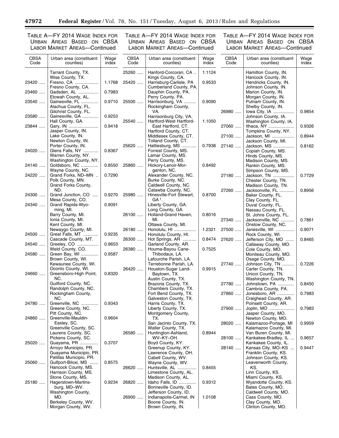-

TABLE A—FY 2014 WAGE INDEX FOR URBAN AREAS BASED ON CBSA LABOR MARKET AREAS—Continued

TABLE A—FY 2014 WAGE INDEX FOR URBAN AREAS BASED ON CBSA LABOR MARKET AREAS—Continued

٠

| <b>CBSA</b><br>Code | Urban area (constituent<br>counties)                                                  | Wage<br>index | <b>CBSA</b><br>Code | Urban area (constituent<br>counties)                                                       | Wage<br>index    | <b>CBSA</b><br>Code | Urban area (constituent<br>counties)                                                | Wage<br>index |
|---------------------|---------------------------------------------------------------------------------------|---------------|---------------------|--------------------------------------------------------------------------------------------|------------------|---------------------|-------------------------------------------------------------------------------------|---------------|
| 23420               | Tarrant County, TX.<br>Wise County, TX.<br>Fresno, CA                                 | 1.1768        | 25260<br>25420      | Hanford-Corcoran, CA<br>Kings County, CA.<br>Harrisburg-Carlisle, PA                       | 1.1124<br>0.9533 |                     | Hamilton County, IN.<br>Hancock County, IN.<br>Hendricks County, IN.                |               |
| 23460               | Fresno County, CA.<br>Gadsden, AL<br>Etowah County, AL.                               | 0.7983        |                     | Cumberland County, PA.<br>Dauphin County, PA.<br>Perry County, PA.                         |                  |                     | Johnson County, IN.<br>Marion County, IN.<br>Morgan County, IN.                     |               |
| 23540               | Gainesville, FL<br>Alachua County, FL.<br>Gilchrist County, FL.                       | 0.9710        | 25500               | Harrisonburg, VA<br>Rockingham County,<br>VA.                                              | 0.9090           | 26980               | Putnam County, IN.<br>Shelby County, IN.<br>lowa City, IA                           | 0.9854        |
| 23580               | Gainesville, GA<br>Hall County, GA.                                                   | 0.9253        | 25540               | Harrisonburg City, VA.<br>Hartford-West Hartford-                                          | 1.1050           |                     | Johnson County, IA.<br>Washington County, IA.                                       |               |
| 23844               | Gary, IN<br>Jasper County, IN.                                                        | 0.9418        |                     | East Hartford, CT.<br>Hartford County, CT.                                                 |                  | 27060               | Ithaca, NY<br>Tompkins County, NY.                                                  | 0.9326        |
|                     | Lake County, IN.<br>Newton County, IN.                                                |               | 25620               | Middlesex County, CT.<br>Tolland County, CT.                                               |                  | 27100               | Jackson, MI<br>Jackson County, MI.                                                  | 0.8944        |
| 24020               | Porter County, IN.<br>Glens Falls, NY<br>Warren County, NY.<br>Washington County, NY. | 0.8367        |                     | Hattiesburg, MS<br>Forrest County, MS.<br>Lamar County, MS.<br>Perry County, MS.           | 0.7938           | 27140               | Jackson, MS<br>Copiah County, MS.<br>Hinds County, MS.                              | 0.8162        |
| 24140               | Goldsboro, NC<br>Wayne County, NC.                                                    | 0.8550        | 25860               | Hickory-Lenoir-Mor-<br>ganton, NC.                                                         | 0.8492           |                     | Madison County, MS.<br>Rankin County, MS.<br>Simpson County, MS.                    |               |
| 24220               | Grand Forks, ND-MN<br>Polk County, MN.<br>Grand Forks County,                         | 0.7290        |                     | Alexander County, NC.<br>Burke County, NC.<br>Caldwell County, NC.                         |                  | 27180               | Jackson, TN<br>Chester County, TN.<br>Madison County, TN.                           | 0.7729        |
| 24300               | ND.<br>Grand Junction, CO<br>$\cdots$<br>Mesa County, CO.                             | 0.9270        | 25980               | Catawba County, NC.<br>Hinesville-Fort Stewart,<br>GA <sup>1</sup> .                       | 0.8700           | 27260               | Jacksonville, FL<br>Baker County, FL.<br>Clay County, FL.                           | 0.8956        |
| 24340               | Grand Rapids-Wyo-<br>ming, MI.                                                        | 0.9091        |                     | Liberty County, GA.<br>Long County, GA.<br>Holland-Grand Haven,                            |                  |                     | Duval County, FL.<br>Nassau County, FL.                                             |               |
|                     | Barry County, MI.<br>Ionia County, MI.<br>Kent County, MI.                            |               | 26100               | MI.<br>Ottawa County, MI.                                                                  | 0.8016           | 27340               | St. Johns County, FL.<br>Jacksonville, NC<br>Onslow County, NC.                     | 0.7861        |
| 24500               | Newaygo County, MI.<br>Great Falls, MT                                                | 0.9235        | 26180               | Honolulu, HI<br>Honolulu County, HI.                                                       | 1.2321           | 27500               | Janesville, WI<br>Rock County, WI.                                                  | 0.9071        |
| 24540               | Cascade County, MT.<br>Greeley, CO                                                    | 0.9653        | 26300               | Hot Springs, AR<br>Garland County, AR.                                                     | 0.8474           | 27620               | Jefferson City, MO<br>Callaway County, MO.                                          | 0.8465        |
| 24580               | Weld County, CO.<br>Green Bay, WI<br>Brown County, WI.                                | 0.9587        | 26380               | Houma-Bayou Cane-<br>Thibodaux, LA.<br>Lafourche Parish, LA.                               | 0.7525           |                     | Cole County, MO.<br>Moniteau County, MO.<br>Osage County, MO.                       |               |
| 24660               | Kewaunee County, WI.<br>Oconto County, WI.<br>Greensboro-High Point,                  | 0.8320        | 26420               | Terrebonne Parish, LA.<br>Houston-Sugar Land-<br>Baytown, TX.                              | 0.9915           | 27740               | Johnson City, TN<br>Carter County, TN.<br>Unicoi County, TN.                        | 0.7226        |
|                     | NC.<br>Guilford County, NC.                                                           |               |                     | Austin County, TX.<br>Brazoria County, TX.                                                 |                  | 27780               | Washington County, TN.<br>Johnstown, PA                                             | 0.8450        |
|                     | Randolph County, NC.<br>Rockingham County,                                            |               |                     | Chambers County, TX.<br>Fort Bend County, TX.                                              |                  | 27860               | Cambria County, PA.<br>Jonesboro, AR                                                | 0.7983        |
| 24780               | NC.<br>Greenville, NC<br>Greene County, NC.                                           | 0.9343        |                     | Galveston County, TX.<br>Harris County, TX.<br>Liberty County, TX.                         |                  | 27900               | Craighead County, AR.<br>Poinsett County, AR.<br>Joplin, MO                         | 0.7983        |
| 24860               | Pitt County, NC.<br>Greenville-Mauldin-                                               | 0.9604        |                     | Montgomery County,<br>TX.                                                                  |                  |                     | Jasper County, MO.<br>Newton County, MO.                                            |               |
|                     | Easley, SC.<br>Greenville County, SC.                                                 |               |                     | San Jacinto County, TX.<br>Waller County, TX.                                              |                  | 28020               | Kalamazoo-Portage, MI<br>Kalamazoo County, MI.                                      | 0.9959        |
|                     | Laurens County, SC.<br>Pickens County, SC.                                            |               | 26580               | Huntington-Ashland,<br>WV-KY-OH.                                                           | 0.8944           | 28100               | Van Buren County, MI.<br>Kankakee-Bradley, IL                                       | 0.9657        |
| 25020               | Guayama, PR<br>Arroyo Municipio, PR.<br>Guayama Municipio, PR.                        | 0.3707        |                     | Boyd County, KY.<br>Greenup County, KY.<br>Lawrence County, OH.                            |                  | 28140               | Kankakee County, IL.<br>Kansas City, MO-KS<br>Franklin County, KS.                  | 0.9447        |
| 25060               | Patillas Municipio, PR.<br>Gulfport-Biloxi, MS                                        | 0.8575        |                     | Cabell County, WV.<br>Wayne County, WV.                                                    |                  |                     | Johnson County, KS.<br>Leavenworth County,                                          |               |
|                     | Hancock County, MS.<br>Harrison County, MS.<br>Stone County, MS.                      |               | 26620               | Huntsville, AL<br>Limestone County, AL.                                                    | 0.8455           |                     | KS.<br>Linn County, KS.<br>Miami County, KS.                                        |               |
| 25180               | Hagerstown-Martins-<br>burg, MD-WV.                                                   | 0.9234        | 26820               | Madison County, AL.<br>Idaho Falls, ID<br>Bonneville County, ID.                           | 0.9312           |                     | Wyandotte County, KS.<br>Bates County, MO.                                          |               |
|                     | Washington County,<br>MD.<br>Berkeley County, WV.<br>Morgan County, WV.               |               | 26900               | Jefferson County, ID.<br>Indianapolis-Carmel, IN<br>Boone County, IN.<br>Brown County, IN. | 1.0108           |                     | Caldwell County, MO.<br>Cass County, MO.<br>Clay County, MO.<br>Clinton County, MO. |               |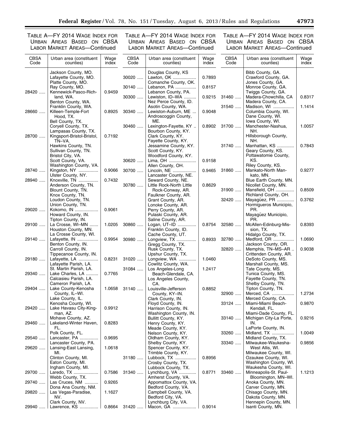TABLE A—FY 2014 WAGE INDEX FOR URBAN AREAS BASED ON CBSA LABOR MARKET AREAS—Continued

TABLE A—FY 2014 WAGE INDEX FOR URBAN AREAS BASED ON CBSA LABOR MARKET AREAS—Continued

| <b>CBSA</b><br>Code | Urban area (constituent<br>counties)                               | Wage<br>index | <b>CBSA</b><br>Code | Urban area (constituent<br>counties)                     | Wage<br>index | <b>CBSA</b><br>Code | Urban area (constituent<br>counties)                          | Wage<br>index |
|---------------------|--------------------------------------------------------------------|---------------|---------------------|----------------------------------------------------------|---------------|---------------------|---------------------------------------------------------------|---------------|
|                     | Jackson County, MO.<br>Lafayette County, MO.<br>Platte County, MO. |               | 30020               | Douglas County, KS<br>Lawton, OK<br>Comanche County, OK. | 0.7893        |                     | Bibb County, GA.<br>Crawford County, GA.<br>Jones County, GA. |               |
| 28420               | Ray County, MO.<br>Kennewick-Pasco-Rich-                           | 0.9459        | 30140               | Lebanon, PA<br>Lebanon County, PA.                       | 0.8157        |                     | Monroe County, GA.<br>Twiggs County, GA.                      |               |
|                     | land, WA.<br>Benton County, WA.                                    |               | 30300               | Lewiston, ID-WA<br>Nez Perce County, ID.                 | 0.9215        | 31460               | Madera-Chowchilla, CA<br>Madera County, CA.                   | 0.8317        |
|                     | Franklin County, WA.                                               |               |                     | Asotin County, WA.                                       |               | 31540               | Madison, WI                                                   | 1.1414        |
| 28660               | Killeen-Temple-Fort<br>Hood, TX.                                   | 0.8925        | 30340               | Lewiston-Auburn, ME<br>Androscoggin County,              | 0.9048        |                     | Columbia County, WI.<br>Dane County, WI.                      |               |
|                     | Bell County, TX.<br>Corvell County, TX.                            |               | 30460               | ME.<br>Lexington-Fayette, KY                             | 0.8902        | 31700               | Iowa County, WI.<br>Manchester-Nashua,                        | 1.0057        |
| 28700               | Lampasas County, TX.<br>Kingsport-Bristol-Bristol,                 | 0.7192        |                     | Bourbon County, KY.<br>Clark County, KY.                 |               |                     | NH.<br>Hillsborough County,                                   |               |
|                     | TN-VA.<br>Hawkins County, TN.                                      |               |                     | Fayette County, KY.<br>Jessamine County, KY.             |               | 31740               | NH.<br>Manhattan, KS                                          | 0.7843        |
|                     | Sullivan County, TN.                                               |               |                     | Scott County, KY.                                        |               |                     | Geary County, KS.                                             |               |
|                     | Bristol City, VA.<br>Scott County, VA.                             |               | 30620               | Woodford County, KY.<br>Lima, OH                         | 0.9158        |                     | Pottawatomie County,<br>KS.                                   |               |
| 28740               | Washington County, VA.<br>Kingston, NY                             | 0.9066        | $30700$             | Allen County, OH.<br>Lincoln, NE                         | 0.9465        | 31860               | Riley County, KS.<br>Mankato-North Man-                       | 0.9277        |
| 28940               | Ulster County, NY.<br>Knoxville, TN                                | 0.7432        |                     | Lancaster County, NE.<br>Seward County, NE.              |               |                     | kato, MN.<br>Blue Earth County, MN.                           |               |
|                     | Anderson County, TN.<br>Blount County, TN.                         |               | 30780               | Little Rock-North Little                                 | 0.8629        | 31900               | Nicollet County, MN.<br>Mansfield, OH                         | 0.8509        |
|                     | Knox County, TN.                                                   |               |                     | Rock-Conway, AR.<br>Faulkner County, AR.                 |               |                     | Richland County, OH.                                          |               |
|                     | Loudon County, TN.<br>Union County, TN.                            |               |                     | Grant County, AR.<br>Lonoke County, AR.                  |               | 32420               | Mayagüez, PR<br>Hormigueros Municipio,                        | 0.3762        |
| 29020               | Kokomo, IN<br>Howard County, IN.                                   | 0.9061        |                     | Perry County, AR.<br>Pulaski County, AR.                 |               |                     | PR.<br>Mayagüez Municipio,                                    |               |
| 29100               | Tipton County, IN.<br>La Crosse, WI-MN                             | 1.0205        | $30860$             | Saline County, AR.<br>Logan, UT-ID                       | 0.8754        | 32580               | PR.<br>McAllen-Edinburg-Mis-                                  | 0.8393        |
|                     | Houston County, MN.<br>La Crosse County, WI.                       |               |                     | Franklin County, ID.<br>Cache County, UT.                |               |                     | sion, TX.<br>Hidalgo County, TX.                              |               |
| 29140               | Lafayette, IN                                                      | 0.9954        | 30980               | Longview, TX                                             | 0.8933        | 32780               | Medford, OR                                                   | 1.0690        |
|                     | Benton County, IN.<br>Carroll County, IN.                          |               |                     | Gregg County, TX.<br>Rusk County, TX.                    |               | 32820               | Jackson County, OR.<br>Memphis, TN-MS-AR                      | 0.9038        |
| 29180               | Tippecanoe County, IN.<br>Lafayette, LA                            | 0.8231        | 31020               | Upshur County, TX.<br>Longview, WA                       | 1.0460        |                     | Crittenden County, AR.<br>DeSoto County, MS.                  |               |
|                     | Lafayette Parish, LA.<br>St. Martin Parish, LA.                    |               | 31084               | Cowlitz County, WA.<br>Los Angeles-Long                  | 1.2417        |                     | Marshall County, MS.<br>Tate County, MS.                      |               |
| 29340               | Lake Charles, LA<br>Calcasieu Parish, LA.                          | 0.7765        |                     | Beach-Glendale, CA.<br>Los Angeles County,               |               |                     | Tunica County, MS.<br>Fayette County, TN.                     |               |
|                     | Cameron Parish, LA.                                                |               |                     | CA.                                                      |               |                     | Shelby County, TN.                                            |               |
| 29404               | Lake County-Kenosha<br>County, IL-WI.                              | 1.0658        | 31140               | Louisville-Jefferson<br>County, KY-IN.                   | 0.8852        | 32900               | Tipton County, TN.<br>Merced, CA                              | 1.2734        |
|                     | Lake County, IL.<br>Kenosha County, WI.                            |               |                     | Clark County, IN.<br>Floyd County, IN.                   |               | 33124               | Merced County, CA.<br>Miami-Miami Beach-                      | 0.9870        |
| 29420               | Lake Havasu City-King-<br>man, AZ.                                 | 0.9912        |                     | Harrison County, IN.<br>Washington County, IN.           |               |                     | Kendall, FL.<br>Miami-Dade County, FL.                        |               |
| 29460               | Mohave County, AZ.<br>Lakeland-Winter Haven,                       | 0.8283        |                     | Bullitt County, KY.<br>Henry County, KY.                 |               | 33140               | Michigan City-La Porte,<br>IN.                                | 0.9216        |
|                     | FL.                                                                |               |                     | Meade County, KY.                                        |               |                     | LaPorte County, IN.                                           |               |
| 29540               | Polk County, FL.<br>Lancaster, PA                                  | 0.9695        |                     | Nelson County, KY.<br>Oldham County, KY.                 |               | 33260               | Midland, TX<br>Midland County, TX.                            | 1.0049        |
| 29620               | Lancaster County, PA.<br>Lansing-East Lansing,                     | 1.0618        |                     | Shelby County, KY.<br>Spencer County, KY.                |               | 33340               | Milwaukee-Waukesha-<br>West Allis, WI.                        | 0.9856        |
|                     | MI.<br>Clinton County, MI.                                         |               | 31180               | Trimble County, KY.<br>Lubbock, TX                       | 0.8956        |                     | Milwaukee County, WI.<br>Ozaukee County, WI.                  |               |
|                     | Eaton County, MI.<br>Ingham County, MI.                            |               |                     | Crosby County, TX.<br>Lubbock County, TX.                |               |                     | Washington County, WI.<br>Waukesha County, WI.                |               |
| 29700               | Laredo, TX                                                         | 0.7586        | 31340               | Lynchburg, VA                                            | 0.8771        | 33460               | Minneapolis-St. Paul-                                         | 1.1213        |
| 29740               | Webb County, TX.<br>Las Cruces, NM                                 | 0.9265        |                     | Amherst County, VA.<br>Appomattox County, VA.            |               |                     | Bloomington, MN-WI.<br>Anoka County, MN.                      |               |
| 29820               | Dona Ana County, NM.<br>Las Vegas-Paradise,                        | 1.1627        |                     | Bedford County, VA.<br>Campbell County, VA.              |               |                     | Carver County, MN.<br>Chisago County, MN.                     |               |
|                     | NV.<br>Clark County, NV.                                           |               |                     | Bedford City, VA.<br>Lynchburg City, VA.                 |               |                     | Dakota County, MN.<br>Hennepin County, MN.                    |               |
| 29940               | Lawrence, KS                                                       | 0.8664        | 31420               | Macon, GA                                                | 0.9014        |                     | Isanti County, MN.                                            |               |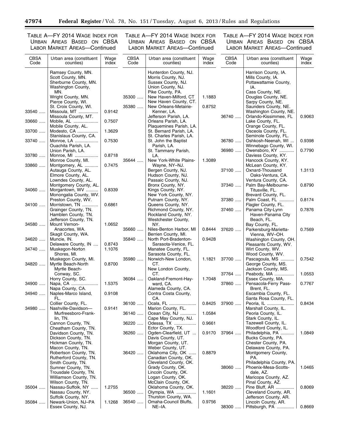-

TABLE A—FY 2014 WAGE INDEX FOR URBAN AREAS BASED ON CBSA LABOR MARKET AREAS—Continued

TABLE A—FY 2014 WAGE INDEX FOR URBAN AREAS BASED ON CBSA LABOR MARKET AREAS—Continued

٠

| <b>CBSA</b><br>Code | Urban area (constituent<br>counties)                                                                                                                               | Wage<br>index | <b>CBSA</b><br>Code | Urban area (constituent<br>counties)                                                                                                                                                  | Wage<br>index    | <b>CBSA</b><br>Code | Urban area (constituent<br>counties)                                                                                                                              | Wage<br>index |
|---------------------|--------------------------------------------------------------------------------------------------------------------------------------------------------------------|---------------|---------------------|---------------------------------------------------------------------------------------------------------------------------------------------------------------------------------------|------------------|---------------------|-------------------------------------------------------------------------------------------------------------------------------------------------------------------|---------------|
|                     | Ramsey County, MN.<br>Scott County, MN.<br>Sherburne County, MN.<br>Washington County,<br>MN.<br>Wright County, MN.<br>Pierce County, WI.<br>St. Croix County, WI. |               | 35300<br>35380      | Hunterdon County, NJ.<br>Morris County, NJ.<br>Sussex County, NJ.<br>Union County, NJ.<br>Pike County, PA.<br>New Haven-Milford, CT<br>New Haven County, CT.<br>New Orleans-Metairie- | 1.1883<br>0.8752 |                     | Harrison County, IA.<br>Mills County, IA.<br>Pottawattamie County,<br>IA.<br>Cass County, NE.<br>Douglas County, NE.<br>Sarpy County, NE.<br>Saunders County, NE. |               |
| 33540               | Missoula, MT<br>Missoula County, MT.                                                                                                                               | 0.9142        |                     | Kenner, LA.<br>Jefferson Parish, LA.                                                                                                                                                  |                  | 36740               | Washington County, NE.<br>Orlando-Kissimmee, FL                                                                                                                   | 0.9063        |
| 33660               | Mobile, AL<br>Mobile County, AL.                                                                                                                                   | 0.7507        |                     | Orleans Parish, LA.<br>Plaquemines Parish, LA.                                                                                                                                        |                  |                     | Lake County, FL.<br>Orange County, FL.                                                                                                                            |               |
| 33700               | Modesto, CA<br>Stanislaus County, CA.                                                                                                                              | 1.3629        |                     | St. Bernard Parish, LA.<br>St. Charles Parish, LA.                                                                                                                                    |                  |                     | Osceola County, FL.<br>Seminole County, FL.                                                                                                                       |               |
| 33740               | Monroe, LA<br>Ouachita Parish, LA.                                                                                                                                 | 0.7530        |                     | St. John the Baptist<br>Parish, LA.                                                                                                                                                   |                  | 36780               | Oshkosh-Neenah, WI<br>Winnebago County, WI.                                                                                                                       | 0.9398        |
| 33780               | Union Parish, LA.<br>Monroe, MI                                                                                                                                    | 0.8718        |                     | St. Tammany Parish,<br>LA.                                                                                                                                                            |                  | 36980               | Owensboro, KY<br>Daviess County, KY.                                                                                                                              | 0.7790        |
| 33860               | Monroe County, MI.<br>Montgomery, AL<br>Autauga County, AL.<br>Elmore County, AL.                                                                                  | 0.7475        | 35644               | New York-White Plains-<br>Wayne, NY-NJ.<br>Bergen County, NJ.<br>Hudson County, NJ.                                                                                                   | 1.3089           | 37100               | Hancock County, KY.<br>McLean County, KY.<br>Oxnard-Thousand<br>Oaks-Ventura, CA.                                                                                 | 1.3113        |
| 34060               | Lowndes County, AL.<br>Montgomery County, AL.<br>Morgantown, WV                                                                                                    | 0.8339        |                     | Passaic County, NJ.<br>Bronx County, NY.<br>Kings County, NY.                                                                                                                         |                  | 37340               | Ventura County, CA.<br>Palm Bay-Melbourne-<br>Titusville, FL.                                                                                                     | 0.8790        |
|                     | Monongalia County, WV.<br>Preston County, WV.                                                                                                                      |               |                     | New York County, NY.<br>Putnam County, NY.                                                                                                                                            |                  | 37380               | Brevard County, FL.<br>Palm Coast, FL                                                                                                                             | 0.8174        |
| 34100               | Morristown, TN<br>Grainger County, TN.<br>Hamblen County, TN.                                                                                                      | 0.6861        |                     | Queens County, NY.<br>Richmond County, NY.<br>Rockland County, NY.                                                                                                                    |                  | 37460               | Flagler County, FL.<br>Panama City-Lynn<br>Haven-Panama City                                                                                                      | 0.7876        |
| 34580               | Jefferson County, TN.<br>Mount Vernon-<br>Anacortes, WA.<br>Skagit County, WA.                                                                                     | 1.0652        | 35660               | Westchester County,<br>NY.<br>Niles-Benton Harbor, MI<br>Berrien County, MI.                                                                                                          | 0.8444           | 37620               | Beach, FL.<br>Bay County, FL.<br>Parkersburg-Marietta-<br>Vienna, WV-OH.                                                                                          | 0.7569        |
| 34620               | Muncie, IN.<br>Delaware County, IN                                                                                                                                 | 0.8743        | 35840               | North Port-Bradenton-<br>Sarasota-Venice, FL.                                                                                                                                         | 0.9428           |                     | Washington County, OH.<br>Pleasants County, WV.                                                                                                                   |               |
| 34740               | Muskegon-Norton<br>Shores, MI.<br>Muskegon County, MI.                                                                                                             | 1.1076        | 35980               | Manatee County, FL.<br>Sarasota County, FL.<br>Norwich-New London,                                                                                                                    | 1.1821           | 37700               | Wirt County, WV.<br>Wood County, WV.<br>Pascagoula, MS                                                                                                            | 0.7542        |
| 34820               | Myrtle Beach-North<br>Myrtle Beach-<br>Conway, SC.                                                                                                                 | 0.8700        |                     | CT.<br>New London County,<br>CT.                                                                                                                                                      |                  | 37764               | George County, MS.<br>Jackson County, MS.                                                                                                                         | 1.0553        |
| 34900               | Horry County, SC.<br>Napa, CA                                                                                                                                      | 1.5375        | 36084               | Oakland-Fremont-Hay-<br>ward, CA.                                                                                                                                                     | 1.7048           | 37860               | Peabody, MA<br>Essex County, MA.<br>Pensacola-Ferry Pass-                                                                                                         | 0.7767        |
| 34940               | Napa County, CA.<br>Naples-Marco Island,<br>FL.                                                                                                                    | 0.9108        |                     | Alameda County, CA.<br>Contra Costa County,<br>CA.                                                                                                                                    |                  |                     | Brent, FL.<br>Escambia County, FL.<br>Santa Rosa County, FL.                                                                                                      |               |
| 34980               | Collier County, FL.<br>Nashville-Davidson-                                                                                                                         | 0.9141        | 36100               | Ocala, FL<br>Marion County, FL.                                                                                                                                                       | 0.8425           | $37900$             | Peoria, IL<br>Marshall County, IL.                                                                                                                                | 0.8434        |
|                     | Murfreesboro-Frank-<br>lin, TN.<br>Cannon County, TN.                                                                                                              |               | 36140               | Ocean City, NJ<br>Cape May County, NJ.<br>Odessa, TX                                                                                                                                  | 1.0584           |                     | Peoria County, IL.<br>Stark County, IL.<br>Tazewell County, IL.                                                                                                   |               |
|                     | Cheatham County, TN.<br>Davidson County, TN.                                                                                                                       |               | 36220<br>36260      | Ector County, TX.<br>Ogden-Clearfield, UT                                                                                                                                             | 0.9661<br>0.9170 | 37964               | Woodford County, IL.<br>Philadelphia, PA                                                                                                                          | 1.0849        |
|                     | Dickson County, TN.<br>Hickman County, TN.<br>Macon County, TN.                                                                                                    |               |                     | Davis County, UT.<br>Morgan County, UT.<br>Weber County, UT.                                                                                                                          |                  |                     | Bucks County, PA.<br>Chester County, PA.<br>Delaware County, PA.                                                                                                  |               |
|                     | Robertson County, TN.<br>Rutherford County, TN.<br>Smith County, TN.                                                                                               |               | 36420               | Oklahoma City, OK<br>Canadian County, OK.<br>Cleveland County, OK.                                                                                                                    | 0.8879           |                     | Montgomery County,<br>PA.<br>Philadelphia County, PA.                                                                                                             |               |
|                     | Sumner County, TN.<br>Trousdale County, TN.<br>Williamson County, TN.                                                                                              |               |                     | Grady County, OK.<br>Lincoln County, OK.<br>Logan County, OK.                                                                                                                         |                  | 38060               | Phoenix-Mesa-Scotts-<br>dale, AZ.<br>Maricopa County, AZ.                                                                                                         | 1.0465        |
| 35004               | Wilson County, TN.<br>Nassau-Suffolk, NY<br>Nassau County, NY.<br>Suffolk County, NY.                                                                              | 1.2755        | 36500               | McClain County, OK.<br>Oklahoma County, OK.<br>Olympia, WA<br>Thurston County, WA.                                                                                                    | 1.1601           | 38220               | Pinal County, AZ.<br>Pine Bluff, AR<br>Cleveland County, AR.<br>Jefferson County, AR.                                                                             | 0.8069        |
| 35084               | Newark-Union, NJ-PA<br>Essex County, NJ.                                                                                                                           | 1.1268        | 36540               | Omaha-Council Bluffs,<br>NE-IA.                                                                                                                                                       | 0.9756           | 38300               | Lincoln County, AR.<br>Pittsburgh, PA                                                                                                                             | 0.8669        |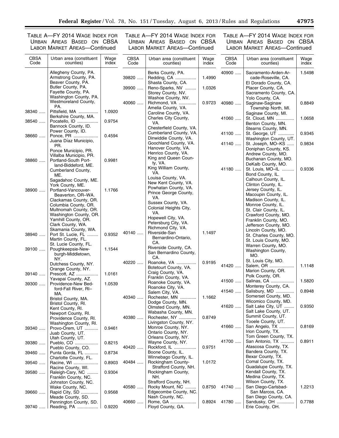TABLE A—FY 2014 WAGE INDEX FOR URBAN AREAS BASED ON CBSA LABOR MARKET AREAS—Continued

TABLE A—FY 2014 WAGE INDEX FOR URBAN AREAS BASED ON CBSA LABOR MARKET AREAS—Continued

| <b>CBSA</b><br>Code | Urban area (constituent<br>counties)                                                             | Wage<br>index    | <b>CBSA</b><br>Code | Urban area (constituent<br>counties)                                        | Wage<br>index | <b>CBSA</b><br>Code | Urban area (constituent<br>counties)                                                       | Wage<br>index |
|---------------------|--------------------------------------------------------------------------------------------------|------------------|---------------------|-----------------------------------------------------------------------------|---------------|---------------------|--------------------------------------------------------------------------------------------|---------------|
|                     | Allegheny County, PA.<br>Armstrong County, PA.<br>Beaver County, PA.                             |                  | 39820               | Berks County, PA.<br>Redding, CA<br>Shasta County, CA.                      | 1.4990        | 40900               | Sacramento-Arden-Ar-<br>cade-Roseville, CA.<br>El Dorado County, CA.                       | 1.5498        |
|                     | Butler County, PA.<br>Fayette County, PA.<br>Washington County, PA.                              |                  | 39900               | Reno-Sparks, NV<br>Storey County, NV.<br>Washoe County, NV.                 | 1.0326        |                     | Placer County, CA.<br>Sacramento County, CA.<br>Yolo County, CA.                           |               |
| 38340               | Westmoreland County,<br>PA.<br>Pittsfield, MA                                                    | 1.0920           | 40060               | Richmond, VA<br>Amelia County, VA.                                          | 0.9723        | 40980               | Saginaw-Saginaw<br>Township North, MI.                                                     | 0.8849        |
| 38540               | Berkshire County, MA.<br>Pocatello, ID<br>Bannock County, ID.                                    | 0.9754           |                     | Caroline County, VA.<br>Charles City County,<br>VA.                         |               | 41060               | Saginaw County, MI.<br>St. Cloud, MN<br>Benton County, MN.                                 | 1.0658        |
| 38660               | Power County, ID.<br>Ponce, PR<br>Juana Díaz Municipio,                                          | 0.4594           |                     | Chesterfield County, VA.<br>Cumberland County, VA.<br>Dinwiddie County, VA. |               | 41100               | Stearns County, MN.<br>St. George, UT<br>Washington County, UT.                            | 0.9345        |
|                     | PR.<br>Ponce Municipio, PR.<br>Villalba Municipio, PR.                                           |                  |                     | Goochland County, VA.<br>Hanover County, VA.<br>Henrico County, VA.         |               | 41140               | St. Joseph, MO-KS<br>Doniphan County, KS.<br>Andrew County, MO.                            | 0.9834        |
| 38860               | Portland-South Port-<br>land-Biddeford, ME.<br>Cumberland County,                                | 0.9981           |                     | King and Queen Coun-<br>ty, VA.<br>King William County,                     |               | 41180               | Buchanan County, MO.<br>DeKalb County, MO.<br>St. Louis, MO-IL                             | 0.9336        |
|                     | ME.<br>Sagadahoc County, ME.<br>York County, ME.                                                 |                  |                     | VA.<br>Louisa County, VA.<br>New Kent County, VA.                           |               |                     | Bond County, IL.<br>Calhoun County, IL.<br>Clinton County, IL.                             |               |
| 38900               | Portland-Vancouver-<br>Beaverton, OR-WA.                                                         | 1.1766           |                     | Powhatan County, VA.<br>Prince George County,<br>VA.                        |               |                     | Jersey County, IL.<br>Macoupin County, IL.                                                 |               |
|                     | Clackamas County, OR.<br>Columbia County, OR.<br>Multnomah County, OR.<br>Washington County, OR. |                  |                     | Sussex County, VA.<br>Colonial Heights City,<br>VA.                         |               |                     | Madison County, IL.<br>Monroe County, IL.<br>St. Clair County, IL.<br>Crawford County, MO. |               |
|                     | Yamhill County, OR.<br>Clark County, WA.<br>Skamania County, WA.                                 |                  |                     | Hopewell City, VA.<br>Petersburg City, VA.<br>Richmond City, VA.            |               |                     | Franklin County, MO.<br>Jefferson County, MO.<br>Lincoln County, MO.                       |               |
| 38940               | Port St. Lucie, FL<br>Martin County, FL.<br>St. Lucie County, FL.                                | 0.9352           | 40140               | Riverside-San<br>Bernardino-Ontario,<br>CA.                                 | 1.1497        |                     | St. Charles County, MO.<br>St. Louis County, MO.<br>Warren County, MO.                     |               |
| 39100               | Poughkeepsie-New-<br>burgh-Middletown,<br>NY.                                                    | 1.1544           |                     | Riverside County, CA.<br>San Bernardino County,<br>CA.                      |               |                     | Washington County,<br>MO.                                                                  |               |
| 39140               | Dutchess County, NY.<br>Orange County, NY.<br>Prescott, AZ                                       | 1.0161           | 40220               | Roanoke, VA<br>Botetourt County, VA.<br>Craig County, VA.                   | 0.9195        | 41420               | St. Louis City, MO.<br>Salem, OR<br>Marion County, OR.                                     | 1.1148        |
| 39300               | Yavapai County, AZ.<br>Providence-New Bed-<br>ford-Fall River, RI-                               | 1.0539           |                     | Franklin County, VA.<br>Roanoke County, VA.<br>Roanoke City, VA.            |               | 41500               | Polk County, OR.<br>Salinas, CA<br>Monterey County, CA.                                    | 1.5820        |
|                     | MA.<br>Bristol County, MA.<br>Bristol County, RI.                                                |                  | 40340               | Salem City, VA.<br>Rochester, MN<br>Dodge County, MN.                       | 1.1662        | 41540               | Salisbury, MD<br>Somerset County, MD.<br>Wicomico County, MD.                              | 0.8948        |
|                     | Kent County, RI.<br>Newport County, RI.<br>Providence County, RI.                                |                  | 40380               | Olmsted County, MN.<br>Wabasha County, MN.<br>Rochester, NY                 | 0.8749        | 41620               | Salt Lake City, UT<br>Salt Lake County, UT.<br>Summit County, UT.                          | 0.9350        |
| 39340               | Washington County, RI.<br>Provo-Orem, UT<br>Juab County, UT.                                     | 0.9461           |                     | Livingston County, NY.<br>Monroe County, NY.<br>Ontario County, NY.         |               | 41660               | Tooele County, UT.<br>San Angelo, TX<br>Irion County, TX.                                  | 0.8169        |
| 39380               | Utah County, UT.<br>Pueblo, CO<br>Pueblo County, CO.                                             | 0.8215           | 40420               | Orleans County, NY.<br>Wayne County, NY.<br>Rockford, IL                    | 0.9751        | 41700               | Tom Green County, TX.<br>San Antonio, TX<br>Atascosa County, TX.                           | 0.8911        |
| 39460               | Punta Gorda, FL<br>Charlotte County, FL.                                                         | 0.8734           | 40484               | Boone County, IL.<br>Winnebago County, IL.<br>Rockingham County-            | 1.0172        |                     | Bandera County, TX.<br>Bexar County, TX.<br>Comal County, TX.                              |               |
| 39540<br>39580      | Racine, WI<br>Racine County, WI.<br>Raleigh-Cary, NC                                             | 0.8903<br>0.9304 |                     | Strafford County, NH.<br>Rockingham County,<br>NH.                          |               |                     | Guadalupe County, TX.<br>Kendall County, TX.<br>Medina County, TX.                         |               |
|                     | Franklin County, NC.<br>Johnston County, NC.<br>Wake County, NC.                                 |                  | 40580               | Strafford County, NH.<br>Rocky Mount, NC                                    | 0.8750        | 41740               | Wilson County, TX.<br>San Diego-Carlsbad-                                                  | 1.2213        |
| 39660               | Rapid City, SD<br>Meade County, SD.<br>Pennington County, SD.                                    | 0.9568           | 40660               | Edgecombe County, NC.<br>Nash County, NC.<br>Rome, GA                       | 0.8924        | 41780               | San Marcos, CA.<br>San Diego County, CA.<br>Sandusky, OH                                   | 0.7788        |
| 39740               | Reading, PA                                                                                      | 0.9220           |                     | Floyd County, GA.                                                           |               |                     | Erie County, OH.                                                                           |               |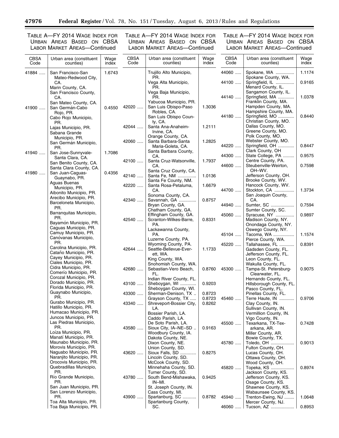<u>—</u>

TABLE A—FY 2014 WAGE INDEX FOR URBAN AREAS BASED ON CBSA LABOR MARKET AREAS—Continued

TABLE A—FY 2014 WAGE INDEX FOR URBAN AREAS BASED ON CBSA LABOR MARKET AREAS—Continued

| <b>CBSA</b><br>Code | Urban area (constituent<br>counties)                                       | Wage<br>index | <b>CBSA</b><br>Code | Urban area (constituent<br>counties)                                | Wage<br>index    | <b>CBSA</b><br>Code | Urban area (constituent<br>counties)                                  | Wage<br>index    |
|---------------------|----------------------------------------------------------------------------|---------------|---------------------|---------------------------------------------------------------------|------------------|---------------------|-----------------------------------------------------------------------|------------------|
| 41884               | San Francisco-San<br>Mateo-Redwood City,                                   | 1.6743        |                     | Trujillo Alto Municipio,<br>PR.                                     |                  | 44060               | Spokane, WA<br>Spokane County, WA.                                    | 1.1174           |
|                     | CA.<br>Marin County, CA.                                                   |               |                     | Vega Alta Municipio,<br>PR.<br>Vega Baja Municipio,                 |                  | 44100               | Springfield, IL<br>Menard County, IL.<br>Sangamon County, IL.         | 0.9165           |
|                     | San Francisco County,<br>CA.<br>San Mateo County, CA.                      |               |                     | PR.<br>Yabucoa Municipio, PR.                                       |                  | 44140               | Springfield, MA<br>Franklin County, MA.                               | 1.0378           |
| 41900               | San Germán-Cabo<br>Rojo, PR.                                               | 0.4550        | 42020               | San Luis Obispo-Paso<br>Robles, CA.                                 | 1.3036           | 44180               | Hampden County, MA.<br>Hampshire County, MA.<br>Springfield, MO       | 0.8440           |
|                     | Cabo Rojo Municipio,<br>PR.<br>Lajas Municipio, PR.                        |               | 42044               | San Luis Obispo Coun-<br>ty, CA.<br>Santa Ana-Anaheim-              | 1.2111           |                     | Christian County, MO.<br>Dallas County, MO.                           |                  |
|                     | Sabana Grande<br>Municipio, PR.                                            |               |                     | Irvine, CA.<br>Orange County, CA.                                   |                  |                     | Greene County, MO.<br>Polk County, MO.<br>Webster County, MO.         |                  |
|                     | San Germán Municipio,<br>PR.<br>San Jose-Sunnyvale-                        | 1.7086        | 42060               | Santa Barbara-Santa<br>Maria-Goleta, CA.<br>Santa Barbara County,   | 1.2825           | 44220               | Springfield, OH<br>Clark County, OH                                   | 0.8447           |
| 41940               | Santa Clara, CA.<br>San Benito County, CA.                                 |               | 42100               | CA.<br>Santa Cruz-Watsonville,                                      | 1.7937           | 44300               | State College, PA<br>Centre County, PA.                               | 0.9575           |
| 41980               | Santa Clara County, CA.<br>San Juan-Caguas-                                | 0.4356        | 42140               | CA.<br>Santa Cruz County, CA.<br>Santa Fe, NM                       | 1.0136           | 44600               | Steubenville-Weirton,<br>OH-WV.<br>Jefferson County, OH.              | 0.7598           |
|                     | Guaynabo, PR.<br>Aguas Buenas<br>Municipio, PR.                            |               | 42220               | Santa Fe County, NM.<br>Santa Rosa-Petaluma,                        | 1.6679           |                     | Brooke County, WV.<br>Hancock County, WV.                             |                  |
|                     | Aibonito Municipio, PR.<br>Arecibo Municipio, PR.                          |               | 42340               | CA.<br>Sonoma County, CA.<br>Savannah, GA                           | 0.8757           | 44700               | Stockton, CA<br>San Joaquin County,<br>CA.                            | 1.3734           |
|                     | Barceloneta Municipio,<br>PR.<br>Barranquitas Municipio,                   |               |                     | Bryan County, GA.<br>Chatham County, GA.<br>Effingham County, GA.   |                  | 44940<br>45060      | Sumter, SC<br>Sumter County, SC.                                      | 0.7594<br>0.9897 |
|                     | PR.<br>Bayamón Municipio, PR.                                              |               | 42540               | Scranton-Wilkes-Barre,<br>PA.                                       | 0.8331           |                     | Syracuse, NY<br>Madison County, NY.<br>Onondaga County, NY.           |                  |
|                     | Caguas Municipio, PR.<br>Camuy Municipio, PR.<br>Canóvanas Municipio,      |               |                     | Lackawanna County,<br>PA.<br>Luzerne County, PA.                    |                  | 45104               | Oswego County, NY.<br>Tacoma, WA<br>Pierce County, WA.                | 1.1574           |
|                     | PR.<br>Carolina Municipio, PR.                                             |               | 42644               | Wyoming County, PA.<br>Seattle-Bellevue-Ever-                       | 1.1733           | 45220               | Tallahassee, FL<br>Gadsden County, FL.                                | 0.8391           |
|                     | Cataño Municipio, PR.<br>Cayey Municipio, PR.<br>Ciales Municipio, PR.     |               |                     | ett, WA.<br>King County, WA.<br>Snohomish County, WA.               |                  |                     | Jefferson County, FL.<br>Leon County, FL.<br>Wakulla County, FL.      |                  |
|                     | Cidra Municipio, PR.<br>Comerío Municipio, PR.<br>Corozal Municipio, PR.   |               | 42680               | Sebastian-Vero Beach,<br>FL.                                        | 0.8760           | 45300               | Tampa-St. Petersburg-<br>Clearwater, FL.                              | 0.9075           |
|                     | Dorado Municipio, PR.<br>Florida Municipio, PR.                            |               | 43100               | Indian River County, FL.<br>Sheboygan, WI<br>Sheboygan County, WI.  | 0.9203           |                     | Hernando County, FL.<br>Hillsborough County, FL.<br>Pasco County, FL. |                  |
|                     | Guaynabo Municipio,<br>PR.                                                 |               | 43300               | Sherman-Denison, TX<br>Grayson County, TX                           | 0.8723<br>0.8723 | 45460               | Pinellas County, FL.<br>Terre Haute, IN                               | 0.9706           |
|                     | Gurabo Municipio, PR.<br>Hatillo Municipio, PR.<br>Humacao Municipio, PR.  |               | 43340               | Shreveport-Bossier City,<br>LA.<br>Bossier Parish, LA.              | 0.8262           |                     | Clay County, IN.<br>Sullivan County, IN.<br>Vermillion County, IN.    |                  |
|                     | Juncos Municipio, PR.<br>Las Piedras Municipio,<br>PR.                     |               |                     | Caddo Parish, LA.<br>De Soto Parish, LA.                            |                  | 45500               | Vigo County, IN.<br>Texarkana, TX-Tex-                                | 0.7428           |
|                     | Loíza Municipio, PR.<br>Manati Municipio, PR.                              |               | 43580               | Sioux City, IA-NE-SD.<br>Woodbury County, IA.<br>Dakota County, NE. | 0.9163           |                     | arkana, AR.<br>Miller County, AR.<br>Bowie County, TX.                |                  |
|                     | Maunabo Municipio, PR.<br>Morovis Municipio, PR.<br>Naguabo Municipio, PR. |               |                     | Dixon County, NE.<br>Union County, SD.                              |                  | 45780               | Toledo, OH<br>Fulton County, OH.                                      | 0.9013           |
|                     | Naranjito Municipio, PR.<br>Orocovis Municipio, PR.                        |               | 43620               | Sioux Falls, SD<br>Lincoln County, SD.<br>McCook County, SD.        | 0.8275           |                     | Lucas County, OH.<br>Ottawa County, OH.<br>Wood County, OH.           |                  |
|                     | Quebradillas Municipio,<br>PR.                                             |               |                     | Minnehaha County, SD.<br>Turner County, SD.                         |                  | 45820               | Topeka, KS<br>Jackson County, KS.                                     | 0.8974           |
|                     | Río Grande Municipio,<br>PR.<br>San Juan Municipio, PR.                    |               | 43780               | South Bend-Mishawaka,<br>IN-MI.<br>St. Joseph County, IN.           | 0.9425           |                     | Jefferson County, KS.<br>Osage County, KS.<br>Shawnee County, KS.     |                  |
|                     | San Lorenzo Municipio,<br>PR.                                              |               | 43900               | Cass County, MI.<br>Spartanburg, SC                                 | 0.8782           | 45940               | Wabaunsee County, KS.<br>Trenton-Ewing, NJ                            | 1.0648           |
|                     | Toa Alta Municipio, PR.<br>Toa Baja Municipio, PR.                         |               |                     | Spartanburg County,<br>SC.                                          |                  | 46060               | Mercer County, NJ.<br>Tucson, AZ                                      | 0.8953           |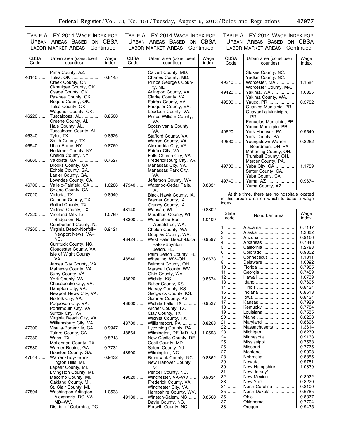TABLE A—FY 2014 WAGE INDEX FOR URBAN AREAS BASED ON CBSA LABOR MARKET AREAS—Continued

TABLE A—FY 2014 WAGE INDEX FOR URBAN AREAS BASED ON CBSA LABOR MARKET AREAS—Continued

 $\equiv$ 

| <b>CBSA</b><br>Code | Urban area (constituent<br>counties)                                                            | Wage<br>index | <b>CBSA</b><br>Code | Urban area (constituent<br>counties)                                                                    | Wage<br>index | <b>CBSA</b><br>Code | Urban area (constituent<br>counties)                                                                    | Wage<br>index    |
|---------------------|-------------------------------------------------------------------------------------------------|---------------|---------------------|---------------------------------------------------------------------------------------------------------|---------------|---------------------|---------------------------------------------------------------------------------------------------------|------------------|
| 46140               | Pima County, AZ.<br>Tulsa, OK<br>Creek County, OK.<br>Okmulgee County, OK.<br>Osage County, OK. | 0.8145        |                     | Calvert County, MD.<br>Charles County, MD.<br>Prince George's Coun-<br>ty, MD.<br>Arlington County, VA. |               | 49340<br>49420      | Stokes County, NC.<br>Yadkin County, NC.<br>Worcester, MA<br>Worcester County, MA.<br>Yakima, WA        | 1.1584<br>1.0355 |
|                     | Pawnee County, OK.<br>Rogers County, OK.                                                        |               |                     | Clarke County, VA.<br>Fairfax County, VA.                                                               |               | 49500               | Yakima County, WA.<br>Yauco, PR                                                                         | 0.3782           |
| 46220               | Tulsa County, OK.<br>Wagoner County, OK.                                                        | 0.8500        |                     | Fauguier County, VA.<br>Loudoun County, VA.<br>Prince William County,                                   |               |                     | Guánica Municipio, PR.<br>Guayanilla Municipio,                                                         |                  |
|                     | Tuscaloosa, AL<br>Greene County, AL.<br>Hale County, AL.                                        |               |                     | VA.<br>Spotsylvania County,                                                                             |               |                     | PR.<br>Peñuelas Municipio, PR.<br>Yauco Municipio, PR.                                                  |                  |
| 46340               | Tuscaloosa County, AL.<br>Tyler, TX<br>Smith County, TX.                                        | 0.8526        |                     | VA.<br>Stafford County, VA.                                                                             |               | 49620               | York-Hanover, PA<br>York County, PA.                                                                    | 0.9540           |
| 46540               | Utica-Rome, NY<br>Herkimer County, NY.<br>Oneida County, NY.                                    | 0.8769        |                     | Warren County, VA.<br>Alexandria City, VA.<br>Fairfax City, VA.<br>Falls Church City, VA.               |               | 49660               | Youngstown-Warren-<br>Boardman, OH-PA.<br>Mahoning County, OH.<br>Trumbull County, OH.                  | 0.8262           |
| 46660               | Valdosta, GA<br>Brooks County, GA.<br>Echols County, GA.<br>Lanier County, GA.                  | 0.7527        |                     | Fredericksburg City, VA.<br>Manassas City, VA.<br>Manassas Park City,<br>VA.                            |               | 49700               | Mercer County, PA.<br>Yuba City, CA<br>Sutter County, CA.<br>Yuba County, CA.                           | 1.1759           |
| 46700               | Lowndes County, GA.<br>Vallejo-Fairfield, CA<br>Solano County, CA.                              | 1.6286        | 47940               | Jefferson County, WV.<br>Waterloo-Cedar Falls,<br>IA.                                                   | 0.8331        | 49740               | Yuma, AZ<br>Yuma County, AZ.                                                                            | 0.9674           |
| 47020               | Victoria, TX<br>Calhoun County, TX.<br>Goliad County, TX.                                       | 0.8949        |                     | Black Hawk County, IA.<br>Bremer County, IA.<br>Grundy County, IA.                                      |               | index.              | <sup>1</sup> At this time, there are no hospitals located<br>in this urban area on which to base a wage |                  |
| 47220               | Victoria County, TX.<br>Vineland-Millville-                                                     | 1.0759        | 48140               | Wausau, WI<br>Marathon County, WI.                                                                      | 0.8802        | State               |                                                                                                         | Wage             |
|                     | Bridgeton, NJ.<br>Cumberland County, NJ.                                                        |               | 48300               | Wenatchee-East<br>Wenatchee, WA.                                                                        | 1.0109        | code                | Nonurban area                                                                                           | index            |
| 47260               | Virginia Beach-Norfolk-<br>Newport News, VA-                                                    | 0.9121        |                     | Chelan County, WA.<br>Douglas County, WA.                                                               |               | $1$<br>2            | Alabama<br>Alaska                                                                                       | 0.7147<br>1.3662 |
|                     | NC.<br>Currituck County, NC.                                                                    |               | 48424               | West Palm Beach-Boca<br>Raton-Boynton                                                                   | 0.9597        | 3<br>4              | Arizona<br>Arkansas                                                                                     | 0.9166<br>0.7343 |
|                     | Gloucester County, VA.                                                                          |               |                     | Beach, FL.                                                                                              |               | 5<br>6              | California<br>Colorado                                                                                  | 1.2788<br>0.9802 |
|                     | Isle of Wight County,<br>VA.                                                                    |               | 48540               | Palm Beach County, FL.<br>Wheeling, WV-OH                                                               | 0.6673        | 7                   | Connecticut                                                                                             | 1.1311           |
|                     | James City County, VA.<br>Mathews County, VA.                                                   |               |                     | Belmont County, OH.<br>Marshall County, WV.                                                             |               | 8<br>$10$           | Delaware<br>Florida                                                                                     | 1.0092<br>0.7985 |
|                     | Surry County, VA.                                                                               |               |                     | Ohio County, WV.                                                                                        |               | $11$<br>$12$        | Georgia<br>Hawaii                                                                                       | 0.7459<br>1.0739 |
|                     | York County, VA.<br>Chesapeake City, VA.                                                        |               | 48620               | Wichita, KS<br>Butler County, KS.                                                                       | 0.8674        | $13$                | Idaho                                                                                                   | 0.7605           |
|                     | Hampton City, VA.                                                                               |               |                     | Harvey County, KS.                                                                                      |               | 14                  | Illinois                                                                                                | 0.8434           |
|                     | Newport News City, VA.                                                                          |               |                     | Sedgwick County, KS.                                                                                    |               | $15$<br>$16$        | Indiana<br>lowa                                                                                         | 0.8513<br>0.8434 |
|                     | Norfolk City, VA.<br>Poquoson City, VA.                                                         |               | 48660               | Sumner County, KS.<br>Wichita Falls, TX                                                                 | 0.9537        | 17                  | Kansas                                                                                                  | 0.7929           |
|                     | Portsmouth City, VA.                                                                            |               |                     | Archer County, TX.                                                                                      |               | 18                  | Kentucky                                                                                                | 0.7784           |
|                     | Suffolk City, VA.                                                                               |               |                     | Clay County, TX.                                                                                        |               | 19<br>20            | Louisiana<br>Maine                                                                                      | 0.7585<br>0.8238 |
|                     | Virginia Beach City, VA.<br>Williamsburg City, VA.                                              |               | 48700               | Wichita County, TX.<br>Williamsport, PA                                                                 | 0.8268        | 21                  | Maryland                                                                                                | 0.8696           |
| 47300               | Visalia-Porterville, CA                                                                         | 0.9947        |                     | Lycoming County, PA.                                                                                    |               | 22                  | Massachusetts                                                                                           | 1.3614           |
| 47380               | Tulare County, CA.<br>Waco, TX                                                                  | 0.8213        | 48864               | Wilmington, DE-MD-NJ<br>New Castle County, DE.                                                          | 1.0593        | 23<br>24            | Michigan<br>Minnesota                                                                                   | 0.8270<br>0.9133 |
|                     | McLennan County, TX.                                                                            |               |                     | Cecil County, MD.                                                                                       |               | 25                  | Mississippi                                                                                             | 0.7568           |
| 47580               | Warner Robins, GA                                                                               | 0.7732        |                     | Salem County, NJ.<br>Wilmington, NC.                                                                    |               | 26<br>27            | Missouri<br>Montana                                                                                     | 0.7775<br>0.9098 |
| 47644               | Houston County, GA.<br>Warren-Troy-Farm-                                                        | 0.9432        | 48900               | Brunswick County, NC                                                                                    | 0.8862        | 28                  | Nebraska                                                                                                | 0.8855           |
|                     | ington Hills, MI.                                                                               |               |                     | New Hanover County,                                                                                     |               | 29                  | Nevada                                                                                                  | 0.9781           |
|                     | Lapeer County, MI.<br>Livingston County, MI.                                                    |               |                     | NC.<br>Pender County, NC.                                                                               |               | 30<br>31            | New Hampshire<br>New Jersey <sup>1</sup>                                                                | 1.0339           |
|                     | Macomb County, MI.                                                                              |               | 49020               | Winchester, VA-WV                                                                                       | 0.9034        | 32                  | New Mexico                                                                                              | 0.8922           |
|                     | Oakland County, MI.                                                                             |               |                     | Frederick County, VA.                                                                                   |               | 33                  | New York                                                                                                | 0.8220           |
|                     | St. Clair County, MI.                                                                           |               |                     | Winchester City, VA.                                                                                    |               | 34                  | North Carolina                                                                                          | 0.8100           |
| 47894               | Washington-Arlington-<br>Alexandria, DC-VA-                                                     | 1.0533        | 49180               | Hampshire County, WV.<br>Winston-Salem, NC                                                              |               | 35<br>36            | North Dakota<br>Ohio                                                                                    | 0.6785<br>0.8377 |
|                     | MD-WV.                                                                                          |               |                     | Davie County, NC.                                                                                       | 0.8560        | 37                  | Oklahoma                                                                                                | 0.7704           |
|                     | District of Columbia, DC.                                                                       |               |                     | Forsyth County, NC.                                                                                     |               | $38$                | Oregon                                                                                                  | 0.9435           |